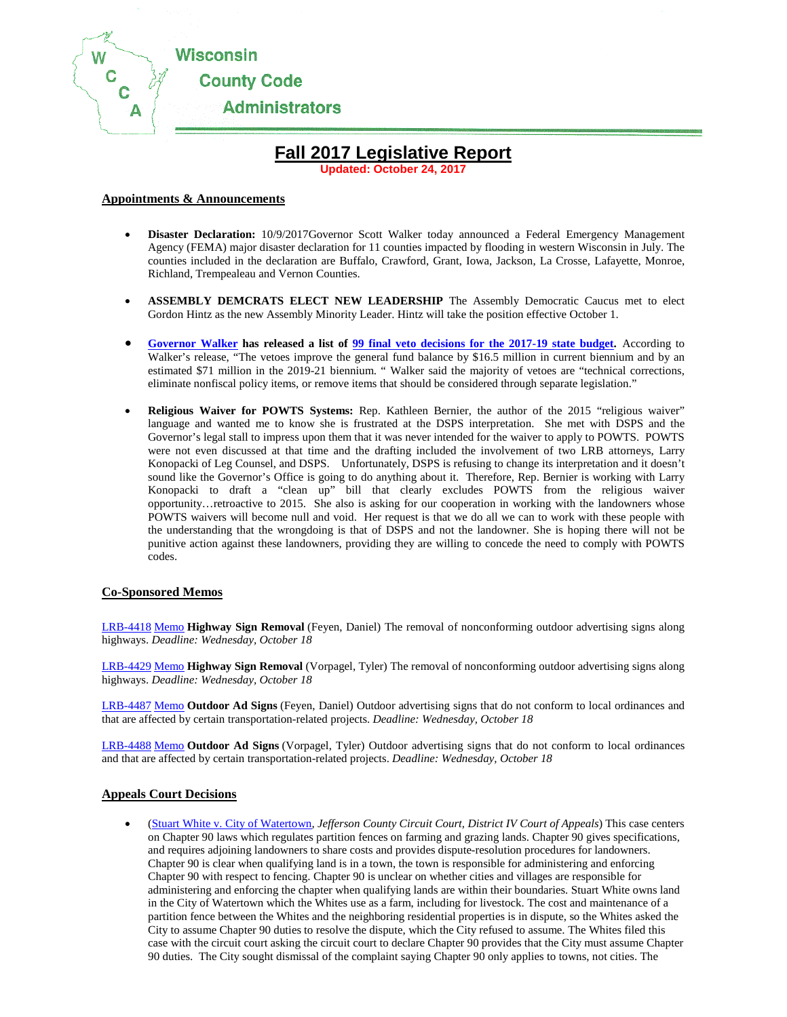

# **Fall 2017 Legislative Report**

**Updated: October 24, 2017**

# **Appointments & Announcements**

- **Disaster Declaration:** 10/9/2017Governor Scott Walker today announced a Federal Emergency Management Agency (FEMA) major disaster declaration for 11 counties impacted by flooding in western Wisconsin in July. The counties included in the declaration are Buffalo, Crawford, Grant, Iowa, Jackson, La Crosse, Lafayette, Monroe, Richland, Trempealeau and Vernon Counties.
- **ASSEMBLY DEMCRATS ELECT NEW LEADERSHIP** The Assembly Democratic Caucus met to elect Gordon Hintz as the new Assembly Minority Leader. Hintz will take the position effective October 1.
- **[Governor Walker](http://mailinglist.thewheelerreport.com/lists/lt.php?id=eB0EUFIMDxkCAQIGSFQFDg) has released a list of [99 final veto decisions for the 2017-19 state budget.](http://mailinglist.thewheelerreport.com/lists/lt.php?id=eB0EUFIMDhkCAQIGSFQFDg)** According to Walker's release, "The vetoes improve the general fund balance by \$16.5 million in current biennium and by an estimated \$71 million in the 2019-21 biennium. " Walker said the majority of vetoes are "technical corrections, eliminate nonfiscal policy items, or remove items that should be considered through separate legislation."
- **Religious Waiver for POWTS Systems:** Rep. Kathleen Bernier, the author of the 2015 "religious waiver" language and wanted me to know she is frustrated at the DSPS interpretation. She met with DSPS and the Governor's legal stall to impress upon them that it was never intended for the waiver to apply to POWTS. POWTS were not even discussed at that time and the drafting included the involvement of two LRB attorneys, Larry Konopacki of Leg Counsel, and DSPS. Unfortunately, DSPS is refusing to change its interpretation and it doesn't sound like the Governor's Office is going to do anything about it. Therefore, Rep. Bernier is working with Larry Konopacki to draft a "clean up" bill that clearly excludes POWTS from the religious waiver opportunity…retroactive to 2015. She also is asking for our cooperation in working with the landowners whose POWTS waivers will become null and void. Her request is that we do all we can to work with these people with the understanding that the wrongdoing is that of DSPS and not the landowner. She is hoping there will not be punitive action against these landowners, providing they are willing to concede the need to comply with POWTS codes.

#### **Co-Sponsored Memos**

[LRB-4418](http://mailinglist.thewheelerreport.com/lists/lt.php?id=eB0EUFoOAxkCAQcCSFQFDg) [Memo](http://mailinglist.thewheelerreport.com/lists/lt.php?id=eB0EUFoOAhkCAQcCSFQFDg) **Highway Sign Removal** (Feyen, Daniel) The removal of nonconforming outdoor advertising signs along highways. *Deadline: Wednesday, October 18*

[LRB-4429](http://mailinglist.thewheelerreport.com/lists/lt.php?id=eB0EUFoOAxkCAQcCSFQFDg) [Memo](http://mailinglist.thewheelerreport.com/lists/lt.php?id=eB0EUFoOAhkCAQcCSFQFDg) **Highway Sign Removal** (Vorpagel, Tyler) The removal of nonconforming outdoor advertising signs along highways. *Deadline: Wednesday, October 18*

[LRB-4487](http://mailinglist.thewheelerreport.com/lists/lt.php?id=eB0EUFoOARkCAQcCSFQFDg) [Memo](http://mailinglist.thewheelerreport.com/lists/lt.php?id=eB0EUFoOABkCAQcCSFQFDg) **Outdoor Ad Signs** (Feyen, Daniel) Outdoor advertising signs that do not conform to local ordinances and that are affected by certain transportation-related projects. *Deadline: Wednesday, October 18*

[LRB-4488](http://mailinglist.thewheelerreport.com/lists/lt.php?id=eB0EUFoOARkCAQcCSFQFDg) [Memo](http://mailinglist.thewheelerreport.com/lists/lt.php?id=eB0EUFoOABkCAQcCSFQFDg) **Outdoor Ad Signs** (Vorpagel, Tyler) Outdoor advertising signs that do not conform to local ordinances and that are affected by certain transportation-related projects. *Deadline: Wednesday, October 18*

#### **Appeals Court Decisions**

• [\(Stuart White v. City of Watertown,](http://mailinglist.thewheelerreport.com/lists/lt.php?id=eB0EUFoABhkCAQcCSFQFDg) *Jefferson County Circuit Court, District IV Court of Appeals*) This case centers on Chapter 90 laws which regulates partition fences on farming and grazing lands. Chapter 90 gives specifications, and requires adjoining landowners to share costs and provides dispute-resolution procedures for landowners. Chapter 90 is clear when qualifying land is in a town, the town is responsible for administering and enforcing Chapter 90 with respect to fencing. Chapter 90 is unclear on whether cities and villages are responsible for administering and enforcing the chapter when qualifying lands are within their boundaries. Stuart White owns land in the City of Watertown which the Whites use as a farm, including for livestock. The cost and maintenance of a partition fence between the Whites and the neighboring residential properties is in dispute, so the Whites asked the City to assume Chapter 90 duties to resolve the dispute, which the City refused to assume. The Whites filed this case with the circuit court asking the circuit court to declare Chapter 90 provides that the City must assume Chapter 90 duties. The City sought dismissal of the complaint saying Chapter 90 only applies to towns, not cities. The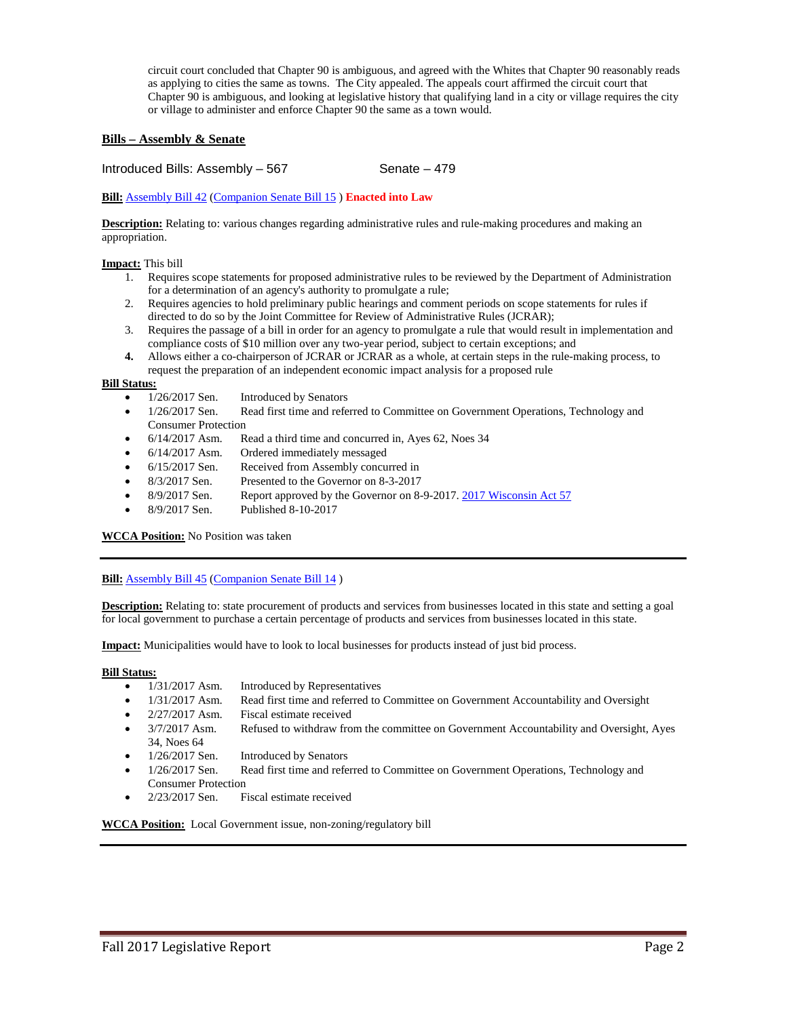circuit court concluded that Chapter 90 is ambiguous, and agreed with the Whites that Chapter 90 reasonably reads as applying to cities the same as towns. The City appealed. The appeals court affirmed the circuit court that Chapter 90 is ambiguous, and looking at legislative history that qualifying land in a city or village requires the city or village to administer and enforce Chapter 90 the same as a town would.

# **Bills – Assembly & Senate**

Introduced Bills: Assembly – 567 Senate – 479

**Bill:** [Assembly Bill 42](https://docs.legis.wisconsin.gov/2017/proposals/ab42) [\(Companion Senate Bill 15](https://docs.legis.wisconsin.gov/2017/proposals/sb15) ) **Enacted into Law**

**Description:** Relating to: various changes regarding administrative rules and rule-making procedures and making an appropriation.

#### **Impact:** This bill

- 1. Requires scope statements for proposed administrative rules to be reviewed by the Department of Administration for a determination of an agency's authority to promulgate a rule;
- 2. Requires agencies to hold preliminary public hearings and comment periods on scope statements for rules if directed to do so by the Joint Committee for Review of Administrative Rules (JCRAR);
- 3. Requires the passage of a bill in order for an agency to promulgate a rule that would result in implementation and compliance costs of \$10 million over any two-year period, subject to certain exceptions; and
- **4.** Allows either a co-chairperson of JCRAR or JCRAR as a whole, at certain steps in the rule-making process, to request the preparation of an independent economic impact analysis for a proposed rule

- **Bill Status:**<br>• 1/26/2017 Sen. Introduced by Senators
	- 1/26/2017 Sen. Read first time and referred to Committee on Government Operations, Technology and Consumer Protection
	- 6/14/2017 Asm. Read a third time and concurred in, Ayes 62, Noes 34
	- 6/14/2017 Asm. Ordered immediately messaged
	- 6/15/2017 Sen. Received from Assembly concurred in
	- 8/3/2017 Sen. Presented to the Governor on 8-3-2017
	- 8/9/2017 Sen. Report approved by the Governor on 8-9-2017[. 2017 Wisconsin Act 57](https://docs.legis.wisconsin.gov/document/acts/2017/57)
	- 8/9/2017 Sen. Published 8-10-2017

#### **WCCA Position:** No Position was taken

#### **Bill:** [Assembly Bill 45](https://docs.legis.wisconsin.gov/2017/proposals/reg/asm/bill/ab45) [\(Companion Senate Bill 14](https://docs.legis.wisconsin.gov/2017/proposals/sb14))

**Description:** Relating to: state procurement of products and services from businesses located in this state and setting a goal for local government to purchase a certain percentage of products and services from businesses located in this state.

**Impact:** Municipalities would have to look to local businesses for products instead of just bid process.

- **Bill Status:**<br>• 1/31/2017 Asm. Introduced by Representatives
	- 1/31/2017 Asm. Read first time and referred to Committee on Government Accountability and Oversight
	- 2/27/2017 Asm. Fiscal estimate received
	- 3/7/2017 Asm. Refused to withdraw from the committee on Government Accountability and Oversight, Ayes 34, Noes 64
	- 1/26/2017 Sen. Introduced by Senators
	- 1/26/2017 Sen. Read first time and referred to Committee on Government Operations, Technology and Consumer Protection
	- 2/23/2017 Sen. Fiscal estimate received

**WCCA Position:** Local Government issue, non-zoning/regulatory bill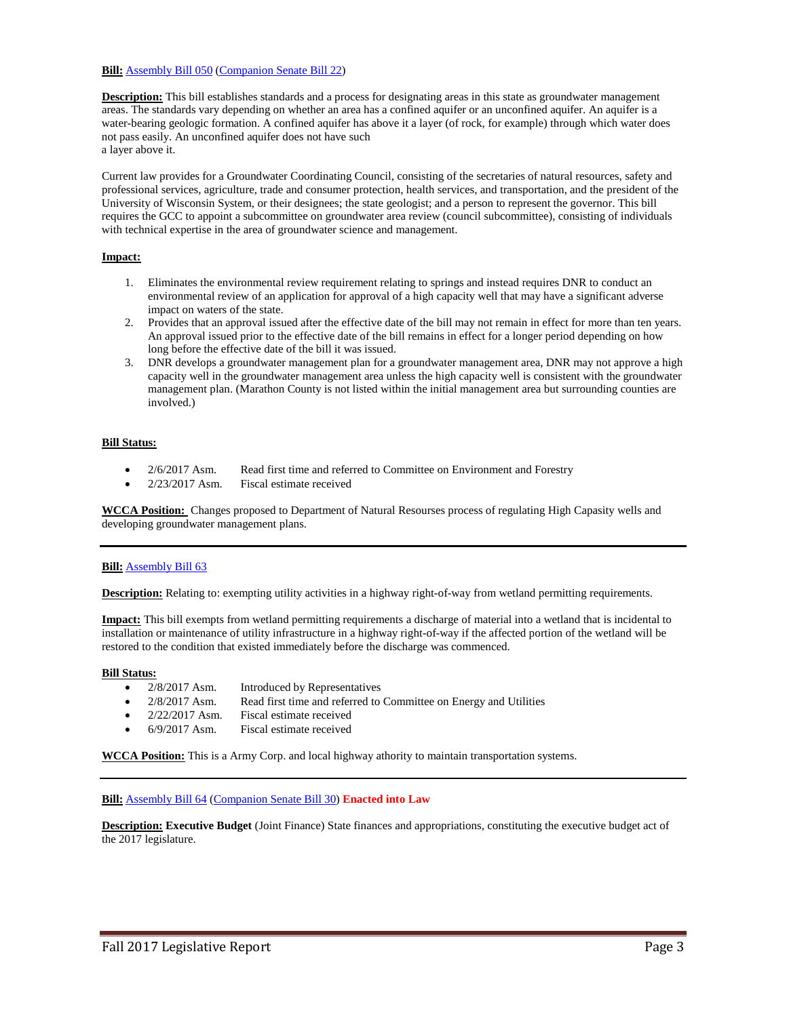# **Bill:** [Assembly Bill 050](https://docs.legis.wisconsin.gov/2017/proposals/reg/asm/bill/ab50) [\(Companion Senate Bill 22\)](https://docs.legis.wisconsin.gov/2017/proposals/sb22)

**Description:** This bill establishes standards and a process for designating areas in this state as groundwater management areas. The standards vary depending on whether an area has a confined aquifer or an unconfined aquifer. An aquifer is a water-bearing geologic formation. A confined aquifer has above it a layer (of rock, for example) through which water does not pass easily. An unconfined aquifer does not have such a layer above it.

Current law provides for a Groundwater Coordinating Council, consisting of the secretaries of natural resources, safety and professional services, agriculture, trade and consumer protection, health services, and transportation, and the president of the University of Wisconsin System, or their designees; the state geologist; and a person to represent the governor. This bill requires the GCC to appoint a subcommittee on groundwater area review (council subcommittee), consisting of individuals with technical expertise in the area of groundwater science and management.

# **Impact:**

- 1. Eliminates the environmental review requirement relating to springs and instead requires DNR to conduct an environmental review of an application for approval of a high capacity well that may have a significant adverse impact on waters of the state.
- 2. Provides that an approval issued after the effective date of the bill may not remain in effect for more than ten years. An approval issued prior to the effective date of the bill remains in effect for a longer period depending on how long before the effective date of the bill it was issued.
- 3. DNR develops a groundwater management plan for a groundwater management area, DNR may not approve a high capacity well in the groundwater management area unless the high capacity well is consistent with the groundwater management plan. (Marathon County is not listed within the initial management area but surrounding counties are involved.)

# **Bill Status:**

- 2/6/2017 Asm. Read first time and referred to Committee on Environment and Forestry
- 2/23/2017 Asm. Fiscal estimate received

**WCCA Position:** Changes proposed to Department of Natural Resourses process of regulating High Capasity wells and developing groundwater management plans.

# **Bill:** [Assembly Bill 63](https://docs.legis.wisconsin.gov/2017/proposals/reg/asm/bill/ab63)

**Description:** Relating to: exempting utility activities in a highway right-of-way from wetland permitting requirements.

**Impact:** This bill exempts from wetland permitting requirements a discharge of material into a wetland that is incidental to installation or maintenance of utility infrastructure in a highway right-of-way if the affected portion of the wetland will be restored to the condition that existed immediately before the discharge was commenced.

# **Bill Status:**

- 2/8/2017 Asm. Introduced by Representatives
	-
- 2/8/2017 Asm. Read first time and referred to Committee on Energy and Utilities
- 2/22/2017 Asm. Fiscal estimate received
- 6/9/2017 Asm. Fiscal estimate received

**WCCA Position:** This is a Army Corp. and local highway athority to maintain transportation systems.

# **Bill:** [Assembly Bill 64](https://docs.legis.wisconsin.gov/2017/proposals/reg/asm/bill/ab64) [\(Companion Senate Bill 30\)](https://docs.legis.wisconsin.gov/2017/proposals/sb30) **Enacted into Law**

**Description: Executive Budget** (Joint Finance) State finances and appropriations, constituting the executive budget act of the 2017 legislature.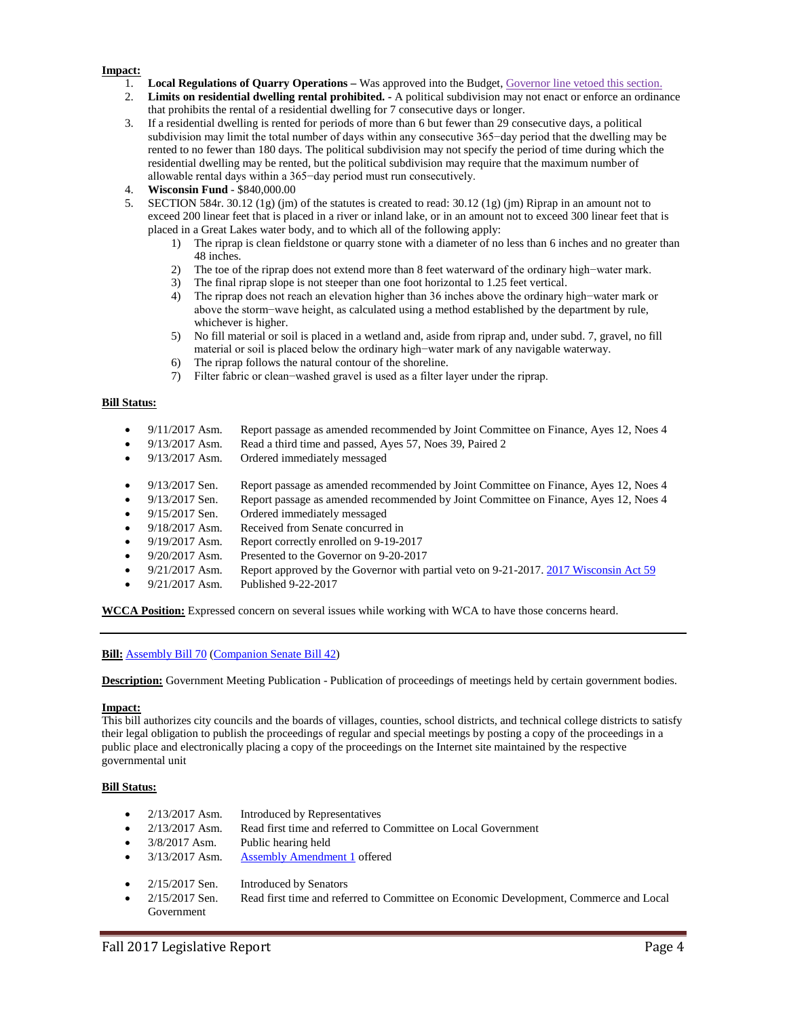#### **Impact:**

- 1. **Local Regulations of Quarry Operations –** Was approved into the Budget, Governor line vetoed this section.
- 2. **Limits on residential dwelling rental prohibited. -** A political subdivision may not enact or enforce an ordinance that prohibits the rental of a residential dwelling for 7 consecutive days or longer.
- 3. If a residential dwelling is rented for periods of more than 6 but fewer than 29 consecutive days, a political subdivision may limit the total number of days within any consecutive 365−day period that the dwelling may be rented to no fewer than 180 days. The political subdivision may not specify the period of time during which the residential dwelling may be rented, but the political subdivision may require that the maximum number of allowable rental days within a 365−day period must run consecutively.
- 4. **Wisconsin Fund** \$840,000.00
- 5. SECTION 584r. 30.12 (1g) (jm) of the statutes is created to read: 30.12 (1g) (jm) Riprap in an amount not to exceed 200 linear feet that is placed in a river or inland lake, or in an amount not to exceed 300 linear feet that is placed in a Great Lakes water body, and to which all of the following apply:
	- 1) The riprap is clean fieldstone or quarry stone with a diameter of no less than 6 inches and no greater than 48 inches.
	- 2) The toe of the riprap does not extend more than 8 feet waterward of the ordinary high−water mark.
	- 3) The final riprap slope is not steeper than one foot horizontal to 1.25 feet vertical.
	- 4) The riprap does not reach an elevation higher than 36 inches above the ordinary high−water mark or above the storm−wave height, as calculated using a method established by the department by rule, whichever is higher.
	- 5) No fill material or soil is placed in a wetland and, aside from riprap and, under subd. 7, gravel, no fill material or soil is placed below the ordinary high−water mark of any navigable waterway.
	- 6) The riprap follows the natural contour of the shoreline.
	- 7) Filter fabric or clean−washed gravel is used as a filter layer under the riprap.

# **Bill Status:**

- 9/11/2017 Asm. Report passage as amended recommended by Joint Committee on Finance, Ayes 12, Noes 4
- 9/13/2017 Asm. Read a third time and passed, Ayes 57, Noes 39, Paired 2
- 9/13/2017 Asm. Ordered immediately messaged
- 9/13/2017 Sen. Report passage as amended recommended by Joint Committee on Finance, Ayes 12, Noes 4
- 9/13/2017 Sen. Report passage as amended recommended by Joint Committee on Finance, Ayes 12, Noes 4
- 9/15/2017 Sen. Ordered immediately messaged
- 9/18/2017 Asm. Received from Senate concurred in
- 9/19/2017 Asm. Report correctly enrolled on 9-19-2017
- 9/20/2017 Asm. Presented to the Governor on 9-20-2017
- 9/21/2017 Asm. Report approved by the Governor with partial veto on 9-21-2017[. 2017 Wisconsin Act 59](https://docs.legis.wisconsin.gov/document/acts/2017/59)
- 9/21/2017 Asm. Published 9-22-2017

**WCCA Position:** Expressed concern on several issues while working with WCA to have those concerns heard.

**Bill:** [Assembly Bill 70](https://docs.legis.wisconsin.gov/2017/proposals/reg/asm/bill/ab70) [\(Companion Senate Bill 42\)](https://docs.legis.wisconsin.gov/2017/proposals/sb42)

**Description:** Government Meeting Publication - Publication of proceedings of meetings held by certain government bodies.

#### **Impact:**

This bill authorizes city councils and the boards of villages, counties, school districts, and technical college districts to satisfy their legal obligation to publish the proceedings of regular and special meetings by posting a copy of the proceedings in a public place and electronically placing a copy of the proceedings on the Internet site maintained by the respective governmental unit

- 2/13/2017 Asm. Introduced by Representatives
- 2/13/2017 Asm. Read first time and referred to Committee on Local Government
- 3/8/2017 Asm. Public hearing held
- 3/13/2017 Asm. [Assembly Amendment 1](https://docs.legis.wisconsin.gov/document/amends/2017/REG/AB70-AA1) offered
- 2/15/2017 Sen. Introduced by Senators
- 2/15/2017 Sen. Read first time and referred to Committee on Economic Development, Commerce and Local Government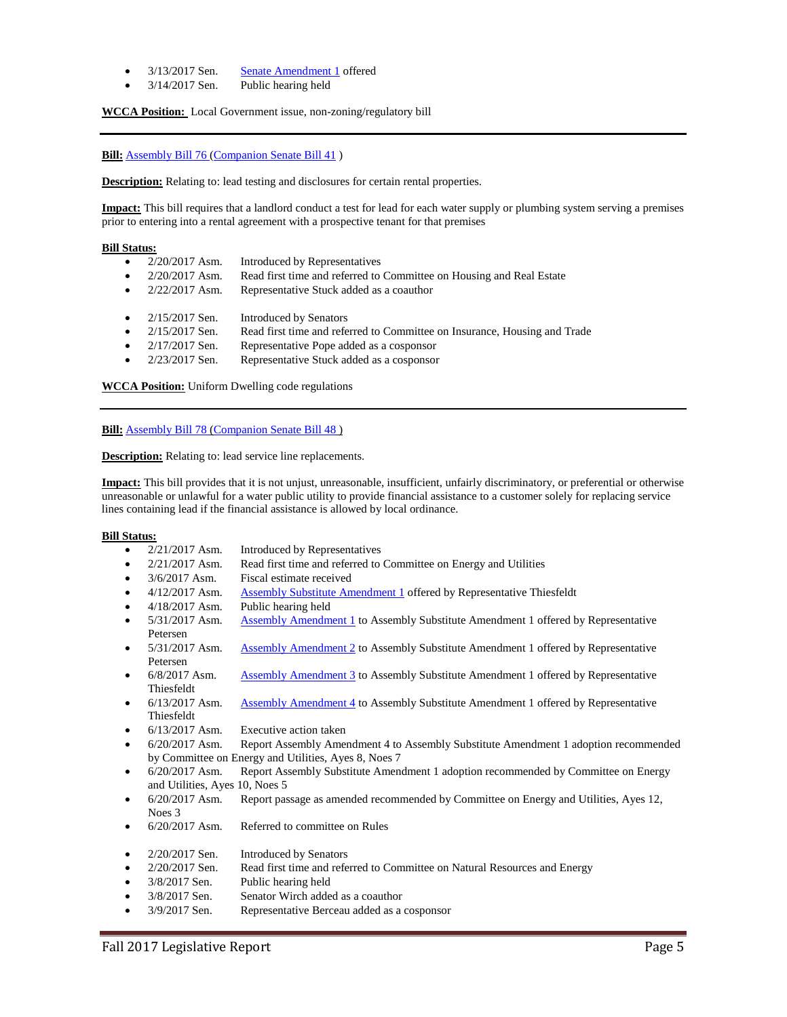- 3/13/2017 Sen. [Senate Amendment 1](https://docs.legis.wisconsin.gov/document/amends/2017/REG/SB42-SA1) offered
- 3/14/2017 Sen. Public hearing held

**WCCA Position:** Local Government issue, non-zoning/regulatory bill

### **Bill:** [Assembly Bill 76](https://docs.legis.wisconsin.gov/2017/proposals/reg/asm/bill/ab76) [\(Companion Senate Bill 41](https://docs.legis.wisconsin.gov/2017/proposals/sb41))

**Description:** Relating to: lead testing and disclosures for certain rental properties.

**Impact:** This bill requires that a landlord conduct a test for lead for each water supply or plumbing system serving a premises prior to entering into a rental agreement with a prospective tenant for that premises

# **Bill Status:**

- 2/20/2017 Asm. Introduced by Representatives
- 2/20/2017 Asm. Read first time and referred to Committee on Housing and Real Estate
- 2/22/2017 Asm. Representative Stuck added as a coauthor
- 2/15/2017 Sen. Introduced by Senators
- 2/15/2017 Sen. Read first time and referred to Committee on Insurance, Housing and Trade
- 2/17/2017 Sen. Representative Pope added as a cosponsor
- 2/23/2017 Sen. Representative Stuck added as a cosponsor

**WCCA Position:** Uniform Dwelling code regulations

**Bill:** [Assembly Bill 78](https://docs.legis.wisconsin.gov/2017/proposals/reg/asm/bill/ab78) [\(Companion Senate Bill 48](https://docs.legis.wisconsin.gov/2017/proposals/sb48))

**Description:** Relating to: lead service line replacements.

**Impact:** This bill provides that it is not unjust, unreasonable, insufficient, unfairly discriminatory, or preferential or otherwise unreasonable or unlawful for a water public utility to provide financial assistance to a customer solely for replacing service lines containing lead if the financial assistance is allowed by local ordinance.

- 2/21/2017 Asm. Introduced by Representatives
- 2/21/2017 Asm. Read first time and referred to Committee on Energy and Utilities
- 3/6/2017 Asm. Fiscal estimate received
- 4/12/2017 Asm. [Assembly Substitute Amendment 1](https://docs.legis.wisconsin.gov/document/amends/2017/REG/AB78-ASA1) offered by Representative Thiesfeldt
- 4/18/2017 Asm. Public hearing held
- 5/31/2017 Asm. [Assembly Amendment 1](https://docs.legis.wisconsin.gov/document/amends/2017/REG/AB78-ASA1-AA1) to Assembly Substitute Amendment 1 offered by Representative Petersen
- 5/31/2017 Asm. [Assembly Amendment 2](https://docs.legis.wisconsin.gov/document/amends/2017/REG/AB78-ASA1-AA2) to Assembly Substitute Amendment 1 offered by Representative Petersen
- 6/8/2017 Asm. [Assembly Amendment 3](https://docs.legis.wisconsin.gov/document/amends/2017/REG/AB78-ASA1-AA3) to Assembly Substitute Amendment 1 offered by Representative Thiesfeldt
- 6/13/2017 Asm. [Assembly Amendment 4](https://docs.legis.wisconsin.gov/document/amends/2017/REG/AB78-ASA1-AA4) to Assembly Substitute Amendment 1 offered by Representative Thiesfeldt
- 6/13/2017 Asm. Executive action taken
- 6/20/2017 Asm. Report Assembly Amendment 4 to Assembly Substitute Amendment 1 adoption recommended by Committee on Energy and Utilities, Ayes 8, Noes 7
- 6/20/2017 Asm. Report Assembly Substitute Amendment 1 adoption recommended by Committee on Energy and Utilities, Ayes 10, Noes 5
- 6/20/2017 Asm. Report passage as amended recommended by Committee on Energy and Utilities, Ayes 12, Noes 3
- 6/20/2017 Asm. Referred to committee on Rules
- 2/20/2017 Sen. Introduced by Senators
- 2/20/2017 Sen. Read first time and referred to Committee on Natural Resources and Energy
- 3/8/2017 Sen. Public hearing held
- 3/8/2017 Sen. Senator Wirch added as a coauthor
- 3/9/2017 Sen. Representative Berceau added as a cosponsor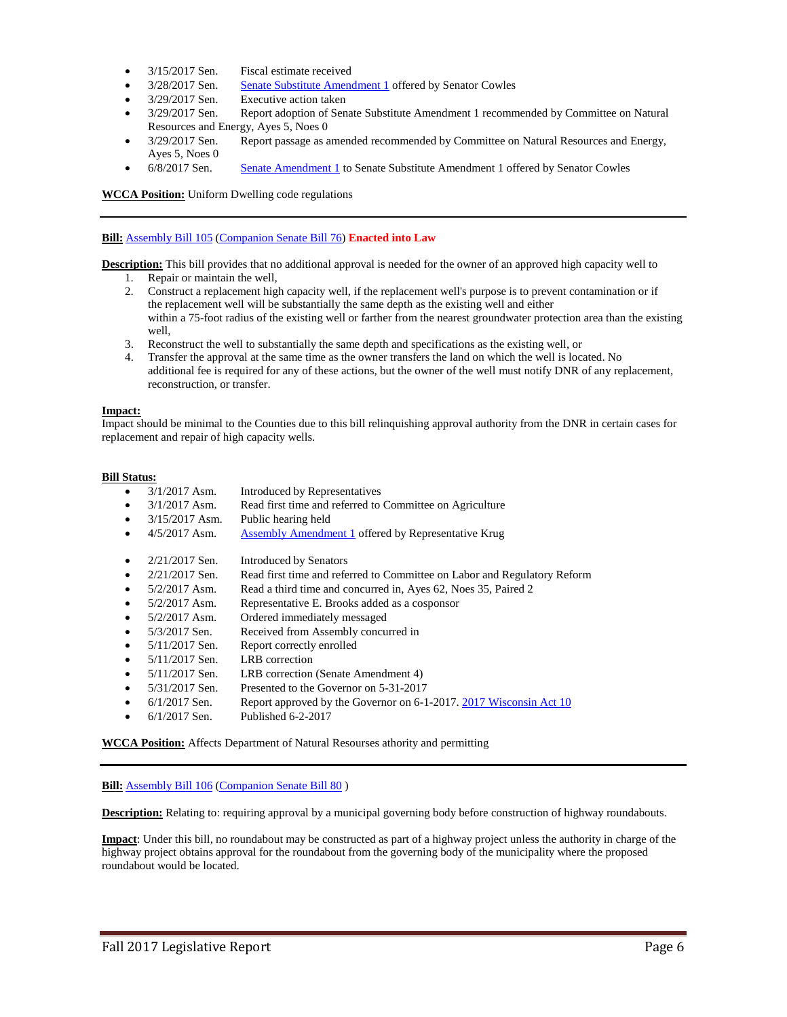- 3/15/2017 Sen. Fiscal estimate received
- 3/28/2017 Sen. [Senate Substitute Amendment 1](https://docs.legis.wisconsin.gov/document/amends/2017/REG/SB48-SSA1) offered by Senator Cowles
- 3/29/2017 Sen. Executive action taken
- 3/29/2017 Sen. Report adoption of Senate Substitute Amendment 1 recommended by Committee on Natural Resources and Energy, Ayes 5, Noes 0
- 3/29/2017 Sen. Report passage as amended recommended by Committee on Natural Resources and Energy, Ayes 5, Noes 0
- 6/8/2017 Sen. [Senate Amendment 1](https://docs.legis.wisconsin.gov/document/amends/2017/REG/SB48-SSA1-SA1) to Senate Substitute Amendment 1 offered by Senator Cowles

**WCCA Position:** Uniform Dwelling code regulations

### **Bill:** [Assembly Bill 105](https://docs.legis.wisconsin.gov/2017/proposals/reg/asm/bill/ab105) [\(Companion Senate Bill 76\)](https://docs.legis.wisconsin.gov/2017/proposals/sb76) **Enacted into Law**

**Description:** This bill provides that no additional approval is needed for the owner of an approved high capacity well to

- 1. Repair or maintain the well,
- 2. Construct a replacement high capacity well, if the replacement well's purpose is to prevent contamination or if the replacement well will be substantially the same depth as the existing well and either within a 75-foot radius of the existing well or farther from the nearest groundwater protection area than the existing well,
- 3. Reconstruct the well to substantially the same depth and specifications as the existing well, or
- 4. Transfer the approval at the same time as the owner transfers the land on which the well is located. No additional fee is required for any of these actions, but the owner of the well must notify DNR of any replacement, reconstruction, or transfer.

# **Impact:**

Impact should be minimal to the Counties due to this bill relinquishing approval authority from the DNR in certain cases for replacement and repair of high capacity wells.

# **Bill Status:**

- 3/1/2017 Asm. Introduced by Representatives
- 3/1/2017 Asm. Read first time and referred to Committee on Agriculture
- 3/15/2017 Asm. Public hearing held
- 4/5/2017 Asm. [Assembly Amendment 1](https://docs.legis.wisconsin.gov/document/amends/2017/REG/AB105-AA1) offered by Representative Krug
- 2/21/2017 Sen. Introduced by Senators
- 2/21/2017 Sen. Read first time and referred to Committee on Labor and Regulatory Reform
- 5/2/2017 Asm. Read a third time and concurred in, Ayes 62, Noes 35, Paired 2
- 5/2/2017 Asm. Representative E. Brooks added as a cosponsor
- 5/2/2017 Asm. Ordered immediately messaged
- 5/3/2017 Sen. Received from Assembly concurred in
- 5/11/2017 Sen. Report correctly enrolled
- 5/11/2017 Sen. LRB correction
- 5/11/2017 Sen. LRB correction (Senate Amendment 4)
- 5/31/2017 Sen. Presented to the Governor on 5-31-2017
- 6/1/2017 Sen. Report approved by the Governor on 6-1-2017[. 2017 Wisconsin Act 10](https://docs.legis.wisconsin.gov/document/acts/2017/10)
- 6/1/2017 Sen. Published 6-2-2017

**WCCA Position:** Affects Department of Natural Resourses athority and permitting

#### **Bill:** [Assembly Bill 106](https://docs.legis.wisconsin.gov/2017/proposals/reg/asm/bill/ab106) [\(Companion Senate Bill 80](https://docs.legis.wisconsin.gov/2017/proposals/sb80) )

**Description:** Relating to: requiring approval by a municipal governing body before construction of highway roundabouts.

**Impact**: Under this bill, no roundabout may be constructed as part of a highway project unless the authority in charge of the highway project obtains approval for the roundabout from the governing body of the municipality where the proposed roundabout would be located.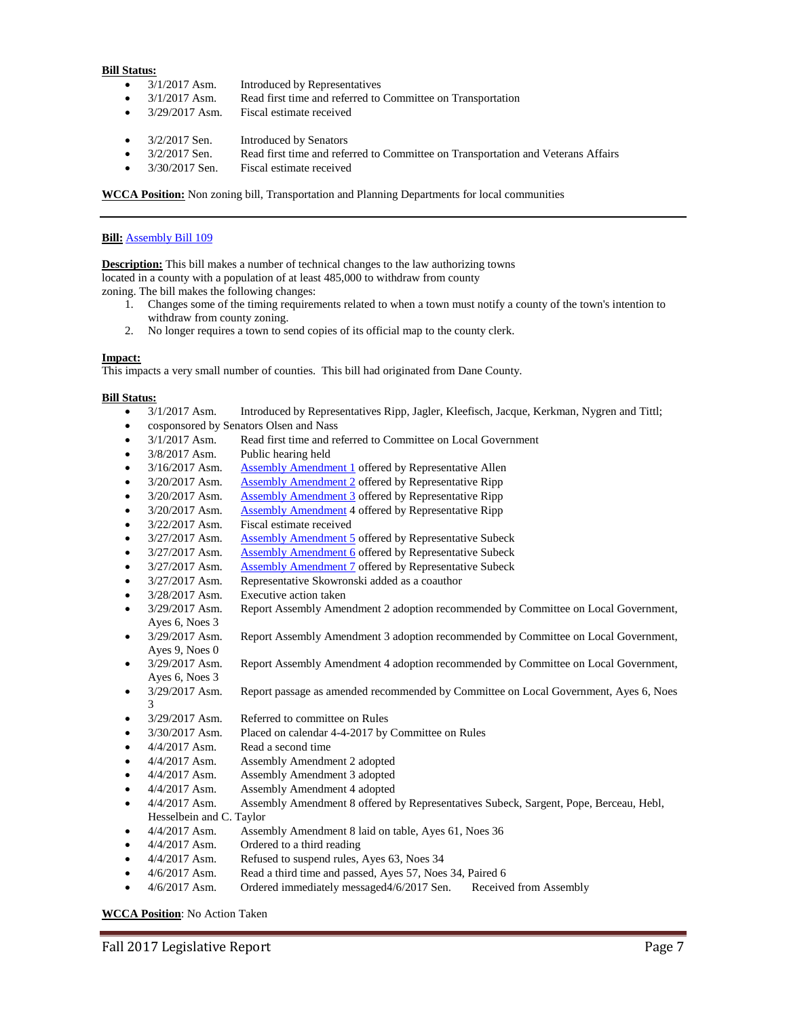- 3/1/2017 Asm. Introduced by Representatives
- 3/1/2017 Asm. Read first time and referred to Committee on Transportation
- 3/29/2017 Asm. Fiscal estimate received
- 3/2/2017 Sen. Introduced by Senators
- 3/2/2017 Sen. Read first time and referred to Committee on Transportation and Veterans Affairs
- 3/30/2017 Sen. Fiscal estimate received

**WCCA Position:** Non zoning bill, Transportation and Planning Departments for local communities

#### **Bill:** [Assembly Bill 109](https://docs.legis.wisconsin.gov/2017/proposals/reg/asm/bill/ab109)

**Description:** This bill makes a number of technical changes to the law authorizing towns located in a county with a population of at least 485,000 to withdraw from county zoning. The bill makes the following changes:

- 1. Changes some of the timing requirements related to when a town must notify a county of the town's intention to
- withdraw from county zoning. 2. No longer requires a town to send copies of its official map to the county clerk.

#### **Impact:**

This impacts a very small number of counties. This bill had originated from Dane County.

#### **Bill Status:**

- 3/1/2017 Asm. Introduced by Representatives Ripp, Jagler, Kleefisch, Jacque, Kerkman, Nygren and Tittl;
- cosponsored by Senators Olsen and Nass
- 3/1/2017 Asm. Read first time and referred to Committee on Local Government
- 3/8/2017 Asm. Public hearing held
- 3/16/2017 Asm. [Assembly Amendment 1](https://docs.legis.wisconsin.gov/document/amends/2017/REG/AB109-AA1) offered by Representative Allen
- 3/20/2017 Asm. [Assembly Amendment 2](https://docs.legis.wisconsin.gov/document/amends/2017/REG/AB109-AA2) offered by Representative Ripp
- 3/20/2017 Asm. [Assembly Amendment 3](https://docs.legis.wisconsin.gov/document/amends/2017/REG/AB109-AA3) offered by Representative Ripp
- 3/20/2017 Asm. [Assembly Amendment](https://docs.legis.wisconsin.gov/document/amends/2017/REG/AB109-AA4) 4 offered by Representative Ripp
- 3/22/2017 Asm. Fiscal estimate received
- 3/27/2017 Asm. [Assembly Amendment 5](https://docs.legis.wisconsin.gov/document/amends/2017/REG/AB109-AA5) offered by Representative Subeck
- 3/27/2017 Asm. Assembly Amendment 6 offered by Representative Subeck
- 3/27/2017 Asm. [Assembly Amendment 7](https://docs.legis.wisconsin.gov/document/amends/2017/REG/AB109-AA7) offered by Representative Subeck
- 3/27/2017 Asm. Representative Skowronski added as a coauthor
- 3/28/2017 Asm. Executive action taken
- 3/29/2017 Asm. Report Assembly Amendment 2 adoption recommended by Committee on Local Government, Ayes 6, Noes 3
- 3/29/2017 Asm. Report Assembly Amendment 3 adoption recommended by Committee on Local Government, Ayes 9, Noes 0
- 3/29/2017 Asm. Report Assembly Amendment 4 adoption recommended by Committee on Local Government, Ayes 6, Noes 3
- 3/29/2017 Asm. Report passage as amended recommended by Committee on Local Government, Ayes 6, Noes 3
- 3/29/2017 Asm. Referred to committee on Rules
- 3/30/2017 Asm. Placed on calendar 4-4-2017 by Committee on Rules
- 4/4/2017 Asm. Read a second time
- 4/4/2017 Asm. Assembly Amendment 2 adopted
- 4/4/2017 Asm. Assembly Amendment 3 adopted
- 4/4/2017 Asm. Assembly Amendment 4 adopted
- 4/4/2017 Asm. Assembly Amendment 8 offered by Representatives Subeck, Sargent, Pope, Berceau, Hebl,
- Hesselbein and C. Taylor
- 4/4/2017 Asm. Assembly Amendment 8 laid on table, Ayes 61, Noes 36
- 4/4/2017 Asm. Ordered to a third reading
- 4/4/2017 Asm. Refused to suspend rules, Ayes 63, Noes 34
- 4/6/2017 Asm. Read a third time and passed, Ayes 57, Noes 34, Paired 6
- 4/6/2017 Asm. Ordered immediately messaged4/6/2017 Sen. Received from Assembly

#### **WCCA Position**: No Action Taken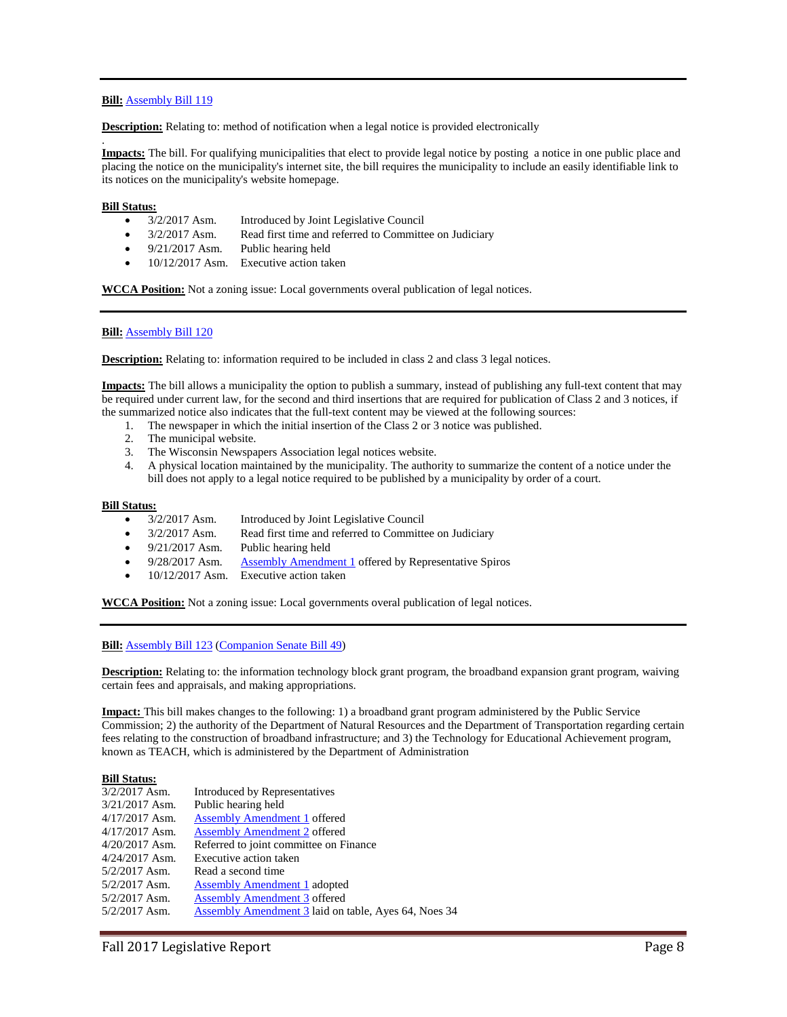# **Bill:** [Assembly Bill 119](https://docs.legis.wisconsin.gov/2017/proposals/reg/asm/bill/ab119)

**Description:** Relating to: method of notification when a legal notice is provided electronically

. **Impacts:** The bill. For qualifying municipalities that elect to provide legal notice by posting a notice in one public place and placing the notice on the municipality's internet site, the bill requires the municipality to include an easily identifiable link to its notices on the municipality's website homepage.

#### **Bill Status:**

- 3/2/2017 Asm. Introduced by Joint Legislative Council
- 3/2/2017 Asm. Read first time and referred to Committee on Judiciary
- 9/21/2017 Asm. Public hearing held
- 10/12/2017 Asm. Executive action taken

**WCCA Position:** Not a zoning issue: Local governments overal publication of legal notices.

# **Bill:** [Assembly Bill 120](https://docs.legis.wisconsin.gov/2017/proposals/reg/asm/bill/ab120)

**Description:** Relating to: information required to be included in class 2 and class 3 legal notices.

**Impacts:** The bill allows a municipality the option to publish a summary, instead of publishing any full-text content that may be required under current law, for the second and third insertions that are required for publication of Class 2 and 3 notices, if the summarized notice also indicates that the full-text content may be viewed at the following sources:

- 1. The newspaper in which the initial insertion of the Class 2 or 3 notice was published.
- 2. The municipal website.
- 3. The Wisconsin Newspapers Association legal notices website.
- 4. A physical location maintained by the municipality. The authority to summarize the content of a notice under the bill does not apply to a legal notice required to be published by a municipality by order of a court.

#### **Bill Status:**

- 3/2/2017 Asm. Introduced by Joint Legislative Council
- 3/2/2017 Asm. Read first time and referred to Committee on Judiciary
- 9/21/2017 Asm. Public hearing held
- 9/28/2017 Asm. [Assembly Amendment 1](https://docs.legis.wisconsin.gov/document/amends/2017/REG/AB120-AA1) offered by Representative Spiros
- 10/12/2017 Asm. Executive action taken

**WCCA Position:** Not a zoning issue: Local governments overal publication of legal notices.

**Bill:** [Assembly Bill 123](https://docs.legis.wisconsin.gov/2017/proposals/reg/asm/bill/ab123) [\(Companion Senate Bill](https://docs.legis.wisconsin.gov/2017/proposals/sb49) 49)

**Description:** Relating to: the information technology block grant program, the broadband expansion grant program, waiving certain fees and appraisals, and making appropriations.

**Impact:** This bill makes changes to the following: 1) a broadband grant program administered by the Public Service Commission; 2) the authority of the Department of Natural Resources and the Department of Transportation regarding certain fees relating to the construction of broadband infrastructure; and 3) the Technology for Educational Achievement program, known as TEACH, which is administered by the Department of Administration

| Introduced by Representatives                        |
|------------------------------------------------------|
| Public hearing held                                  |
| <b>Assembly Amendment 1 offered</b>                  |
| <b>Assembly Amendment 2 offered</b>                  |
| Referred to joint committee on Finance               |
| Executive action taken                               |
| Read a second time                                   |
| Assembly Amendment 1 adopted                         |
| <b>Assembly Amendment 3 offered</b>                  |
| Assembly Amendment 3 laid on table, Ayes 64, Noes 34 |
|                                                      |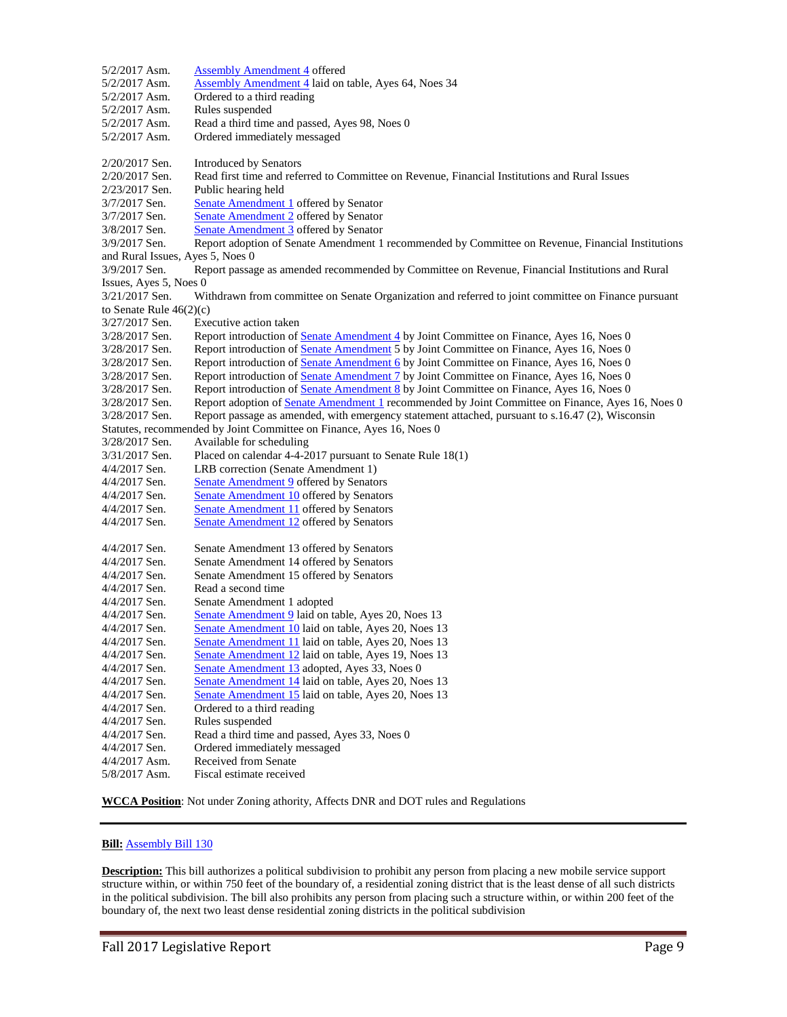| <b>Assembly Amendment 4</b> laid on table, Ayes 64, Noes 34<br>5/2/2017 Asm.<br>Ordered to a third reading<br>$5/2/2017$ Asm.<br>Rules suspended<br>5/2/2017 Asm.<br>5/2/2017 Asm.<br>Read a third time and passed, Ayes 98, Noes 0<br>5/2/2017 Asm.<br>Ordered immediately messaged<br>2/20/2017 Sen.<br><b>Introduced by Senators</b><br>Read first time and referred to Committee on Revenue, Financial Institutions and Rural Issues<br>2/20/2017 Sen.<br>Public hearing held<br>2/23/2017 Sen.<br>Senate Amendment 1 offered by Senator<br>3/7/2017 Sen.<br><b>Senate Amendment 2</b> offered by Senator<br>3/7/2017 Sen.<br>Senate Amendment 3 offered by Senator<br>3/8/2017 Sen.<br>Report adoption of Senate Amendment 1 recommended by Committee on Revenue, Financial Institutions<br>3/9/2017 Sen.<br>and Rural Issues, Ayes 5, Noes 0<br>3/9/2017 Sen.<br>Report passage as amended recommended by Committee on Revenue, Financial Institutions and Rural<br>Issues, Ayes 5, Noes 0<br>Withdrawn from committee on Senate Organization and referred to joint committee on Finance pursuant<br>3/21/2017 Sen.<br>to Senate Rule $46(2)(c)$<br>Executive action taken<br>3/27/2017 Sen.<br>Report introduction of Senate Amendment 4 by Joint Committee on Finance, Ayes 16, Noes 0<br>3/28/2017 Sen.<br>Report introduction of Senate Amendment 5 by Joint Committee on Finance, Ayes 16, Noes 0<br>3/28/2017 Sen.<br>Report introduction of Senate Amendment 6 by Joint Committee on Finance, Ayes 16, Noes 0<br>3/28/2017 Sen.<br>Report introduction of Senate Amendment 7 by Joint Committee on Finance, Ayes 16, Noes 0<br>3/28/2017 Sen.<br>Report introduction of Senate Amendment 8 by Joint Committee on Finance, Ayes 16, Noes 0<br>3/28/2017 Sen.<br>3/28/2017 Sen.<br>Report adoption of Senate Amendment 1 recommended by Joint Committee on Finance, Ayes 16, Noes 0<br>Report passage as amended, with emergency statement attached, pursuant to s.16.47 (2), Wisconsin<br>3/28/2017 Sen.<br>Statutes, recommended by Joint Committee on Finance, Ayes 16, Noes 0<br>3/28/2017 Sen.<br>Available for scheduling<br>Placed on calendar 4-4-2017 pursuant to Senate Rule 18(1)<br>3/31/2017 Sen.<br>LRB correction (Senate Amendment 1)<br>$4/4/2017$ Sen.<br>$4/4/2017$ Sen.<br><b>Senate Amendment 9</b> offered by Senators<br>Senate Amendment 10 offered by Senators<br>$4/4/2017$ Sen.<br>4/4/2017 Sen.<br>Senate Amendment 11 offered by Senators<br>4/4/2017 Sen.<br>Senate Amendment 12 offered by Senators<br>$4/4/2017$ Sen.<br>Senate Amendment 13 offered by Senators<br>Senate Amendment 14 offered by Senators<br>$4/4/2017$ Sen.<br>Senate Amendment 15 offered by Senators<br>$4/4/2017$ Sen.<br>Read a second time<br>$4/4/2017$ Sen.<br>$4/4/2017$ Sen.<br>Senate Amendment 1 adopted<br>Senate Amendment 9 laid on table, Ayes 20, Noes 13<br>$4/4/2017$ Sen.<br>4/4/2017 Sen.<br>Senate Amendment 10 laid on table, Ayes 20, Noes 13<br>Senate Amendment 11 laid on table, Ayes 20, Noes 13<br>4/4/2017 Sen.<br>4/4/2017 Sen.<br>Senate Amendment 12 laid on table, Ayes 19, Noes 13<br>4/4/2017 Sen.<br>Senate Amendment 13 adopted, Ayes 33, Noes 0<br>Senate Amendment 14 laid on table, Ayes 20, Noes 13<br>4/4/2017 Sen.<br>Senate Amendment 15 laid on table, Ayes 20, Noes 13<br>$4/4/2017$ Sen.<br>Ordered to a third reading<br>$4/4/2017$ Sen.<br>Rules suspended<br>$4/4/2017$ Sen.<br>4/4/2017 Sen.<br>Read a third time and passed, Ayes 33, Noes 0<br>Ordered immediately messaged<br>4/4/2017 Sen.<br>Received from Senate<br>$4/4/2017$ Asm.<br>Fiscal estimate received<br>5/8/2017 Asm. | $5/2/2017$ Asm. | <b>Assembly Amendment 4 offered</b> |  |  |  |  |  |  |  |
|---------------------------------------------------------------------------------------------------------------------------------------------------------------------------------------------------------------------------------------------------------------------------------------------------------------------------------------------------------------------------------------------------------------------------------------------------------------------------------------------------------------------------------------------------------------------------------------------------------------------------------------------------------------------------------------------------------------------------------------------------------------------------------------------------------------------------------------------------------------------------------------------------------------------------------------------------------------------------------------------------------------------------------------------------------------------------------------------------------------------------------------------------------------------------------------------------------------------------------------------------------------------------------------------------------------------------------------------------------------------------------------------------------------------------------------------------------------------------------------------------------------------------------------------------------------------------------------------------------------------------------------------------------------------------------------------------------------------------------------------------------------------------------------------------------------------------------------------------------------------------------------------------------------------------------------------------------------------------------------------------------------------------------------------------------------------------------------------------------------------------------------------------------------------------------------------------------------------------------------------------------------------------------------------------------------------------------------------------------------------------------------------------------------------------------------------------------------------------------------------------------------------------------------------------------------------------------------------------------------------------------------------------------------------------------------------------------------------------------------------------------------------------------------------------------------------------------------------------------------------------------------------------------------------------------------------------------------------------------------------------------------------------------------------------------------------------------------------------------------------------------------------------------------------------------------------------------------------------------------------------------------------------------------------------------------------------------------------------------------------------------------------------------------------------------------------------------------------------------------------------------------------------------------------------------------------------------------------------------------------------------------------------------|-----------------|-------------------------------------|--|--|--|--|--|--|--|
|                                                                                                                                                                                                                                                                                                                                                                                                                                                                                                                                                                                                                                                                                                                                                                                                                                                                                                                                                                                                                                                                                                                                                                                                                                                                                                                                                                                                                                                                                                                                                                                                                                                                                                                                                                                                                                                                                                                                                                                                                                                                                                                                                                                                                                                                                                                                                                                                                                                                                                                                                                                                                                                                                                                                                                                                                                                                                                                                                                                                                                                                                                                                                                                                                                                                                                                                                                                                                                                                                                                                                                                                                                                         |                 |                                     |  |  |  |  |  |  |  |
|                                                                                                                                                                                                                                                                                                                                                                                                                                                                                                                                                                                                                                                                                                                                                                                                                                                                                                                                                                                                                                                                                                                                                                                                                                                                                                                                                                                                                                                                                                                                                                                                                                                                                                                                                                                                                                                                                                                                                                                                                                                                                                                                                                                                                                                                                                                                                                                                                                                                                                                                                                                                                                                                                                                                                                                                                                                                                                                                                                                                                                                                                                                                                                                                                                                                                                                                                                                                                                                                                                                                                                                                                                                         |                 |                                     |  |  |  |  |  |  |  |
|                                                                                                                                                                                                                                                                                                                                                                                                                                                                                                                                                                                                                                                                                                                                                                                                                                                                                                                                                                                                                                                                                                                                                                                                                                                                                                                                                                                                                                                                                                                                                                                                                                                                                                                                                                                                                                                                                                                                                                                                                                                                                                                                                                                                                                                                                                                                                                                                                                                                                                                                                                                                                                                                                                                                                                                                                                                                                                                                                                                                                                                                                                                                                                                                                                                                                                                                                                                                                                                                                                                                                                                                                                                         |                 |                                     |  |  |  |  |  |  |  |
|                                                                                                                                                                                                                                                                                                                                                                                                                                                                                                                                                                                                                                                                                                                                                                                                                                                                                                                                                                                                                                                                                                                                                                                                                                                                                                                                                                                                                                                                                                                                                                                                                                                                                                                                                                                                                                                                                                                                                                                                                                                                                                                                                                                                                                                                                                                                                                                                                                                                                                                                                                                                                                                                                                                                                                                                                                                                                                                                                                                                                                                                                                                                                                                                                                                                                                                                                                                                                                                                                                                                                                                                                                                         |                 |                                     |  |  |  |  |  |  |  |
|                                                                                                                                                                                                                                                                                                                                                                                                                                                                                                                                                                                                                                                                                                                                                                                                                                                                                                                                                                                                                                                                                                                                                                                                                                                                                                                                                                                                                                                                                                                                                                                                                                                                                                                                                                                                                                                                                                                                                                                                                                                                                                                                                                                                                                                                                                                                                                                                                                                                                                                                                                                                                                                                                                                                                                                                                                                                                                                                                                                                                                                                                                                                                                                                                                                                                                                                                                                                                                                                                                                                                                                                                                                         |                 |                                     |  |  |  |  |  |  |  |
|                                                                                                                                                                                                                                                                                                                                                                                                                                                                                                                                                                                                                                                                                                                                                                                                                                                                                                                                                                                                                                                                                                                                                                                                                                                                                                                                                                                                                                                                                                                                                                                                                                                                                                                                                                                                                                                                                                                                                                                                                                                                                                                                                                                                                                                                                                                                                                                                                                                                                                                                                                                                                                                                                                                                                                                                                                                                                                                                                                                                                                                                                                                                                                                                                                                                                                                                                                                                                                                                                                                                                                                                                                                         |                 |                                     |  |  |  |  |  |  |  |
|                                                                                                                                                                                                                                                                                                                                                                                                                                                                                                                                                                                                                                                                                                                                                                                                                                                                                                                                                                                                                                                                                                                                                                                                                                                                                                                                                                                                                                                                                                                                                                                                                                                                                                                                                                                                                                                                                                                                                                                                                                                                                                                                                                                                                                                                                                                                                                                                                                                                                                                                                                                                                                                                                                                                                                                                                                                                                                                                                                                                                                                                                                                                                                                                                                                                                                                                                                                                                                                                                                                                                                                                                                                         |                 |                                     |  |  |  |  |  |  |  |
|                                                                                                                                                                                                                                                                                                                                                                                                                                                                                                                                                                                                                                                                                                                                                                                                                                                                                                                                                                                                                                                                                                                                                                                                                                                                                                                                                                                                                                                                                                                                                                                                                                                                                                                                                                                                                                                                                                                                                                                                                                                                                                                                                                                                                                                                                                                                                                                                                                                                                                                                                                                                                                                                                                                                                                                                                                                                                                                                                                                                                                                                                                                                                                                                                                                                                                                                                                                                                                                                                                                                                                                                                                                         |                 |                                     |  |  |  |  |  |  |  |
|                                                                                                                                                                                                                                                                                                                                                                                                                                                                                                                                                                                                                                                                                                                                                                                                                                                                                                                                                                                                                                                                                                                                                                                                                                                                                                                                                                                                                                                                                                                                                                                                                                                                                                                                                                                                                                                                                                                                                                                                                                                                                                                                                                                                                                                                                                                                                                                                                                                                                                                                                                                                                                                                                                                                                                                                                                                                                                                                                                                                                                                                                                                                                                                                                                                                                                                                                                                                                                                                                                                                                                                                                                                         |                 |                                     |  |  |  |  |  |  |  |
|                                                                                                                                                                                                                                                                                                                                                                                                                                                                                                                                                                                                                                                                                                                                                                                                                                                                                                                                                                                                                                                                                                                                                                                                                                                                                                                                                                                                                                                                                                                                                                                                                                                                                                                                                                                                                                                                                                                                                                                                                                                                                                                                                                                                                                                                                                                                                                                                                                                                                                                                                                                                                                                                                                                                                                                                                                                                                                                                                                                                                                                                                                                                                                                                                                                                                                                                                                                                                                                                                                                                                                                                                                                         |                 |                                     |  |  |  |  |  |  |  |
|                                                                                                                                                                                                                                                                                                                                                                                                                                                                                                                                                                                                                                                                                                                                                                                                                                                                                                                                                                                                                                                                                                                                                                                                                                                                                                                                                                                                                                                                                                                                                                                                                                                                                                                                                                                                                                                                                                                                                                                                                                                                                                                                                                                                                                                                                                                                                                                                                                                                                                                                                                                                                                                                                                                                                                                                                                                                                                                                                                                                                                                                                                                                                                                                                                                                                                                                                                                                                                                                                                                                                                                                                                                         |                 |                                     |  |  |  |  |  |  |  |
|                                                                                                                                                                                                                                                                                                                                                                                                                                                                                                                                                                                                                                                                                                                                                                                                                                                                                                                                                                                                                                                                                                                                                                                                                                                                                                                                                                                                                                                                                                                                                                                                                                                                                                                                                                                                                                                                                                                                                                                                                                                                                                                                                                                                                                                                                                                                                                                                                                                                                                                                                                                                                                                                                                                                                                                                                                                                                                                                                                                                                                                                                                                                                                                                                                                                                                                                                                                                                                                                                                                                                                                                                                                         |                 |                                     |  |  |  |  |  |  |  |
|                                                                                                                                                                                                                                                                                                                                                                                                                                                                                                                                                                                                                                                                                                                                                                                                                                                                                                                                                                                                                                                                                                                                                                                                                                                                                                                                                                                                                                                                                                                                                                                                                                                                                                                                                                                                                                                                                                                                                                                                                                                                                                                                                                                                                                                                                                                                                                                                                                                                                                                                                                                                                                                                                                                                                                                                                                                                                                                                                                                                                                                                                                                                                                                                                                                                                                                                                                                                                                                                                                                                                                                                                                                         |                 |                                     |  |  |  |  |  |  |  |
|                                                                                                                                                                                                                                                                                                                                                                                                                                                                                                                                                                                                                                                                                                                                                                                                                                                                                                                                                                                                                                                                                                                                                                                                                                                                                                                                                                                                                                                                                                                                                                                                                                                                                                                                                                                                                                                                                                                                                                                                                                                                                                                                                                                                                                                                                                                                                                                                                                                                                                                                                                                                                                                                                                                                                                                                                                                                                                                                                                                                                                                                                                                                                                                                                                                                                                                                                                                                                                                                                                                                                                                                                                                         |                 |                                     |  |  |  |  |  |  |  |
|                                                                                                                                                                                                                                                                                                                                                                                                                                                                                                                                                                                                                                                                                                                                                                                                                                                                                                                                                                                                                                                                                                                                                                                                                                                                                                                                                                                                                                                                                                                                                                                                                                                                                                                                                                                                                                                                                                                                                                                                                                                                                                                                                                                                                                                                                                                                                                                                                                                                                                                                                                                                                                                                                                                                                                                                                                                                                                                                                                                                                                                                                                                                                                                                                                                                                                                                                                                                                                                                                                                                                                                                                                                         |                 |                                     |  |  |  |  |  |  |  |
|                                                                                                                                                                                                                                                                                                                                                                                                                                                                                                                                                                                                                                                                                                                                                                                                                                                                                                                                                                                                                                                                                                                                                                                                                                                                                                                                                                                                                                                                                                                                                                                                                                                                                                                                                                                                                                                                                                                                                                                                                                                                                                                                                                                                                                                                                                                                                                                                                                                                                                                                                                                                                                                                                                                                                                                                                                                                                                                                                                                                                                                                                                                                                                                                                                                                                                                                                                                                                                                                                                                                                                                                                                                         |                 |                                     |  |  |  |  |  |  |  |
|                                                                                                                                                                                                                                                                                                                                                                                                                                                                                                                                                                                                                                                                                                                                                                                                                                                                                                                                                                                                                                                                                                                                                                                                                                                                                                                                                                                                                                                                                                                                                                                                                                                                                                                                                                                                                                                                                                                                                                                                                                                                                                                                                                                                                                                                                                                                                                                                                                                                                                                                                                                                                                                                                                                                                                                                                                                                                                                                                                                                                                                                                                                                                                                                                                                                                                                                                                                                                                                                                                                                                                                                                                                         |                 |                                     |  |  |  |  |  |  |  |
|                                                                                                                                                                                                                                                                                                                                                                                                                                                                                                                                                                                                                                                                                                                                                                                                                                                                                                                                                                                                                                                                                                                                                                                                                                                                                                                                                                                                                                                                                                                                                                                                                                                                                                                                                                                                                                                                                                                                                                                                                                                                                                                                                                                                                                                                                                                                                                                                                                                                                                                                                                                                                                                                                                                                                                                                                                                                                                                                                                                                                                                                                                                                                                                                                                                                                                                                                                                                                                                                                                                                                                                                                                                         |                 |                                     |  |  |  |  |  |  |  |
|                                                                                                                                                                                                                                                                                                                                                                                                                                                                                                                                                                                                                                                                                                                                                                                                                                                                                                                                                                                                                                                                                                                                                                                                                                                                                                                                                                                                                                                                                                                                                                                                                                                                                                                                                                                                                                                                                                                                                                                                                                                                                                                                                                                                                                                                                                                                                                                                                                                                                                                                                                                                                                                                                                                                                                                                                                                                                                                                                                                                                                                                                                                                                                                                                                                                                                                                                                                                                                                                                                                                                                                                                                                         |                 |                                     |  |  |  |  |  |  |  |
|                                                                                                                                                                                                                                                                                                                                                                                                                                                                                                                                                                                                                                                                                                                                                                                                                                                                                                                                                                                                                                                                                                                                                                                                                                                                                                                                                                                                                                                                                                                                                                                                                                                                                                                                                                                                                                                                                                                                                                                                                                                                                                                                                                                                                                                                                                                                                                                                                                                                                                                                                                                                                                                                                                                                                                                                                                                                                                                                                                                                                                                                                                                                                                                                                                                                                                                                                                                                                                                                                                                                                                                                                                                         |                 |                                     |  |  |  |  |  |  |  |
|                                                                                                                                                                                                                                                                                                                                                                                                                                                                                                                                                                                                                                                                                                                                                                                                                                                                                                                                                                                                                                                                                                                                                                                                                                                                                                                                                                                                                                                                                                                                                                                                                                                                                                                                                                                                                                                                                                                                                                                                                                                                                                                                                                                                                                                                                                                                                                                                                                                                                                                                                                                                                                                                                                                                                                                                                                                                                                                                                                                                                                                                                                                                                                                                                                                                                                                                                                                                                                                                                                                                                                                                                                                         |                 |                                     |  |  |  |  |  |  |  |
|                                                                                                                                                                                                                                                                                                                                                                                                                                                                                                                                                                                                                                                                                                                                                                                                                                                                                                                                                                                                                                                                                                                                                                                                                                                                                                                                                                                                                                                                                                                                                                                                                                                                                                                                                                                                                                                                                                                                                                                                                                                                                                                                                                                                                                                                                                                                                                                                                                                                                                                                                                                                                                                                                                                                                                                                                                                                                                                                                                                                                                                                                                                                                                                                                                                                                                                                                                                                                                                                                                                                                                                                                                                         |                 |                                     |  |  |  |  |  |  |  |
|                                                                                                                                                                                                                                                                                                                                                                                                                                                                                                                                                                                                                                                                                                                                                                                                                                                                                                                                                                                                                                                                                                                                                                                                                                                                                                                                                                                                                                                                                                                                                                                                                                                                                                                                                                                                                                                                                                                                                                                                                                                                                                                                                                                                                                                                                                                                                                                                                                                                                                                                                                                                                                                                                                                                                                                                                                                                                                                                                                                                                                                                                                                                                                                                                                                                                                                                                                                                                                                                                                                                                                                                                                                         |                 |                                     |  |  |  |  |  |  |  |
|                                                                                                                                                                                                                                                                                                                                                                                                                                                                                                                                                                                                                                                                                                                                                                                                                                                                                                                                                                                                                                                                                                                                                                                                                                                                                                                                                                                                                                                                                                                                                                                                                                                                                                                                                                                                                                                                                                                                                                                                                                                                                                                                                                                                                                                                                                                                                                                                                                                                                                                                                                                                                                                                                                                                                                                                                                                                                                                                                                                                                                                                                                                                                                                                                                                                                                                                                                                                                                                                                                                                                                                                                                                         |                 |                                     |  |  |  |  |  |  |  |
|                                                                                                                                                                                                                                                                                                                                                                                                                                                                                                                                                                                                                                                                                                                                                                                                                                                                                                                                                                                                                                                                                                                                                                                                                                                                                                                                                                                                                                                                                                                                                                                                                                                                                                                                                                                                                                                                                                                                                                                                                                                                                                                                                                                                                                                                                                                                                                                                                                                                                                                                                                                                                                                                                                                                                                                                                                                                                                                                                                                                                                                                                                                                                                                                                                                                                                                                                                                                                                                                                                                                                                                                                                                         |                 |                                     |  |  |  |  |  |  |  |
|                                                                                                                                                                                                                                                                                                                                                                                                                                                                                                                                                                                                                                                                                                                                                                                                                                                                                                                                                                                                                                                                                                                                                                                                                                                                                                                                                                                                                                                                                                                                                                                                                                                                                                                                                                                                                                                                                                                                                                                                                                                                                                                                                                                                                                                                                                                                                                                                                                                                                                                                                                                                                                                                                                                                                                                                                                                                                                                                                                                                                                                                                                                                                                                                                                                                                                                                                                                                                                                                                                                                                                                                                                                         |                 |                                     |  |  |  |  |  |  |  |
|                                                                                                                                                                                                                                                                                                                                                                                                                                                                                                                                                                                                                                                                                                                                                                                                                                                                                                                                                                                                                                                                                                                                                                                                                                                                                                                                                                                                                                                                                                                                                                                                                                                                                                                                                                                                                                                                                                                                                                                                                                                                                                                                                                                                                                                                                                                                                                                                                                                                                                                                                                                                                                                                                                                                                                                                                                                                                                                                                                                                                                                                                                                                                                                                                                                                                                                                                                                                                                                                                                                                                                                                                                                         |                 |                                     |  |  |  |  |  |  |  |
|                                                                                                                                                                                                                                                                                                                                                                                                                                                                                                                                                                                                                                                                                                                                                                                                                                                                                                                                                                                                                                                                                                                                                                                                                                                                                                                                                                                                                                                                                                                                                                                                                                                                                                                                                                                                                                                                                                                                                                                                                                                                                                                                                                                                                                                                                                                                                                                                                                                                                                                                                                                                                                                                                                                                                                                                                                                                                                                                                                                                                                                                                                                                                                                                                                                                                                                                                                                                                                                                                                                                                                                                                                                         |                 |                                     |  |  |  |  |  |  |  |
|                                                                                                                                                                                                                                                                                                                                                                                                                                                                                                                                                                                                                                                                                                                                                                                                                                                                                                                                                                                                                                                                                                                                                                                                                                                                                                                                                                                                                                                                                                                                                                                                                                                                                                                                                                                                                                                                                                                                                                                                                                                                                                                                                                                                                                                                                                                                                                                                                                                                                                                                                                                                                                                                                                                                                                                                                                                                                                                                                                                                                                                                                                                                                                                                                                                                                                                                                                                                                                                                                                                                                                                                                                                         |                 |                                     |  |  |  |  |  |  |  |
|                                                                                                                                                                                                                                                                                                                                                                                                                                                                                                                                                                                                                                                                                                                                                                                                                                                                                                                                                                                                                                                                                                                                                                                                                                                                                                                                                                                                                                                                                                                                                                                                                                                                                                                                                                                                                                                                                                                                                                                                                                                                                                                                                                                                                                                                                                                                                                                                                                                                                                                                                                                                                                                                                                                                                                                                                                                                                                                                                                                                                                                                                                                                                                                                                                                                                                                                                                                                                                                                                                                                                                                                                                                         |                 |                                     |  |  |  |  |  |  |  |
|                                                                                                                                                                                                                                                                                                                                                                                                                                                                                                                                                                                                                                                                                                                                                                                                                                                                                                                                                                                                                                                                                                                                                                                                                                                                                                                                                                                                                                                                                                                                                                                                                                                                                                                                                                                                                                                                                                                                                                                                                                                                                                                                                                                                                                                                                                                                                                                                                                                                                                                                                                                                                                                                                                                                                                                                                                                                                                                                                                                                                                                                                                                                                                                                                                                                                                                                                                                                                                                                                                                                                                                                                                                         |                 |                                     |  |  |  |  |  |  |  |
|                                                                                                                                                                                                                                                                                                                                                                                                                                                                                                                                                                                                                                                                                                                                                                                                                                                                                                                                                                                                                                                                                                                                                                                                                                                                                                                                                                                                                                                                                                                                                                                                                                                                                                                                                                                                                                                                                                                                                                                                                                                                                                                                                                                                                                                                                                                                                                                                                                                                                                                                                                                                                                                                                                                                                                                                                                                                                                                                                                                                                                                                                                                                                                                                                                                                                                                                                                                                                                                                                                                                                                                                                                                         |                 |                                     |  |  |  |  |  |  |  |
|                                                                                                                                                                                                                                                                                                                                                                                                                                                                                                                                                                                                                                                                                                                                                                                                                                                                                                                                                                                                                                                                                                                                                                                                                                                                                                                                                                                                                                                                                                                                                                                                                                                                                                                                                                                                                                                                                                                                                                                                                                                                                                                                                                                                                                                                                                                                                                                                                                                                                                                                                                                                                                                                                                                                                                                                                                                                                                                                                                                                                                                                                                                                                                                                                                                                                                                                                                                                                                                                                                                                                                                                                                                         |                 |                                     |  |  |  |  |  |  |  |
|                                                                                                                                                                                                                                                                                                                                                                                                                                                                                                                                                                                                                                                                                                                                                                                                                                                                                                                                                                                                                                                                                                                                                                                                                                                                                                                                                                                                                                                                                                                                                                                                                                                                                                                                                                                                                                                                                                                                                                                                                                                                                                                                                                                                                                                                                                                                                                                                                                                                                                                                                                                                                                                                                                                                                                                                                                                                                                                                                                                                                                                                                                                                                                                                                                                                                                                                                                                                                                                                                                                                                                                                                                                         |                 |                                     |  |  |  |  |  |  |  |
|                                                                                                                                                                                                                                                                                                                                                                                                                                                                                                                                                                                                                                                                                                                                                                                                                                                                                                                                                                                                                                                                                                                                                                                                                                                                                                                                                                                                                                                                                                                                                                                                                                                                                                                                                                                                                                                                                                                                                                                                                                                                                                                                                                                                                                                                                                                                                                                                                                                                                                                                                                                                                                                                                                                                                                                                                                                                                                                                                                                                                                                                                                                                                                                                                                                                                                                                                                                                                                                                                                                                                                                                                                                         |                 |                                     |  |  |  |  |  |  |  |
|                                                                                                                                                                                                                                                                                                                                                                                                                                                                                                                                                                                                                                                                                                                                                                                                                                                                                                                                                                                                                                                                                                                                                                                                                                                                                                                                                                                                                                                                                                                                                                                                                                                                                                                                                                                                                                                                                                                                                                                                                                                                                                                                                                                                                                                                                                                                                                                                                                                                                                                                                                                                                                                                                                                                                                                                                                                                                                                                                                                                                                                                                                                                                                                                                                                                                                                                                                                                                                                                                                                                                                                                                                                         |                 |                                     |  |  |  |  |  |  |  |
|                                                                                                                                                                                                                                                                                                                                                                                                                                                                                                                                                                                                                                                                                                                                                                                                                                                                                                                                                                                                                                                                                                                                                                                                                                                                                                                                                                                                                                                                                                                                                                                                                                                                                                                                                                                                                                                                                                                                                                                                                                                                                                                                                                                                                                                                                                                                                                                                                                                                                                                                                                                                                                                                                                                                                                                                                                                                                                                                                                                                                                                                                                                                                                                                                                                                                                                                                                                                                                                                                                                                                                                                                                                         |                 |                                     |  |  |  |  |  |  |  |
|                                                                                                                                                                                                                                                                                                                                                                                                                                                                                                                                                                                                                                                                                                                                                                                                                                                                                                                                                                                                                                                                                                                                                                                                                                                                                                                                                                                                                                                                                                                                                                                                                                                                                                                                                                                                                                                                                                                                                                                                                                                                                                                                                                                                                                                                                                                                                                                                                                                                                                                                                                                                                                                                                                                                                                                                                                                                                                                                                                                                                                                                                                                                                                                                                                                                                                                                                                                                                                                                                                                                                                                                                                                         |                 |                                     |  |  |  |  |  |  |  |
|                                                                                                                                                                                                                                                                                                                                                                                                                                                                                                                                                                                                                                                                                                                                                                                                                                                                                                                                                                                                                                                                                                                                                                                                                                                                                                                                                                                                                                                                                                                                                                                                                                                                                                                                                                                                                                                                                                                                                                                                                                                                                                                                                                                                                                                                                                                                                                                                                                                                                                                                                                                                                                                                                                                                                                                                                                                                                                                                                                                                                                                                                                                                                                                                                                                                                                                                                                                                                                                                                                                                                                                                                                                         |                 |                                     |  |  |  |  |  |  |  |
|                                                                                                                                                                                                                                                                                                                                                                                                                                                                                                                                                                                                                                                                                                                                                                                                                                                                                                                                                                                                                                                                                                                                                                                                                                                                                                                                                                                                                                                                                                                                                                                                                                                                                                                                                                                                                                                                                                                                                                                                                                                                                                                                                                                                                                                                                                                                                                                                                                                                                                                                                                                                                                                                                                                                                                                                                                                                                                                                                                                                                                                                                                                                                                                                                                                                                                                                                                                                                                                                                                                                                                                                                                                         |                 |                                     |  |  |  |  |  |  |  |
|                                                                                                                                                                                                                                                                                                                                                                                                                                                                                                                                                                                                                                                                                                                                                                                                                                                                                                                                                                                                                                                                                                                                                                                                                                                                                                                                                                                                                                                                                                                                                                                                                                                                                                                                                                                                                                                                                                                                                                                                                                                                                                                                                                                                                                                                                                                                                                                                                                                                                                                                                                                                                                                                                                                                                                                                                                                                                                                                                                                                                                                                                                                                                                                                                                                                                                                                                                                                                                                                                                                                                                                                                                                         |                 |                                     |  |  |  |  |  |  |  |
|                                                                                                                                                                                                                                                                                                                                                                                                                                                                                                                                                                                                                                                                                                                                                                                                                                                                                                                                                                                                                                                                                                                                                                                                                                                                                                                                                                                                                                                                                                                                                                                                                                                                                                                                                                                                                                                                                                                                                                                                                                                                                                                                                                                                                                                                                                                                                                                                                                                                                                                                                                                                                                                                                                                                                                                                                                                                                                                                                                                                                                                                                                                                                                                                                                                                                                                                                                                                                                                                                                                                                                                                                                                         |                 |                                     |  |  |  |  |  |  |  |
|                                                                                                                                                                                                                                                                                                                                                                                                                                                                                                                                                                                                                                                                                                                                                                                                                                                                                                                                                                                                                                                                                                                                                                                                                                                                                                                                                                                                                                                                                                                                                                                                                                                                                                                                                                                                                                                                                                                                                                                                                                                                                                                                                                                                                                                                                                                                                                                                                                                                                                                                                                                                                                                                                                                                                                                                                                                                                                                                                                                                                                                                                                                                                                                                                                                                                                                                                                                                                                                                                                                                                                                                                                                         |                 |                                     |  |  |  |  |  |  |  |
|                                                                                                                                                                                                                                                                                                                                                                                                                                                                                                                                                                                                                                                                                                                                                                                                                                                                                                                                                                                                                                                                                                                                                                                                                                                                                                                                                                                                                                                                                                                                                                                                                                                                                                                                                                                                                                                                                                                                                                                                                                                                                                                                                                                                                                                                                                                                                                                                                                                                                                                                                                                                                                                                                                                                                                                                                                                                                                                                                                                                                                                                                                                                                                                                                                                                                                                                                                                                                                                                                                                                                                                                                                                         |                 |                                     |  |  |  |  |  |  |  |
|                                                                                                                                                                                                                                                                                                                                                                                                                                                                                                                                                                                                                                                                                                                                                                                                                                                                                                                                                                                                                                                                                                                                                                                                                                                                                                                                                                                                                                                                                                                                                                                                                                                                                                                                                                                                                                                                                                                                                                                                                                                                                                                                                                                                                                                                                                                                                                                                                                                                                                                                                                                                                                                                                                                                                                                                                                                                                                                                                                                                                                                                                                                                                                                                                                                                                                                                                                                                                                                                                                                                                                                                                                                         |                 |                                     |  |  |  |  |  |  |  |
|                                                                                                                                                                                                                                                                                                                                                                                                                                                                                                                                                                                                                                                                                                                                                                                                                                                                                                                                                                                                                                                                                                                                                                                                                                                                                                                                                                                                                                                                                                                                                                                                                                                                                                                                                                                                                                                                                                                                                                                                                                                                                                                                                                                                                                                                                                                                                                                                                                                                                                                                                                                                                                                                                                                                                                                                                                                                                                                                                                                                                                                                                                                                                                                                                                                                                                                                                                                                                                                                                                                                                                                                                                                         |                 |                                     |  |  |  |  |  |  |  |
|                                                                                                                                                                                                                                                                                                                                                                                                                                                                                                                                                                                                                                                                                                                                                                                                                                                                                                                                                                                                                                                                                                                                                                                                                                                                                                                                                                                                                                                                                                                                                                                                                                                                                                                                                                                                                                                                                                                                                                                                                                                                                                                                                                                                                                                                                                                                                                                                                                                                                                                                                                                                                                                                                                                                                                                                                                                                                                                                                                                                                                                                                                                                                                                                                                                                                                                                                                                                                                                                                                                                                                                                                                                         |                 |                                     |  |  |  |  |  |  |  |
|                                                                                                                                                                                                                                                                                                                                                                                                                                                                                                                                                                                                                                                                                                                                                                                                                                                                                                                                                                                                                                                                                                                                                                                                                                                                                                                                                                                                                                                                                                                                                                                                                                                                                                                                                                                                                                                                                                                                                                                                                                                                                                                                                                                                                                                                                                                                                                                                                                                                                                                                                                                                                                                                                                                                                                                                                                                                                                                                                                                                                                                                                                                                                                                                                                                                                                                                                                                                                                                                                                                                                                                                                                                         |                 |                                     |  |  |  |  |  |  |  |
|                                                                                                                                                                                                                                                                                                                                                                                                                                                                                                                                                                                                                                                                                                                                                                                                                                                                                                                                                                                                                                                                                                                                                                                                                                                                                                                                                                                                                                                                                                                                                                                                                                                                                                                                                                                                                                                                                                                                                                                                                                                                                                                                                                                                                                                                                                                                                                                                                                                                                                                                                                                                                                                                                                                                                                                                                                                                                                                                                                                                                                                                                                                                                                                                                                                                                                                                                                                                                                                                                                                                                                                                                                                         |                 |                                     |  |  |  |  |  |  |  |
|                                                                                                                                                                                                                                                                                                                                                                                                                                                                                                                                                                                                                                                                                                                                                                                                                                                                                                                                                                                                                                                                                                                                                                                                                                                                                                                                                                                                                                                                                                                                                                                                                                                                                                                                                                                                                                                                                                                                                                                                                                                                                                                                                                                                                                                                                                                                                                                                                                                                                                                                                                                                                                                                                                                                                                                                                                                                                                                                                                                                                                                                                                                                                                                                                                                                                                                                                                                                                                                                                                                                                                                                                                                         |                 |                                     |  |  |  |  |  |  |  |
|                                                                                                                                                                                                                                                                                                                                                                                                                                                                                                                                                                                                                                                                                                                                                                                                                                                                                                                                                                                                                                                                                                                                                                                                                                                                                                                                                                                                                                                                                                                                                                                                                                                                                                                                                                                                                                                                                                                                                                                                                                                                                                                                                                                                                                                                                                                                                                                                                                                                                                                                                                                                                                                                                                                                                                                                                                                                                                                                                                                                                                                                                                                                                                                                                                                                                                                                                                                                                                                                                                                                                                                                                                                         |                 |                                     |  |  |  |  |  |  |  |
|                                                                                                                                                                                                                                                                                                                                                                                                                                                                                                                                                                                                                                                                                                                                                                                                                                                                                                                                                                                                                                                                                                                                                                                                                                                                                                                                                                                                                                                                                                                                                                                                                                                                                                                                                                                                                                                                                                                                                                                                                                                                                                                                                                                                                                                                                                                                                                                                                                                                                                                                                                                                                                                                                                                                                                                                                                                                                                                                                                                                                                                                                                                                                                                                                                                                                                                                                                                                                                                                                                                                                                                                                                                         |                 |                                     |  |  |  |  |  |  |  |
|                                                                                                                                                                                                                                                                                                                                                                                                                                                                                                                                                                                                                                                                                                                                                                                                                                                                                                                                                                                                                                                                                                                                                                                                                                                                                                                                                                                                                                                                                                                                                                                                                                                                                                                                                                                                                                                                                                                                                                                                                                                                                                                                                                                                                                                                                                                                                                                                                                                                                                                                                                                                                                                                                                                                                                                                                                                                                                                                                                                                                                                                                                                                                                                                                                                                                                                                                                                                                                                                                                                                                                                                                                                         |                 |                                     |  |  |  |  |  |  |  |

**WCCA Position**: Not under Zoning athority, Affects DNR and DOT rules and Regulations

# **Bill:** [Assembly Bill 130](https://docs.legis.wisconsin.gov/2017/proposals/reg/asm/bill/ab130)

**Description:** This bill authorizes a political subdivision to prohibit any person from placing a new mobile service support structure within, or within 750 feet of the boundary of, a residential zoning district that is the least dense of all such districts in the political subdivision. The bill also prohibits any person from placing such a structure within, or within 200 feet of the boundary of, the next two least dense residential zoning districts in the political subdivision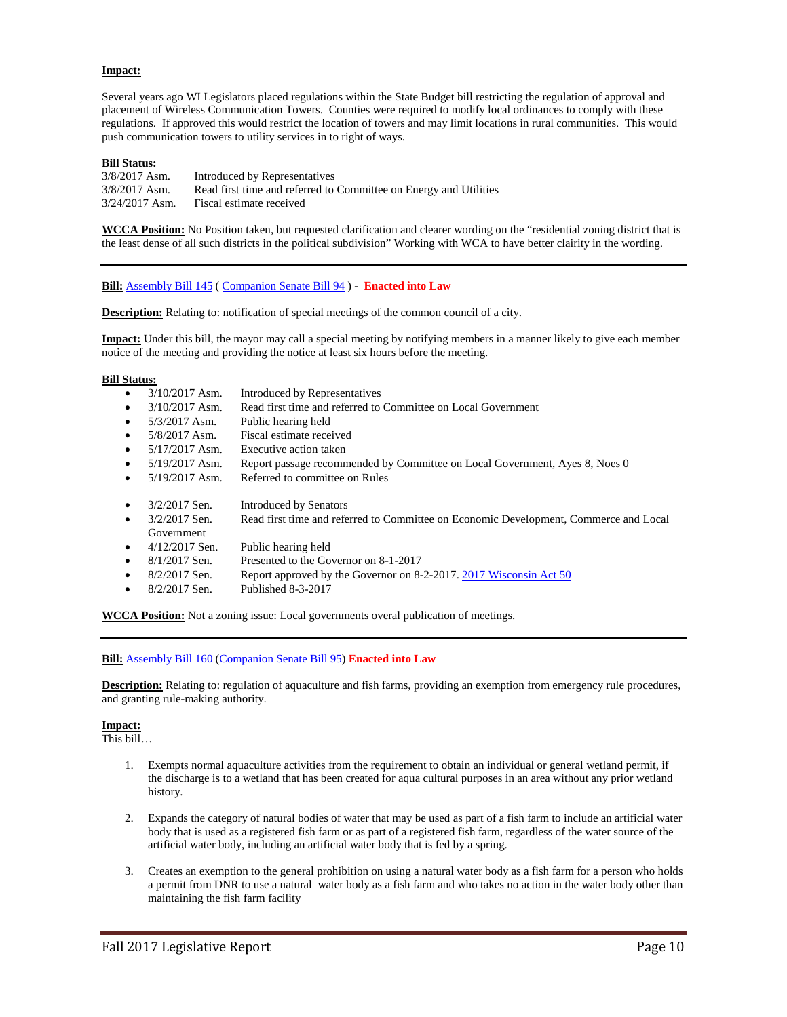# **Impact:**

Several years ago WI Legislators placed regulations within the State Budget bill restricting the regulation of approval and placement of Wireless Communication Towers. Counties were required to modify local ordinances to comply with these regulations. If approved this would restrict the location of towers and may limit locations in rural communities. This would push communication towers to utility services in to right of ways.

# **Bill Status:**

| $3/8/2017$ Asm.  | Introduced by Representatives                                     |
|------------------|-------------------------------------------------------------------|
| $3/8/2017$ Asm.  | Read first time and referred to Committee on Energy and Utilities |
| $3/24/2017$ Asm. | Fiscal estimate received                                          |

**WCCA Position:** No Position taken, but requested clarification and clearer wording on the "residential zoning district that is the least dense of all such districts in the political subdivision" Working with WCA to have better clairity in the wording.

# **Bill:** [Assembly Bill 145](https://docs.legis.wisconsin.gov/2017/proposals/reg/asm/bill/ab145) ( [Companion Senate Bill 94](https://docs.legis.wisconsin.gov/2017/proposals/sb94) ) - **Enacted into Law**

**Description:** Relating to: notification of special meetings of the common council of a city.

**Impact:** Under this bill, the mayor may call a special meeting by notifying members in a manner likely to give each member notice of the meeting and providing the notice at least six hours before the meeting.

#### **Bill Status:**

- 3/10/2017 Asm. Introduced by Representatives • 3/10/2017 Asm. Read first time and referred to Committee on Local Government • 5/3/2017 Asm. Public hearing held • 5/8/2017 Asm. Fiscal estimate received • 5/17/2017 Asm. Executive action taken • 5/19/2017 Asm. Report passage recommended by Committee on Local Government, Ayes 8, Noes 0 • 5/19/2017 Asm. Referred to committee on Rules • 3/2/2017 Sen. Introduced by Senators • 3/2/2017 Sen. Read first time and referred to Committee on Economic Development, Commerce and Local Government • 4/12/2017 Sen. Public hearing held
- 8/1/2017 Sen. Presented to the Governor on 8-1-2017
- 8/2/2017 Sen. Report approved by the Governor on 8-2-2017[. 2017 Wisconsin Act 50](https://docs.legis.wisconsin.gov/document/acts/2017/50)
- 8/2/2017 Sen. Published 8-3-2017

**WCCA Position:** Not a zoning issue: Local governments overal publication of meetings.

#### **Bill:** [Assembly Bill 160](https://docs.legis.wisconsin.gov/2017/proposals/reg/asm/bill/ab160) [\(Companion Senate Bill 95\)](https://docs.legis.wisconsin.gov/2017/proposals/sb95) **Enacted into Law**

**Description:** Relating to: regulation of aquaculture and fish farms, providing an exemption from emergency rule procedures, and granting rule-making authority.

#### **Impact:**

This bill…

- 1. Exempts normal aquaculture activities from the requirement to obtain an individual or general wetland permit, if the discharge is to a wetland that has been created for aqua cultural purposes in an area without any prior wetland history.
- 2. Expands the category of natural bodies of water that may be used as part of a fish farm to include an artificial water body that is used as a registered fish farm or as part of a registered fish farm, regardless of the water source of the artificial water body, including an artificial water body that is fed by a spring.
- 3. Creates an exemption to the general prohibition on using a natural water body as a fish farm for a person who holds a permit from DNR to use a natural water body as a fish farm and who takes no action in the water body other than maintaining the fish farm facility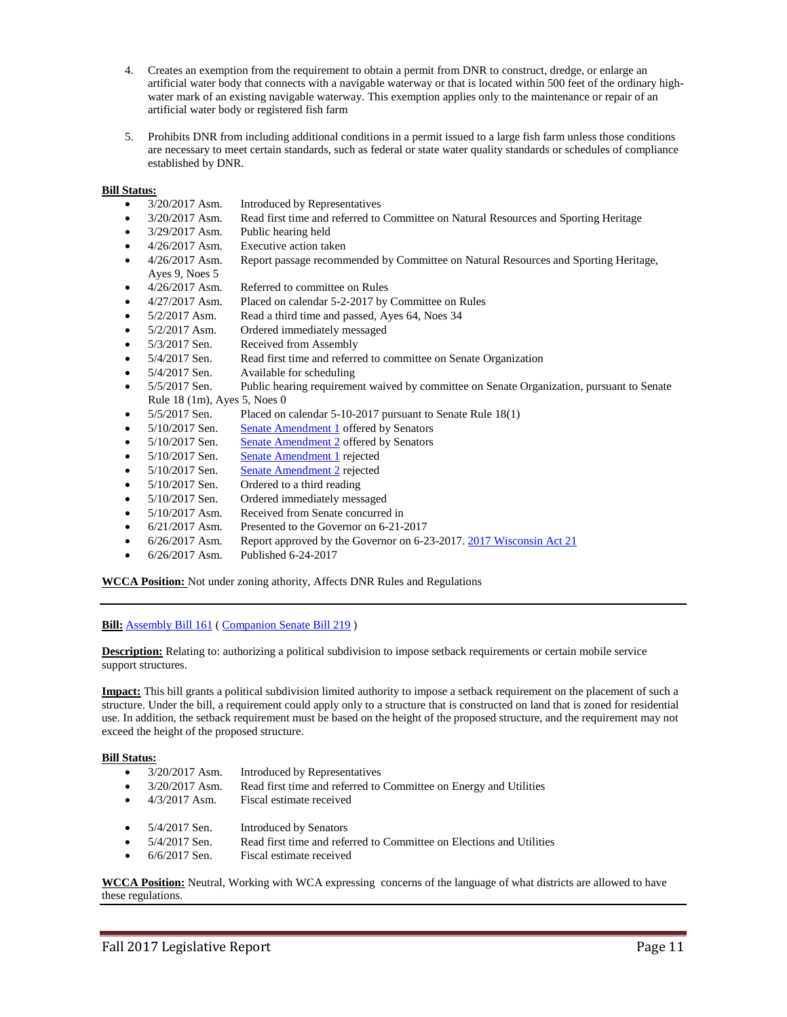- 4. Creates an exemption from the requirement to obtain a permit from DNR to construct, dredge, or enlarge an artificial water body that connects with a navigable waterway or that is located within 500 feet of the ordinary highwater mark of an existing navigable waterway. This exemption applies only to the maintenance or repair of an artificial water body or registered fish farm
- 5. Prohibits DNR from including additional conditions in a permit issued to a large fish farm unless those conditions are necessary to meet certain standards, such as federal or state water quality standards or schedules of compliance established by DNR.

- 3/20/2017 Asm. Introduced by Representatives
- 3/20/2017 Asm. Read first time and referred to Committee on Natural Resources and Sporting Heritage
- 3/29/2017 Asm. Public hearing held
- 4/26/2017 Asm. Executive action taken
- 4/26/2017 Asm. Report passage recommended by Committee on Natural Resources and Sporting Heritage, Ayes 9, Noes 5
- 4/26/2017 Asm. Referred to committee on Rules
- 4/27/2017 Asm. Placed on calendar 5-2-2017 by Committee on Rules
- 5/2/2017 Asm. Read a third time and passed, Ayes 64, Noes 34
- 5/2/2017 Asm. Ordered immediately messaged
- 5/3/2017 Sen. Received from Assembly
- 5/4/2017 Sen. Read first time and referred to committee on Senate Organization
- 5/4/2017 Sen. Available for scheduling
- 5/5/2017 Sen. Public hearing requirement waived by committee on Senate Organization, pursuant to Senate Rule 18 (1m), Ayes 5, Noes 0
- 5/5/2017 Sen. Placed on calendar 5-10-2017 pursuant to Senate Rule 18(1)
- 5/10/2017 Sen. [Senate Amendment 1](https://docs.legis.wisconsin.gov/document/amends/2017/REG/AB160-SA1) offered by Senators
- 5/10/2017 Sen. [Senate Amendment 2](https://docs.legis.wisconsin.gov/document/amends/2017/REG/AB160-SA2) offered by Senators
- 5/10/2017 Sen. [Senate Amendment 1](https://docs.legis.wisconsin.gov/document/amends/2017/REG/AB160-SA1) rejected
- 5/10/2017 Sen. [Senate Amendment 2](https://docs.legis.wisconsin.gov/document/amends/2017/REG/AB160-SA2) rejected
- 5/10/2017 Sen. Ordered to a third reading
- 5/10/2017 Sen. Ordered immediately messaged
- 5/10/2017 Asm. Received from Senate concurred in
- 6/21/2017 Asm. Presented to the Governor on 6-21-2017
- 6/26/2017 Asm. Report approved by the Governor on 6-23-2017[. 2017 Wisconsin Act 21](https://docs.legis.wisconsin.gov/document/acts/2017/21)
- 6/26/2017 Asm. Published 6-24-2017

**WCCA Position:** Not under zoning athority, Affects DNR Rules and Regulations

**Bill:** [Assembly Bill 161](https://docs.legis.wisconsin.gov/2017/proposals/reg/asm/bill/ab161) (Companion Senate Bill 219)

**Description:** Relating to: authorizing a political subdivision to impose setback requirements or certain mobile service support structures.

**Impact:** This bill grants a political subdivision limited authority to impose a setback requirement on the placement of such a structure. Under the bill, a requirement could apply only to a structure that is constructed on land that is zoned for residential use. In addition, the setback requirement must be based on the height of the proposed structure, and the requirement may not exceed the height of the proposed structure.

#### **Bill Status:**

- 3/20/2017 Asm. Introduced by Representatives
- 3/20/2017 Asm. Read first time and referred to Committee on Energy and Utilities
- 4/3/2017 Asm. Fiscal estimate received
- 5/4/2017 Sen. Introduced by Senators
- 5/4/2017 Sen. Read first time and referred to Committee on Elections and Utilities
- 6/6/2017 Sen. Fiscal estimate received

**WCCA Position:** Neutral, Working with WCA expressing concerns of the language of what districts are allowed to have these regulations.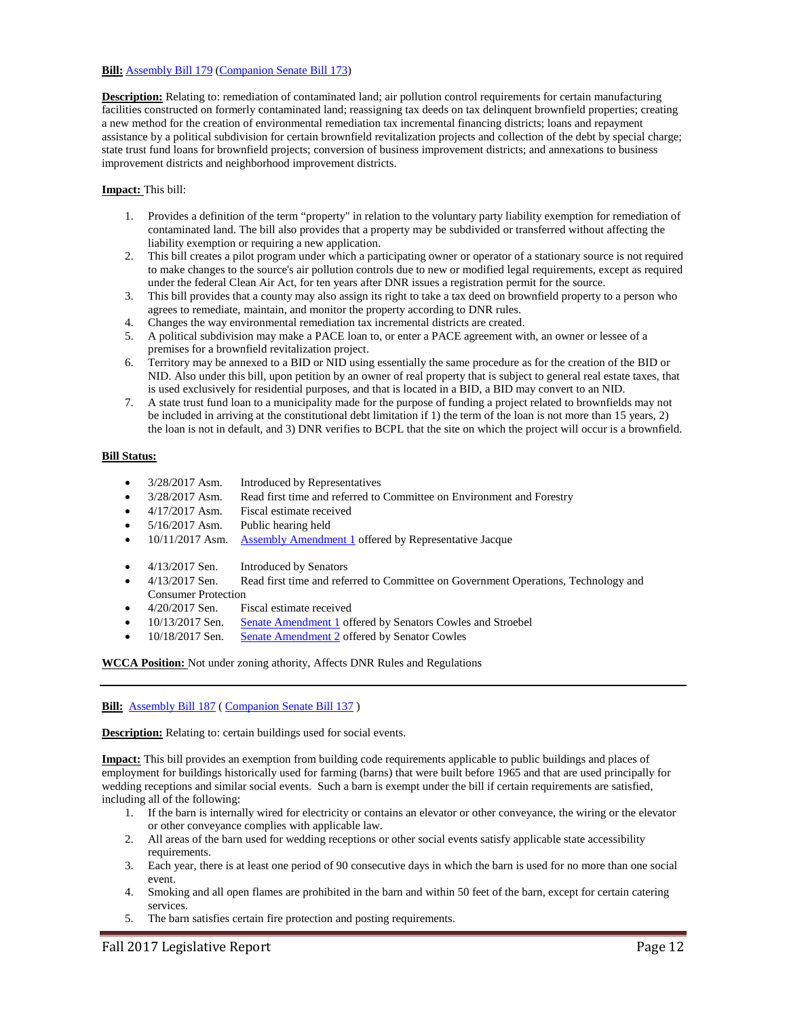# **Bill:** [Assembly Bill 179](https://docs.legis.wisconsin.gov/2017/proposals/reg/asm/bill/ab179) [\(Companion Senate Bill 173\)](https://docs.legis.wisconsin.gov/2017/proposals/sb173)

**Description:** Relating to: remediation of contaminated land; air pollution control requirements for certain manufacturing facilities constructed on formerly contaminated land; reassigning tax deeds on tax delinquent brownfield properties; creating a new method for the creation of environmental remediation tax incremental financing districts; loans and repayment assistance by a political subdivision for certain brownfield revitalization projects and collection of the debt by special charge; state trust fund loans for brownfield projects; conversion of business improvement districts; and annexations to business improvement districts and neighborhood improvement districts.

# **Impact:** This bill:

- 1. Provides a definition of the term "property" in relation to the voluntary party liability exemption for remediation of contaminated land. The bill also provides that a property may be subdivided or transferred without affecting the liability exemption or requiring a new application.
- 2. This bill creates a pilot program under which a participating owner or operator of a stationary source is not required to make changes to the source's air pollution controls due to new or modified legal requirements, except as required under the federal Clean Air Act, for ten years after DNR issues a registration permit for the source.
- 3. This bill provides that a county may also assign its right to take a tax deed on brownfield property to a person who agrees to remediate, maintain, and monitor the property according to DNR rules.
- 4. Changes the way environmental remediation tax incremental districts are created.
- 5. A political subdivision may make a PACE loan to, or enter a PACE agreement with, an owner or lessee of a premises for a brownfield revitalization project.
- 6. Territory may be annexed to a BID or NID using essentially the same procedure as for the creation of the BID or NID. Also under this bill, upon petition by an owner of real property that is subject to general real estate taxes, that is used exclusively for residential purposes, and that is located in a BID, a BID may convert to an NID.
- 7. A state trust fund loan to a municipality made for the purpose of funding a project related to brownfields may not be included in arriving at the constitutional debt limitation if 1) the term of the loan is not more than 15 years, 2) the loan is not in default, and 3) DNR verifies to BCPL that the site on which the project will occur is a brownfield.

# **Bill Status:**

- 3/28/2017 Asm. Introduced by Representatives
- 3/28/2017 Asm. Read first time and referred to Committee on Environment and Forestry
- 4/17/2017 Asm. Fiscal estimate received
- 5/16/2017 Asm. Public hearing held
- 10/11/2017 Asm. [Assembly Amendment 1](https://docs.legis.wisconsin.gov/document/amends/2017/REG/AB179-AA1) offered by Representative Jacque
- 4/13/2017 Sen. Introduced by Senators
- 4/13/2017 Sen. Read first time and referred to Committee on Government Operations, Technology and Consumer Protection
- 4/20/2017 Sen. Fiscal estimate received
- 10/13/2017 Sen. [Senate Amendment 1](https://docs.legis.wisconsin.gov/document/amends/2017/REG/SB173-SA1) offered by Senators Cowles and Stroebel
- 10/18/2017 Sen. [Senate Amendment 2](https://docs.legis.wisconsin.gov/document/amends/2017/REG/SB173-SA2) offered by Senator Cowles

**WCCA Position:** Not under zoning athority, Affects DNR Rules and Regulations

# **Bill:** [Assembly Bill 187](https://docs.legis.wisconsin.gov/2017/proposals/reg/asm/bill/ab187) [\( Companion Senate Bill 137](https://docs.legis.wisconsin.gov/2017/proposals/sb137) )

**Description:** Relating to: certain buildings used for social events.

**Impact:** This bill provides an exemption from building code requirements applicable to public buildings and places of employment for buildings historically used for farming (barns) that were built before 1965 and that are used principally for wedding receptions and similar social events. Such a barn is exempt under the bill if certain requirements are satisfied, including all of the following:

- 1. If the barn is internally wired for electricity or contains an elevator or other conveyance, the wiring or the elevator or other conveyance complies with applicable law.
- 2. All areas of the barn used for wedding receptions or other social events satisfy applicable state accessibility requirements.
- 3. Each year, there is at least one period of 90 consecutive days in which the barn is used for no more than one social event.
- 4. Smoking and all open flames are prohibited in the barn and within 50 feet of the barn, except for certain catering services.
- 5. The barn satisfies certain fire protection and posting requirements.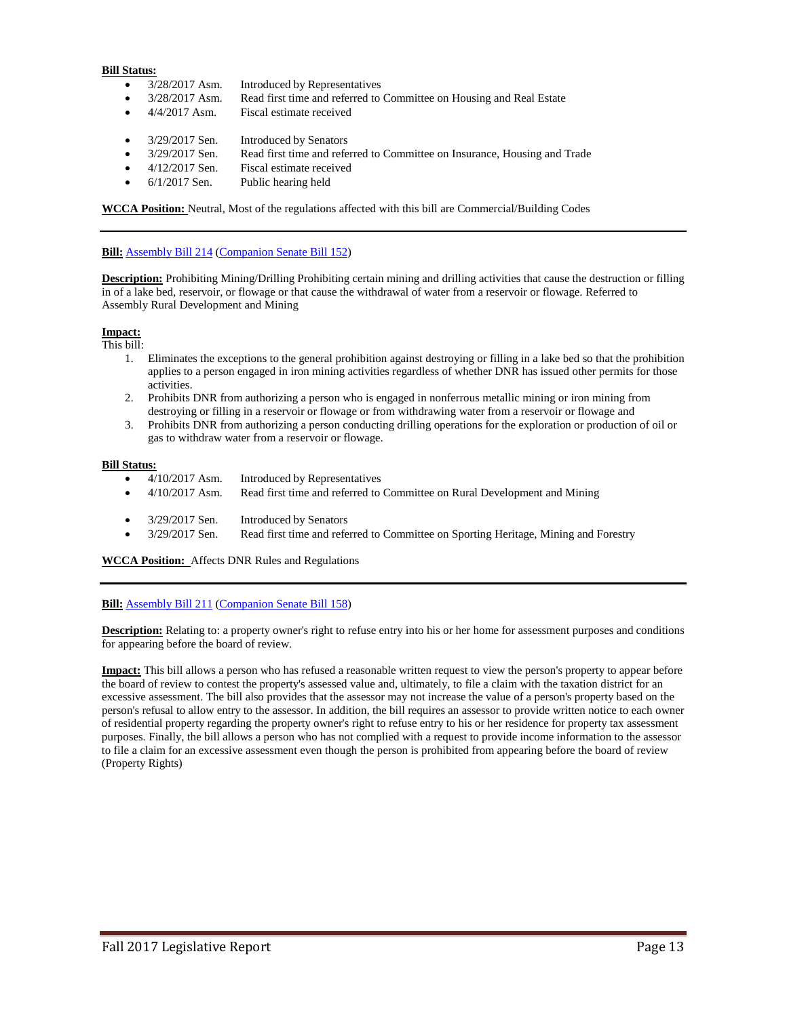- 3/28/2017 Asm. Introduced by Representatives
- 3/28/2017 Asm. Read first time and referred to Committee on Housing and Real Estate
- 4/4/2017 Asm. Fiscal estimate received
- 3/29/2017 Sen. Introduced by Senators
- 3/29/2017 Sen. Read first time and referred to Committee on Insurance, Housing and Trade
- 4/12/2017 Sen. Fiscal estimate received
- 6/1/2017 Sen. Public hearing held

**WCCA Position:** Neutral, Most of the regulations affected with this bill are Commercial/Building Codes

# **Bill:** [Assembly Bill 214](https://docs.legis.wisconsin.gov/2017/proposals/reg/asm/bill/ab214) [\(Companion Senate Bill 152\)](https://docs.legis.wisconsin.gov/2017/proposals/sb152)

**Description:** Prohibiting Mining/Drilling Prohibiting certain mining and drilling activities that cause the destruction or filling in of a lake bed, reservoir, or flowage or that cause the withdrawal of water from a reservoir or flowage. Referred to Assembly Rural Development and Mining

# **Impact:**

This bill:

- 1. Eliminates the exceptions to the general prohibition against destroying or filling in a lake bed so that the prohibition applies to a person engaged in iron mining activities regardless of whether DNR has issued other permits for those activities.
- 2. Prohibits DNR from authorizing a person who is engaged in nonferrous metallic mining or iron mining from destroying or filling in a reservoir or flowage or from withdrawing water from a reservoir or flowage and
- 3. Prohibits DNR from authorizing a person conducting drilling operations for the exploration or production of oil or gas to withdraw water from a reservoir or flowage.

#### **Bill Status:**

- 4/10/2017 Asm. Introduced by Representatives
- 4/10/2017 Asm. Read first time and referred to Committee on Rural Development and Mining
- 3/29/2017 Sen. Introduced by Senators
- 3/29/2017 Sen. Read first time and referred to Committee on Sporting Heritage, Mining and Forestry

**WCCA Position:** Affects DNR Rules and Regulations

#### **Bill:** [Assembly Bill 211](https://docs.legis.wisconsin.gov/2017/proposals/reg/asm/bill/ab211) [\(Companion Senate Bill 158\)](https://docs.legis.wisconsin.gov/2017/proposals/sb158)

**Description:** Relating to: a property owner's right to refuse entry into his or her home for assessment purposes and conditions for appearing before the board of review.

**Impact:** This bill allows a person who has refused a reasonable written request to view the person's property to appear before the board of review to contest the property's assessed value and, ultimately, to file a claim with the taxation district for an excessive assessment. The bill also provides that the assessor may not increase the value of a person's property based on the person's refusal to allow entry to the assessor. In addition, the bill requires an assessor to provide written notice to each owner of residential property regarding the property owner's right to refuse entry to his or her residence for property tax assessment purposes. Finally, the bill allows a person who has not complied with a request to provide income information to the assessor to file a claim for an excessive assessment even though the person is prohibited from appearing before the board of review (Property Rights)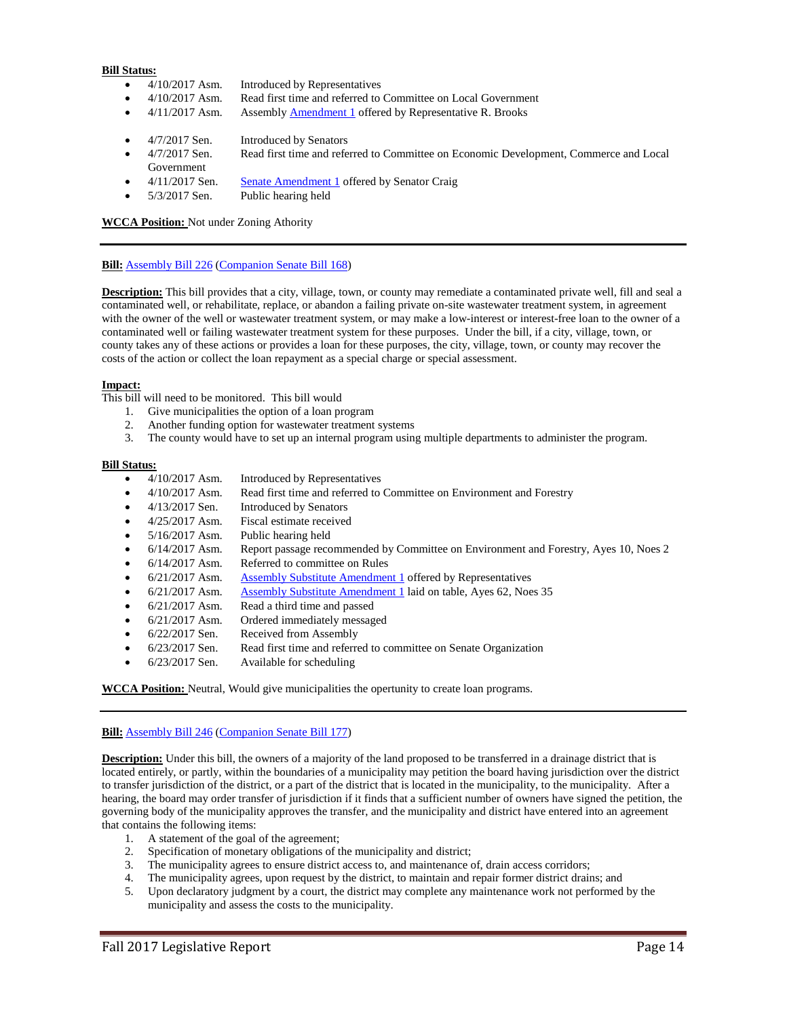- 4/10/2017 Asm. Introduced by Representatives
- 4/10/2017 Asm. Read first time and referred to Committee on Local Government
	- 4/11/2017 Asm. Assembl[y Amendment 1](https://docs.legis.wisconsin.gov/document/amends/2017/REG/AB211-AA1) offered by Representative [R. Brooks](https://docs.legis.wisconsin.gov/document/legislator/2017/1545)
- 4/7/2017 Sen. Introduced by Senators
- 4/7/2017 Sen. Read first time and referred to Committee on Economic Development, Commerce and Local Government
- 4/11/2017 Sen. [Senate Amendment 1](https://docs.legis.wisconsin.gov/document/amends/2017/REG/SB158-SA1) offered by Senator Craig
- 5/3/2017 Sen. Public hearing held

**WCCA Position:** Not under Zoning Athority

# **Bill:** [Assembly Bill 226](https://docs.legis.wisconsin.gov/2017/proposals/reg/asm/bill/ab226) [\(Companion Senate Bill 168\)](https://docs.legis.wisconsin.gov/2017/proposals/sb168)

**Description:** This bill provides that a city, village, town, or county may remediate a contaminated private well, fill and seal a contaminated well, or rehabilitate, replace, or abandon a failing private on-site wastewater treatment system, in agreement with the owner of the well or wastewater treatment system, or may make a low-interest or interest-free loan to the owner of a contaminated well or failing wastewater treatment system for these purposes. Under the bill, if a city, village, town, or county takes any of these actions or provides a loan for these purposes, the city, village, town, or county may recover the costs of the action or collect the loan repayment as a special charge or special assessment.

#### **Impact:**

This bill will need to be monitored. This bill would

- 1. Give municipalities the option of a loan program
- 2. Another funding option for wastewater treatment systems
- 3. The county would have to set up an internal program using multiple departments to administer the program.

#### **Bill Status:**

- 4/10/2017 Asm. Introduced by Representatives
- 4/10/2017 Asm. Read first time and referred to Committee on Environment and Forestry
- 4/13/2017 Sen. Introduced by Senators
- 4/25/2017 Asm. Fiscal estimate received
- 5/16/2017 Asm. Public hearing held
- 6/14/2017 Asm. Report passage recommended by Committee on Environment and Forestry, Ayes 10, Noes 2
- 6/14/2017 Asm. Referred to committee on Rules
- 6/21/2017 Asm. [Assembly Substitute Amendment 1](https://docs.legis.wisconsin.gov/document/amends/2017/REG/AB226-ASA1) offered by Representatives
- 6/21/2017 Asm. [Assembly Substitute Amendment 1](https://docs.legis.wisconsin.gov/document/amends/2017/REG/AB226-ASA1) laid on table, Ayes 62, Noes 35
- 6/21/2017 Asm. Read a third time and passed
- 6/21/2017 Asm. Ordered immediately messaged
- 6/22/2017 Sen. Received from Assembly
- 6/23/2017 Sen. Read first time and referred to committee on Senate Organization
- 6/23/2017 Sen. Available for scheduling

#### **WCCA Position:** Neutral, Would give municipalities the opertunity to create loan programs.

#### **Bill:** [Assembly Bill 246](https://docs.legis.wisconsin.gov/2017/proposals/reg/asm/bill/ab246) [\(Companion Senate Bill 177\)](https://docs.legis.wisconsin.gov/2017/proposals/sb177)

**Description:** Under this bill, the owners of a majority of the land proposed to be transferred in a drainage district that is located entirely, or partly, within the boundaries of a municipality may petition the board having jurisdiction over the district to transfer jurisdiction of the district, or a part of the district that is located in the municipality, to the municipality. After a hearing, the board may order transfer of jurisdiction if it finds that a sufficient number of owners have signed the petition, the governing body of the municipality approves the transfer, and the municipality and district have entered into an agreement that contains the following items:

- 1. A statement of the goal of the agreement;
- 2. Specification of monetary obligations of the municipality and district;
- 3. The municipality agrees to ensure district access to, and maintenance of, drain access corridors;
- 4. The municipality agrees, upon request by the district, to maintain and repair former district drains; and
- 5. Upon declaratory judgment by a court, the district may complete any maintenance work not performed by the municipality and assess the costs to the municipality.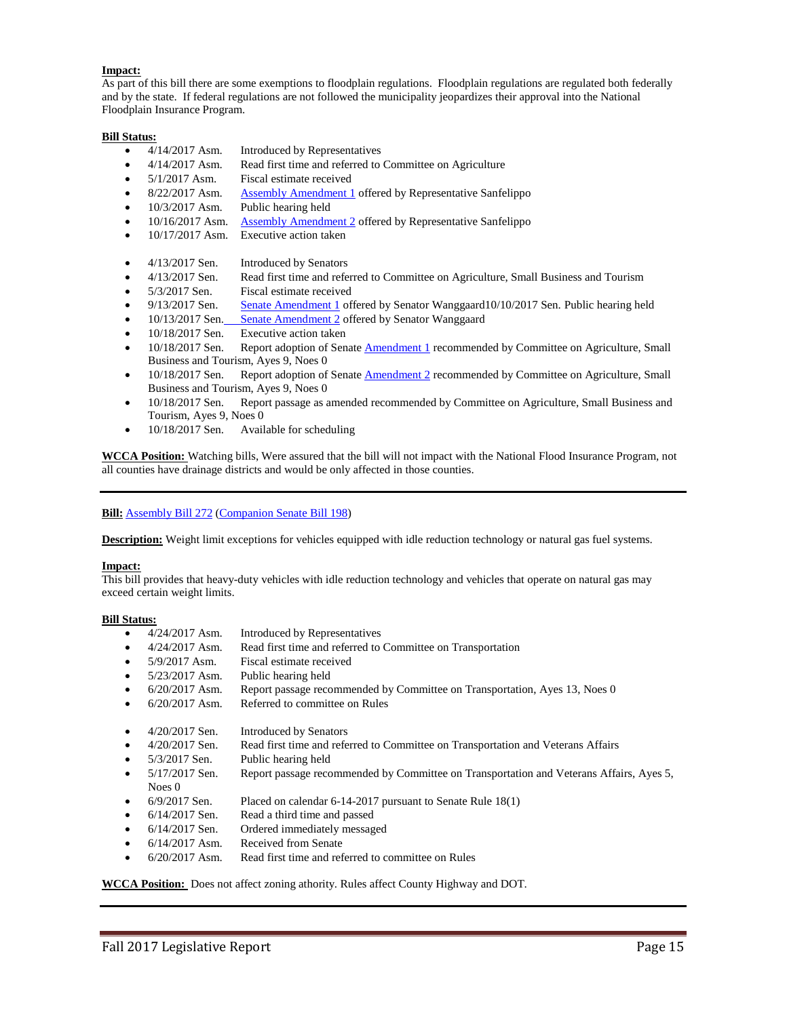# **Impact:**

As part of this bill there are some exemptions to floodplain regulations. Floodplain regulations are regulated both federally and by the state. If federal regulations are not followed the municipality jeopardizes their approval into the National Floodplain Insurance Program.

# **Bill Status:**

- 4/14/2017 Asm. Introduced by Representatives
- 4/14/2017 Asm. Read first time and referred to Committee on Agriculture
- 5/1/2017 Asm. Fiscal estimate received
- 8/22/2017 Asm. [Assembly Amendment 1](https://docs.legis.wisconsin.gov/document/amends/2017/REG/AB246-AA1) offered by Representative Sanfelippo
- 10/3/2017 Asm. Public hearing held
- 10/16/2017 Asm. [Assembly Amendment 2](https://docs.legis.wisconsin.gov/document/amends/2017/REG/AB246-AA2) offered by Representative Sanfelippo
- 10/17/2017 Asm. Executive action taken
- 4/13/2017 Sen. Introduced by Senators
- 4/13/2017 Sen. Read first time and referred to Committee on Agriculture, Small Business and Tourism
- 5/3/2017 Sen. Fiscal estimate received
- 9/13/2017 Sen. [Senate Amendment 1](https://docs.legis.wisconsin.gov/document/amends/2017/REG/SB177-SA1) offered by Senator Wanggaard10/10/2017 Sen. Public hearing held
- 10/13/2017 Sen. [Senate Amendment 2](https://docs.legis.wisconsin.gov/document/amends/2017/REG/SB177-SA2) offered by Senator Wanggaard
- 10/18/2017 Sen. Executive action taken
- 10/18/2017 Sen. Report adoption of Senat[e Amendment 1](https://docs.legis.wisconsin.gov/document/amends/2017/REG/SB177-SA1) recommended by Committee on Agriculture, Small Business and Tourism, Ayes 9, Noes 0
- 10/18/2017 Sen. Report adoption of Senat[e Amendment 2](https://docs.legis.wisconsin.gov/document/amends/2017/REG/SB177-SA2) recommended by Committee on Agriculture, Small Business and Tourism, Ayes 9, Noes 0
- 10/18/2017 Sen. Report passage as amended recommended by Committee on Agriculture, Small Business and Tourism, Ayes 9, Noes 0
- 10/18/2017 Sen. Available for scheduling

**WCCA Position:** Watching bills, Were assured that the bill will not impact with the National Flood Insurance Program, not all counties have drainage districts and would be only affected in those counties.

#### **Bill:** [Assembly Bill 272](https://docs.legis.wisconsin.gov/2017/proposals/reg/asm/bill/ab272) [\(Companion Senate Bill 198\)](https://docs.legis.wisconsin.gov/2017/proposals/sb198)

**Description:** Weight limit exceptions for vehicles equipped with idle reduction technology or natural gas fuel systems.

#### **Impact:**

This bill provides that heavy-duty vehicles with idle reduction technology and vehicles that operate on natural gas may exceed certain weight limits.

#### **Bill Status:**

- 4/24/2017 Asm. Introduced by Representatives
- 4/24/2017 Asm. Read first time and referred to Committee on Transportation
- 5/9/2017 Asm. Fiscal estimate received
- 5/23/2017 Asm. Public hearing held
- 6/20/2017 Asm. Report passage recommended by Committee on Transportation, Ayes 13, Noes 0
- 6/20/2017 Asm. Referred to committee on Rules
- 4/20/2017 Sen. Introduced by Senators
- 4/20/2017 Sen. Read first time and referred to Committee on Transportation and Veterans Affairs
- 5/3/2017 Sen. Public hearing held
- 5/17/2017 Sen. Report passage recommended by Committee on Transportation and Veterans Affairs, Ayes 5, Noes 0
- 6/9/2017 Sen. Placed on calendar 6-14-2017 pursuant to Senate Rule 18(1)
- 6/14/2017 Sen. Read a third time and passed
- 6/14/2017 Sen. Ordered immediately messaged
- 6/14/2017 Asm. Received from Senate
- 6/20/2017 Asm. Read first time and referred to committee on Rules

**WCCA Position:** Does not affect zoning athority. Rules affect County Highway and DOT.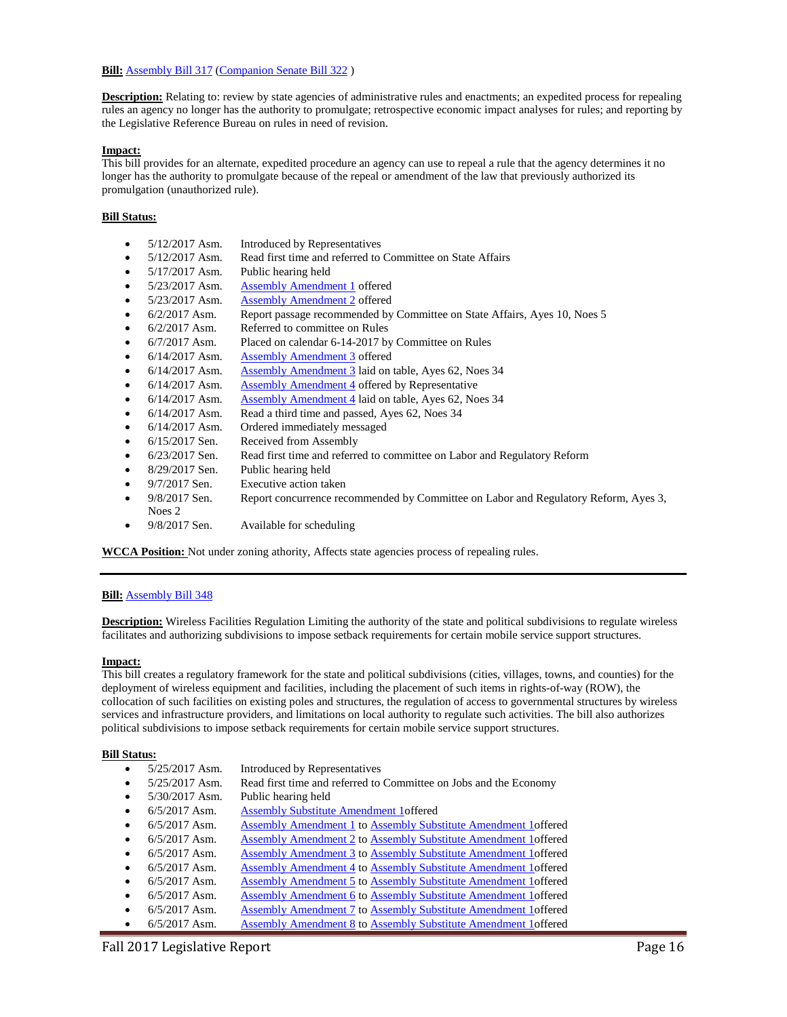#### **Bill:** [Assembly Bill 317](https://docs.legis.wisconsin.gov/2017/proposals/reg/asm/bill/ab317) [\(Companion Senate Bill 322](https://docs.legis.wisconsin.gov/2017/proposals/sb322))

**Description:** Relating to: review by state agencies of administrative rules and enactments; an expedited process for repealing rules an agency no longer has the authority to promulgate; retrospective economic impact analyses for rules; and reporting by the Legislative Reference Bureau on rules in need of revision.

### **Impact:**

This bill provides for an alternate, expedited procedure an agency can use to repeal a rule that the agency determines it no longer has the authority to promulgate because of the repeal or amendment of the law that previously authorized its promulgation (unauthorized rule).

# **Bill Status:**

- 5/12/2017 Asm. Introduced by Representatives
- 5/12/2017 Asm. Read first time and referred to Committee on State Affairs
- 5/17/2017 Asm. Public hearing held
- 5/23/2017 Asm. [Assembly Amendment 1](https://docs.legis.wisconsin.gov/document/amends/2017/REG/AB317-AA1) offered
- 5/23/2017 Asm. [Assembly Amendment 2](https://docs.legis.wisconsin.gov/document/amends/2017/REG/AB317-AA2) offered
- 6/2/2017 Asm. Report passage recommended by Committee on State Affairs, Ayes 10, Noes 5
- 6/2/2017 Asm. Referred to committee on Rules
- 6/7/2017 Asm. Placed on calendar 6-14-2017 by Committee on Rules
- 6/14/2017 Asm. [Assembly Amendment 3](https://docs.legis.wisconsin.gov/document/amends/2017/REG/AB317-AA3) offered
- 6/14/2017 Asm. [Assembly Amendment 3](https://docs.legis.wisconsin.gov/document/amends/2017/REG/AB317-AA3) laid on table, Ayes 62, Noes 34
- $6/14/2017$  Asm. [Assembly Amendment 4](https://docs.legis.wisconsin.gov/document/amends/2017/REG/AB317-AA4) offered by Representative
- 6/14/2017 Asm. [Assembly Amendment 4](https://docs.legis.wisconsin.gov/document/amends/2017/REG/AB317-AA4) laid on table, Ayes 62, Noes 34
- 6/14/2017 Asm. Read a third time and passed, Ayes 62, Noes 34
- 6/14/2017 Asm. Ordered immediately messaged
- 6/15/2017 Sen. Received from Assembly
- 6/23/2017 Sen. Read first time and referred to committee on Labor and Regulatory Reform
- 8/29/2017 Sen. Public hearing held
- 9/7/2017 Sen. Executive action taken
- 9/8/2017 Sen. Report concurrence recommended by Committee on Labor and Regulatory Reform, Ayes 3,
- 9/8/2017 Sen. Available for scheduling

**WCCA Position:** Not under zoning athority, Affects state agencies process of repealing rules.

#### **Bill:** [Assembly Bill 348](https://docs.legis.wisconsin.gov/2017/proposals/reg/asm/bill/ab348)

Noes 2

**Description:** Wireless Facilities Regulation Limiting the authority of the state and political subdivisions to regulate wireless facilitates and authorizing subdivisions to impose setback requirements for certain mobile service support structures.

#### **Impact:**

This bill creates a regulatory framework for the state and political subdivisions (cities, villages, towns, and counties) for the deployment of wireless equipment and facilities, including the placement of such items in rights-of-way (ROW), the collocation of such facilities on existing poles and structures, the regulation of access to governmental structures by wireless services and infrastructure providers, and limitations on local authority to regulate such activities. The bill also authorizes political subdivisions to impose setback requirements for certain mobile service support structures.

- 5/25/2017 Asm. Introduced by Representatives
- 5/25/2017 Asm. Read first time and referred to Committee on Jobs and the Economy
- 5/30/2017 Asm. Public hearing held
- 6/5/2017 Asm. [Assembly Substitute Amendment 1o](https://docs.legis.wisconsin.gov/document/amends/2017/REG/AB348-ASA1)ffered
- 6/5/2017 Asm. [Assembly Amendment 1](https://docs.legis.wisconsin.gov/document/amends/2017/REG/AB348-ASA1-AA1) t[o Assembly Substitute Amendment 1o](https://docs.legis.wisconsin.gov/document/amends/2017/REG/AB348-ASA1)ffered
- 6/5/2017 Asm. [Assembly Amendment 2](https://docs.legis.wisconsin.gov/document/amends/2017/REG/AB348-ASA1-AA2) t[o Assembly Substitute Amendment 1o](https://docs.legis.wisconsin.gov/document/amends/2017/REG/AB348-ASA1)ffered
- 6/5/2017 Asm. [Assembly Amendment 3](https://docs.legis.wisconsin.gov/document/amends/2017/REG/AB348-ASA1-AA3) t[o Assembly Substitute Amendment 1o](https://docs.legis.wisconsin.gov/document/amends/2017/REG/AB348-ASA1)ffered
- 6/5/2017 Asm. [Assembly Amendment 4](https://docs.legis.wisconsin.gov/document/amends/2017/REG/AB348-ASA1-AA4) t[o Assembly Substitute Amendment 1o](https://docs.legis.wisconsin.gov/document/amends/2017/REG/AB348-ASA1)ffered
- 6/5/2017 Asm. [Assembly Amendment 5](https://docs.legis.wisconsin.gov/document/amends/2017/REG/AB348-ASA1-AA5) t[o Assembly Substitute Amendment 1o](https://docs.legis.wisconsin.gov/document/amends/2017/REG/AB348-ASA1)ffered
- 6/5/2017 Asm. [Assembly Amendment 6](https://docs.legis.wisconsin.gov/document/amends/2017/REG/AB348-ASA1-AA6) t[o Assembly Substitute Amendment 1o](https://docs.legis.wisconsin.gov/document/amends/2017/REG/AB348-ASA1)ffered
- 6/5/2017 Asm. [Assembly Amendment 7](https://docs.legis.wisconsin.gov/document/amends/2017/REG/AB348-ASA1-AA7) t[o Assembly Substitute Amendment 1o](https://docs.legis.wisconsin.gov/document/amends/2017/REG/AB348-ASA1)ffered
- 6/5/2017 Asm. [Assembly Amendment 8](https://docs.legis.wisconsin.gov/document/amends/2017/REG/AB348-ASA1-AA8) to Assembly Substitute Amendment 1 offered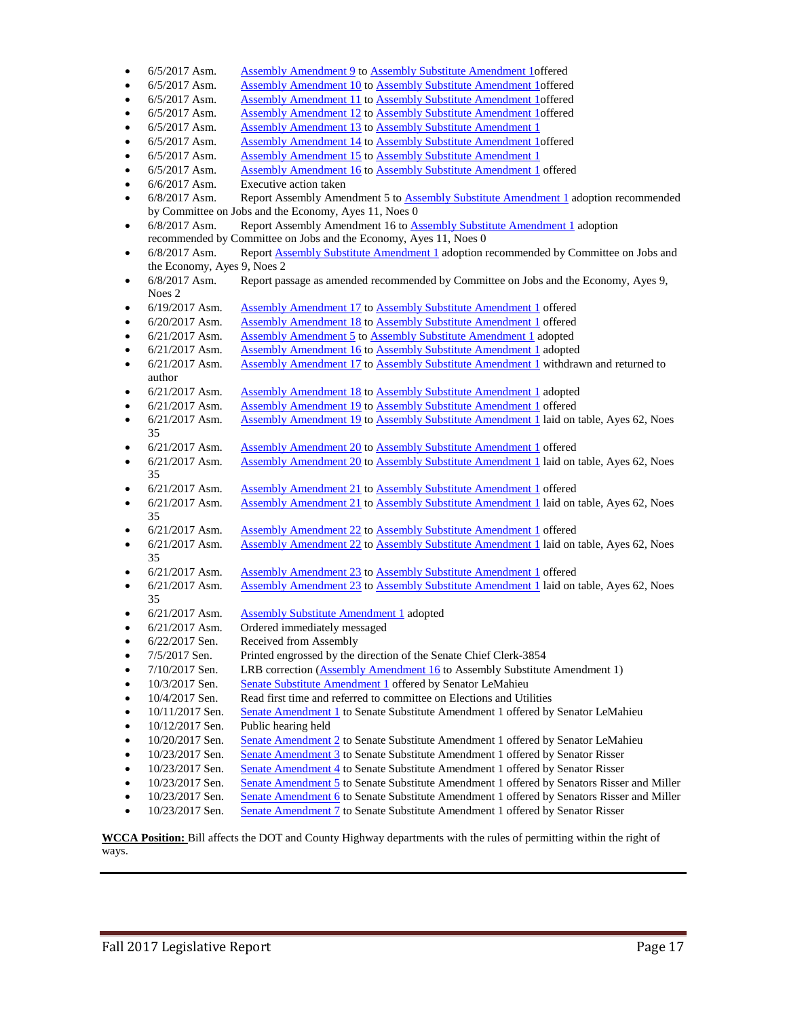| $6/5/2017$ Asm. | Assembly Amendment 9 to Assembly Substitute Amendment 1 offered |  |  |  |
|-----------------|-----------------------------------------------------------------|--|--|--|
|                 |                                                                 |  |  |  |

- 6/5/2017 Asm. [Assembly Amendment 10](https://docs.legis.wisconsin.gov/document/amends/2017/REG/AB348-ASA1-AA10) t[o Assembly Substitute Amendment 1o](https://docs.legis.wisconsin.gov/document/amends/2017/REG/AB348-ASA1)ffered
- 6/5/2017 Asm. [Assembly Amendment 11](https://docs.legis.wisconsin.gov/document/amends/2017/REG/AB348-ASA1-AA11) t[o Assembly Substitute Amendment 1o](https://docs.legis.wisconsin.gov/document/amends/2017/REG/AB348-ASA1)ffered
- 6/5/2017 Asm. [Assembly Amendment 12](https://docs.legis.wisconsin.gov/document/amends/2017/REG/AB348-ASA1-AA12) t[o Assembly Substitute Amendment 1o](https://docs.legis.wisconsin.gov/document/amends/2017/REG/AB348-ASA1)ffered
- 6/5/2017 Asm. [Assembly Amendment 13](https://docs.legis.wisconsin.gov/document/amends/2017/REG/AB348-ASA1-AA13) t[o Assembly Substitute Amendment 1](https://docs.legis.wisconsin.gov/document/amends/2017/REG/AB348-ASA1)
- 6/5/2017 Asm. [Assembly Amendment 14](https://docs.legis.wisconsin.gov/document/amends/2017/REG/AB348-ASA1-AA14) t[o Assembly Substitute Amendment 1o](https://docs.legis.wisconsin.gov/document/amends/2017/REG/AB348-ASA1)ffered
- 6/5/2017 Asm. [Assembly Amendment 15](https://docs.legis.wisconsin.gov/document/amends/2017/REG/AB348-ASA1-AA15) t[o Assembly Substitute Amendment 1](https://docs.legis.wisconsin.gov/document/amends/2017/REG/AB348-ASA1)
- 6/5/2017 Asm. [Assembly Amendment 16](https://docs.legis.wisconsin.gov/document/amends/2017/REG/AB348-ASA1-AA16) t[o Assembly Substitute Amendment 1](https://docs.legis.wisconsin.gov/document/amends/2017/REG/AB348-ASA1) offered
- 6/6/2017 Asm. Executive action taken
- 6/8/2017 Asm. Report Assembly Amendment 5 to [Assembly Substitute Amendment 1](https://docs.legis.wisconsin.gov/document/amends/2017/REG/AB348-ASA1) adoption recommended by Committee on Jobs and the Economy, Ayes 11, Noes 0
- 6/8/2017 Asm. Report Assembly Amendment 16 t[o Assembly Substitute Amendment 1](https://docs.legis.wisconsin.gov/document/amends/2017/REG/AB348-ASA1) adoption recommended by Committee on Jobs and the Economy, Ayes 11, Noes 0
- 6/8/2017 Asm. Report **Assembly Substitute Amendment 1** adoption recommended by Committee on Jobs and the Economy, Ayes 9, Noes 2
- 6/8/2017 Asm. Report passage as amended recommended by Committee on Jobs and the Economy, Ayes 9, Noes 2
- 6/19/2017 Asm. [Assembly Amendment 17](https://docs.legis.wisconsin.gov/document/amends/2017/REG/AB348-ASA1-AA17) t[o Assembly Substitute Amendment 1](https://docs.legis.wisconsin.gov/document/amends/2017/REG/AB348-ASA1) offered
- 6/20/2017 Asm. [Assembly Amendment 18](https://docs.legis.wisconsin.gov/document/amends/2017/REG/AB348-ASA1-AA18) t[o Assembly Substitute Amendment 1](https://docs.legis.wisconsin.gov/document/amends/2017/REG/AB348-ASA1) offered
- 6/21/2017 Asm. [Assembly Amendment 5](https://docs.legis.wisconsin.gov/document/amends/2017/REG/AB348-ASA1-AA5) t[o Assembly Substitute Amendment 1](https://docs.legis.wisconsin.gov/document/amends/2017/REG/AB348-ASA1) adopted
- 6/21/2017 Asm. [Assembly Amendment 16](https://docs.legis.wisconsin.gov/document/amends/2017/REG/AB348-ASA1-AA16) t[o Assembly Substitute Amendment 1](https://docs.legis.wisconsin.gov/document/amends/2017/REG/AB348-ASA1) adopted
- 6/21/2017 Asm. [Assembly Amendment 17](https://docs.legis.wisconsin.gov/document/amends/2017/REG/AB348-ASA1-AA17) t[o Assembly Substitute Amendment 1](https://docs.legis.wisconsin.gov/document/amends/2017/REG/AB348-ASA1) withdrawn and returned to author
- 6/21/2017 Asm. [Assembly Amendment 18](https://docs.legis.wisconsin.gov/document/amends/2017/REG/AB348-ASA1-AA18) t[o Assembly Substitute Amendment 1](https://docs.legis.wisconsin.gov/document/amends/2017/REG/AB348-ASA1) adopted
- 6/21/2017 Asm. [Assembly Amendment 19](https://docs.legis.wisconsin.gov/document/amends/2017/REG/AB348-ASA1-AA19) t[o Assembly Substitute Amendment 1](https://docs.legis.wisconsin.gov/document/amends/2017/REG/AB348-ASA1) offered
- 6/21/2017 Asm. [Assembly Amendment 19](https://docs.legis.wisconsin.gov/document/amends/2017/REG/AB348-ASA1-AA19) t[o Assembly Substitute Amendment 1](https://docs.legis.wisconsin.gov/document/amends/2017/REG/AB348-ASA1) laid on table, Ayes 62, Noes 35
- 6/21/2017 Asm. [Assembly Amendment 20](https://docs.legis.wisconsin.gov/document/amends/2017/REG/AB348-ASA1-AA20) t[o Assembly Substitute Amendment 1](https://docs.legis.wisconsin.gov/document/amends/2017/REG/AB348-ASA1) offered
- 6/21/2017 Asm. [Assembly Amendment 20](https://docs.legis.wisconsin.gov/document/amends/2017/REG/AB348-ASA1-AA20) t[o Assembly Substitute Amendment 1](https://docs.legis.wisconsin.gov/document/amends/2017/REG/AB348-ASA1) laid on table, Ayes 62, Noes 35
- $6/21/2017$  Asm. [Assembly Amendment 21](https://docs.legis.wisconsin.gov/document/amends/2017/REG/AB348-ASA1-AA21) t[o Assembly Substitute Amendment 1](https://docs.legis.wisconsin.gov/document/amends/2017/REG/AB348-ASA1) offered  $6/21/2017$  Asm. Assembly Amendment 21 to Assembly Substitute Amendment 1 laid on
- [Assembly Amendment 21](https://docs.legis.wisconsin.gov/document/amends/2017/REG/AB348-ASA1-AA21) t[o Assembly Substitute Amendment 1](https://docs.legis.wisconsin.gov/document/amends/2017/REG/AB348-ASA1) laid on table, Ayes 62, Noes 35
- 6/21/2017 Asm. [Assembly Amendment 22](https://docs.legis.wisconsin.gov/document/amends/2017/REG/AB348-ASA1-AA22) t[o Assembly Substitute Amendment 1](https://docs.legis.wisconsin.gov/document/amends/2017/REG/AB348-ASA1) offered • 6/21/2017 Asm. [Assembly Amendment 22](https://docs.legis.wisconsin.gov/document/amends/2017/REG/AB348-ASA1-AA22) t[o Assembly Substitute Amendment 1](https://docs.legis.wisconsin.gov/document/amends/2017/REG/AB348-ASA1) laid on table, Ayes 62, Noes
- 6/21/2017 Asm. [Assembly Amendment 23](https://docs.legis.wisconsin.gov/document/amends/2017/REG/AB348-ASA1-AA23) t[o Assembly Substitute Amendment 1](https://docs.legis.wisconsin.gov/document/amends/2017/REG/AB348-ASA1) offered
- 6/21/2017 Asm. [Assembly Amendment 23](https://docs.legis.wisconsin.gov/document/amends/2017/REG/AB348-ASA1-AA23) t[o Assembly Substitute Amendment 1](https://docs.legis.wisconsin.gov/document/amends/2017/REG/AB348-ASA1) laid on table, Ayes 62, Noes 35
- 6/21/2017 Asm. [Assembly Substitute Amendment 1](https://docs.legis.wisconsin.gov/document/amends/2017/REG/AB348-ASA1) adopted
- 6/21/2017 Asm. Ordered immediately messaged
- 6/22/2017 Sen. Received from Assembly

35

- 7/5/2017 Sen. Printed engrossed by the direction of the Senate Chief Clerk-3854
- 7/10/2017 Sen. LRB correction [\(Assembly Amendment 16](https://docs.legis.wisconsin.gov/document/amends/2017/REG/AB348-ASA1-AA16) to Assembly Substitute Amendment 1)
- 10/3/2017 Sen. [Senate Substitute Amendment 1](https://docs.legis.wisconsin.gov/document/amends/2017/REG/AB348-SSA1) offered by Senator LeMahieu
- 10/4/2017 Sen. Read first time and referred to committee on Elections and Utilities
- 10/11/2017 Sen. [Senate Amendment 1](https://docs.legis.wisconsin.gov/document/amends/2017/REG/AB348-SSA1-SA1) to Senate Substitute Amendment 1 offered by Senator LeMahieu
- 10/12/2017 Sen. Public hearing held
- 10/20/2017 Sen. [Senate Amendment 2](https://docs.legis.wisconsin.gov/document/amends/2017/REG/AB348-SSA1-SA2) to Senate Substitute Amendment 1 offered by Senator LeMahieu
- 10/23/2017 Sen. [Senate Amendment 3](https://docs.legis.wisconsin.gov/document/amends/2017/REG/AB348-SSA1-SA3) to Senate Substitute Amendment 1 offered by Senator Risser
- 10/23/2017 Sen. [Senate Amendment 4](https://docs.legis.wisconsin.gov/document/amends/2017/REG/AB348-SSA1-SA4) to Senate Substitute Amendment 1 offered by Senator Risser
- 10/23/2017 Sen. [Senate Amendment 5](https://docs.legis.wisconsin.gov/document/amends/2017/REG/AB348-SSA1-SA5) to Senate Substitute Amendment 1 offered by Senators Risser and Miller
- 10/23/2017 Sen. [Senate Amendment 6](https://docs.legis.wisconsin.gov/document/amends/2017/REG/AB348-SSA1-SA6) to Senate Substitute Amendment 1 offered by Senators Risser and Miller
- 10/23/2017 Sen. [Senate Amendment 7](https://docs.legis.wisconsin.gov/document/amends/2017/REG/AB348-SSA1-SA7) to Senate Substitute Amendment 1 offered by Senator Risser

**WCCA Position:** Bill affects the DOT and County Highway departments with the rules of permitting within the right of ways.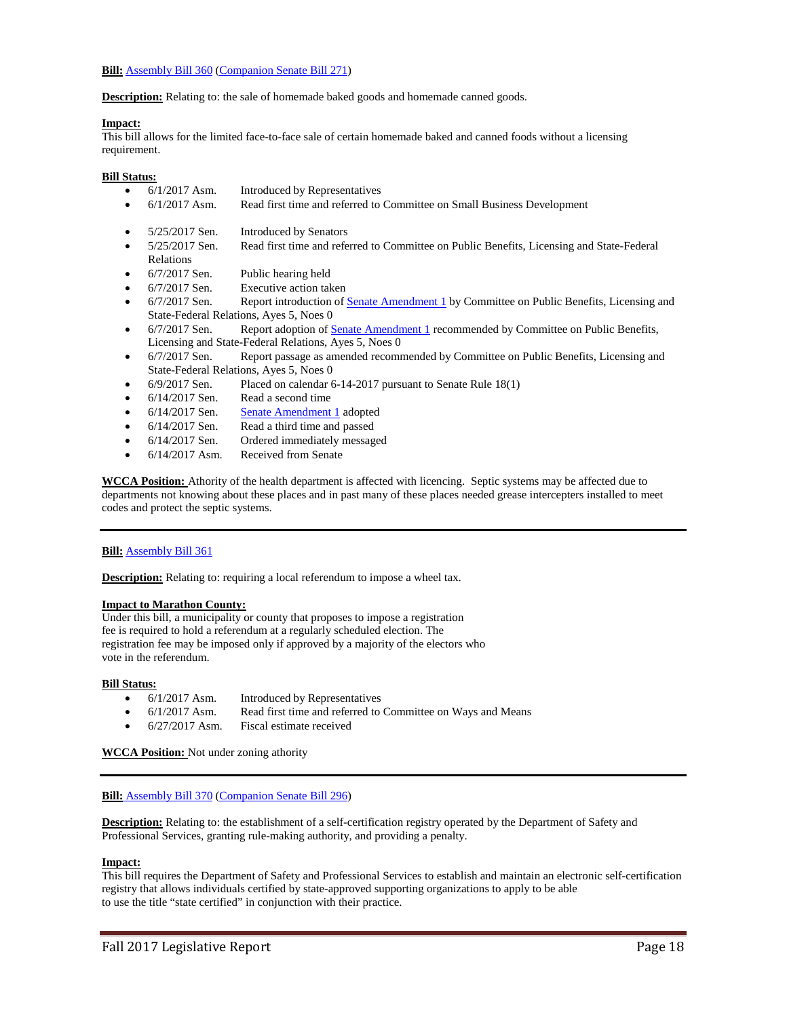**Bill:** [Assembly Bill 360](https://docs.legis.wisconsin.gov/2017/proposals/reg/asm/bill/ab360) [\(Companion Senate Bill 271\)](https://docs.legis.wisconsin.gov/2017/proposals/sb271)

**Description:** Relating to: the sale of homemade baked goods and homemade canned goods.

## **Impact:**

This bill allows for the limited face-to-face sale of certain homemade baked and canned foods without a licensing requirement.

#### **Bill Status:**

- 6/1/2017 Asm. Introduced by Representatives
- 6/1/2017 Asm. Read first time and referred to Committee on Small Business Development
- 5/25/2017 Sen. Introduced by Senators
- 5/25/2017 Sen. Read first time and referred to Committee on Public Benefits, Licensing and State-Federal Relations
- 6/7/2017 Sen. Public hearing held
- 6/7/2017 Sen. Executive action taken
- 6/7/2017 Sen. Report introduction of [Senate Amendment 1](https://docs.legis.wisconsin.gov/document/amends/2017/REG/SB271-SA1) by Committee on Public Benefits, Licensing and State-Federal Relations, Ayes 5, Noes 0
- 6/7/2017 Sen. Report adoption o[f Senate Amendment 1](https://docs.legis.wisconsin.gov/document/amends/2017/REG/SB271-SA1) recommended by Committee on Public Benefits, Licensing and State-Federal Relations, Ayes 5, Noes 0
- 6/7/2017 Sen. Report passage as amended recommended by Committee on Public Benefits, Licensing and State-Federal Relations, Ayes 5, Noes 0
- 6/9/2017 Sen. Placed on calendar 6-14-2017 pursuant to Senate Rule 18(1)
- 6/14/2017 Sen. Read a second time
- 6/14/2017 Sen. [Senate Amendment 1](https://docs.legis.wisconsin.gov/document/amends/2017/REG/SB271-SA1) adopted
- 6/14/2017 Sen. Read a third time and passed
- 6/14/2017 Sen. Ordered immediately messaged
- 6/14/2017 Asm. Received from Senate

**WCCA Position:** Athority of the health department is affected with licencing. Septic systems may be affected due to departments not knowing about these places and in past many of these places needed grease intercepters installed to meet codes and protect the septic systems.

#### **Bill:** [Assembly Bill 361](https://docs.legis.wisconsin.gov/2017/proposals/reg/asm/bill/ab361)

**Description:** Relating to: requiring a local referendum to impose a wheel tax.

#### **Impact to Marathon County:**

Under this bill, a municipality or county that proposes to impose a registration fee is required to hold a referendum at a regularly scheduled election. The registration fee may be imposed only if approved by a majority of the electors who vote in the referendum.

#### **Bill Status:**

- 6/1/2017 Asm. Introduced by Representatives
- 6/1/2017 Asm. Read first time and referred to Committee on Ways and Means
- 6/27/2017 Asm. Fiscal estimate received

**WCCA Position:** Not under zoning athority

#### **Bill:** [Assembly Bill 370](https://docs.legis.wisconsin.gov/2017/proposals/reg/asm/bill/ab370) [\(Companion Senate Bill 296\)](https://docs.legis.wisconsin.gov/2017/proposals/sb296)

**Description:** Relating to: the establishment of a self-certification registry operated by the Department of Safety and Professional Services, granting rule-making authority, and providing a penalty.

#### **Impact:**

This bill requires the Department of Safety and Professional Services to establish and maintain an electronic self-certification registry that allows individuals certified by state-approved supporting organizations to apply to be able to use the title "state certified" in conjunction with their practice.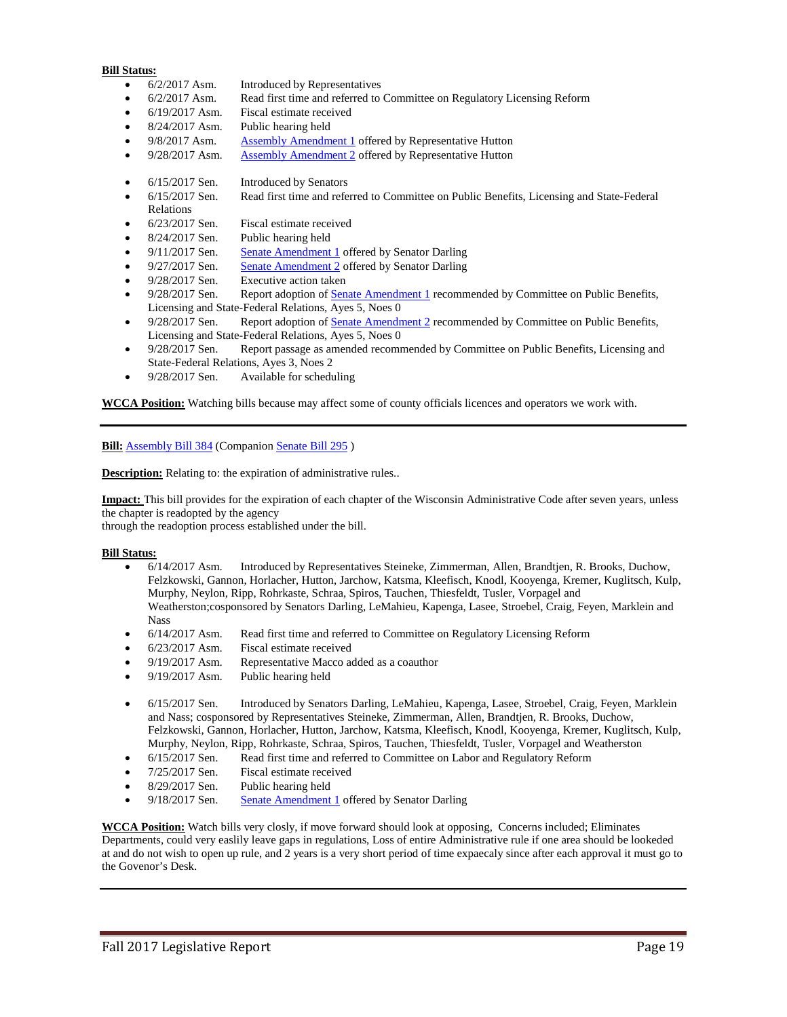- 6/2/2017 Asm. Introduced by Representatives
- 6/2/2017 Asm. Read first time and referred to Committee on Regulatory Licensing Reform
- 6/19/2017 Asm. Fiscal estimate received
- 8/24/2017 Asm. Public hearing held
- 9/8/2017 Asm. [Assembly Amendment 1](https://docs.legis.wisconsin.gov/document/amends/2017/REG/AB370-AA1) offered by Representative Hutton
- 9/28/2017 Asm. [Assembly Amendment 2](https://docs.legis.wisconsin.gov/document/amends/2017/REG/AB370-AA2) offered by Representative Hutton
- 6/15/2017 Sen. Introduced by Senators
- 6/15/2017 Sen. Read first time and referred to Committee on Public Benefits, Licensing and State-Federal Relations
- 6/23/2017 Sen. Fiscal estimate received
- 8/24/2017 Sen. Public hearing held
- 9/11/2017 Sen. [Senate Amendment 1](https://docs.legis.wisconsin.gov/document/amends/2017/REG/SB296-SA1) offered by Senator Darling
- 9/27/2017 Sen. [Senate Amendment 2](https://docs.legis.wisconsin.gov/document/amends/2017/REG/SB296-SA2) offered by Senator Darling
- 9/28/2017 Sen. Executive action taken
- 9/28/2017 Sen. Report adoption o[f Senate Amendment 1](https://docs.legis.wisconsin.gov/document/amends/2017/REG/SB296-SA1) recommended by Committee on Public Benefits, Licensing and State-Federal Relations, Ayes 5, Noes 0
- 9/28/2017 Sen. Report adoption o[f Senate Amendment 2](https://docs.legis.wisconsin.gov/document/amends/2017/REG/SB296-SA2) recommended by Committee on Public Benefits, Licensing and State-Federal Relations, Ayes 5, Noes 0
- 9/28/2017 Sen. Report passage as amended recommended by Committee on Public Benefits, Licensing and State-Federal Relations, Ayes 3, Noes 2
- 9/28/2017 Sen. Available for scheduling

**WCCA Position:** Watching bills because may affect some of county officials licences and operators we work with.

**Bill:** [Assembly Bill 384](https://docs.legis.wisconsin.gov/2017/proposals/reg/asm/bill/ab384) (Companion [Senate Bill 295](https://docs.legis.wisconsin.gov/2017/proposals/sb295) )

**Description:** Relating to: the expiration of administrative rules..

**Impact:** This bill provides for the expiration of each chapter of the Wisconsin Administrative Code after seven years, unless the chapter is readopted by the agency

through the readoption process established under the bill.

#### **Bill Status:**

- 6/14/2017 Asm. Introduced by Representatives Steineke, Zimmerman, Allen, Brandtjen, R. Brooks, Duchow, Felzkowski, Gannon, Horlacher, Hutton, Jarchow, Katsma, Kleefisch, Knodl, Kooyenga, Kremer, Kuglitsch, Kulp, Murphy, Neylon, Ripp, Rohrkaste, Schraa, Spiros, Tauchen, Thiesfeldt, Tusler, Vorpagel and Weatherston;cosponsored by Senators Darling, LeMahieu, Kapenga, Lasee, Stroebel, Craig, Feyen, Marklein and Nass
- 6/14/2017 Asm. Read first time and referred to Committee on Regulatory Licensing Reform
- 6/23/2017 Asm. Fiscal estimate received
- 9/19/2017 Asm. Representative Macco added as a coauthor
- 9/19/2017 Asm. Public hearing held
- 6/15/2017 Sen. Introduced by Senators Darling, LeMahieu, Kapenga, Lasee, Stroebel, Craig, Feyen, Marklein and Nass; cosponsored by Representatives Steineke, Zimmerman, Allen, Brandtjen, R. Brooks, Duchow, Felzkowski, Gannon, Horlacher, Hutton, Jarchow, Katsma, Kleefisch, Knodl, Kooyenga, Kremer, Kuglitsch, Kulp, Murphy, Neylon, Ripp, Rohrkaste, Schraa, Spiros, Tauchen, Thiesfeldt, Tusler, Vorpagel and Weatherston
- 6/15/2017 Sen. Read first time and referred to Committee on Labor and Regulatory Reform
- 7/25/2017 Sen. Fiscal estimate received
- 8/29/2017 Sen. Public hearing held
- 9/18/2017 Sen. [Senate Amendment 1](https://docs.legis.wisconsin.gov/document/amends/2017/REG/SB295-SA1) offered by Senator Darling

**WCCA Position:** Watch bills very closly, if move forward should look at opposing, Concerns included; Eliminates Departments, could very easlily leave gaps in regulations, Loss of entire Administrative rule if one area should be lookeded at and do not wish to open up rule, and 2 years is a very short period of time expaecaly since after each approval it must go to the Govenor's Desk.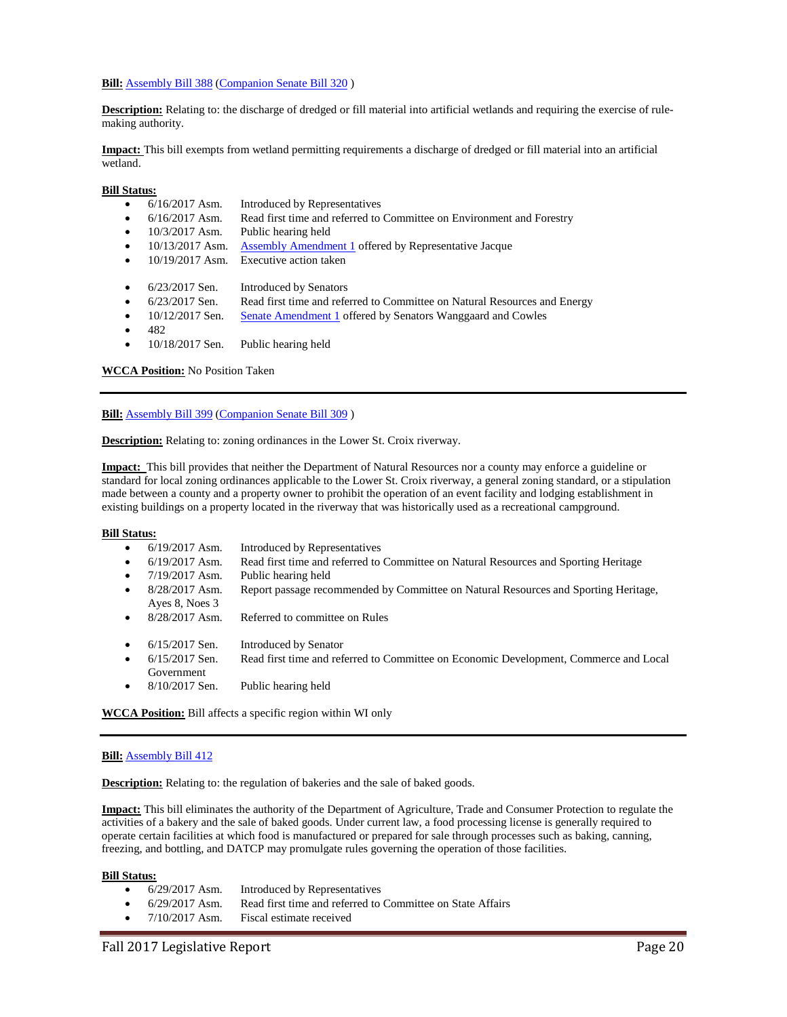#### **Bill:** [Assembly Bill 388](https://docs.legis.wisconsin.gov/2017/proposals/reg/asm/bill/ab388) [\(Companion Senate Bill 320](https://docs.legis.wisconsin.gov/2017/proposals/sb320))

**Description:** Relating to: the discharge of dredged or fill material into artificial wetlands and requiring the exercise of rulemaking authority.

**Impact:** This bill exempts from wetland permitting requirements a discharge of dredged or fill material into an artificial wetland.

**Bill Status:**

- 6/16/2017 Asm. Introduced by Representatives
- 6/16/2017 Asm. Read first time and referred to Committee on Environment and Forestry
- 10/3/2017 Asm. Public hearing held
- 10/13/2017 Asm. [Assembly Amendment 1](https://docs.legis.wisconsin.gov/document/amends/2017/REG/AB388-AA1) offered by Representative Jacque
- 10/19/2017 Asm. Executive action taken
- 6/23/2017 Sen. Introduced by Senators
- 6/23/2017 Sen. Read first time and referred to Committee on Natural Resources and Energy
- 10/12/2017 Sen. [Senate Amendment 1](https://docs.legis.wisconsin.gov/document/amends/2017/REG/SB320-SA1) offered by Senators Wanggaard and Cowles
- 482
- 10/18/2017 Sen. Public hearing held

**WCCA Position:** No Position Taken

**Bill:** [Assembly Bill 399](https://docs.legis.wisconsin.gov/2017/proposals/reg/asm/bill/ab399) [\(Companion Senate Bill 309](https://docs.legis.wisconsin.gov/2017/proposals/sb309))

**Description:** Relating to: zoning ordinances in the Lower St. Croix riverway.

**Impact:** This bill provides that neither the Department of Natural Resources nor a county may enforce a guideline or standard for local zoning ordinances applicable to the Lower St. Croix riverway, a general zoning standard, or a stipulation made between a county and a property owner to prohibit the operation of an event facility and lodging establishment in existing buildings on a property located in the riverway that was historically used as a recreational campground.

#### **Bill Status:**

- 6/19/2017 Asm. Introduced by Representatives
- 6/19/2017 Asm. Read first time and referred to Committee on Natural Resources and Sporting Heritage
- 7/19/2017 Asm. Public hearing held
- 8/28/2017 Asm. Report passage recommended by Committee on Natural Resources and Sporting Heritage,
- Ayes 8, Noes 3 • 8/28/2017 Asm. Referred to committee on Rules
- 6/15/2017 Sen. Introduced by Senator
- 6/15/2017 Sen. Read first time and referred to Committee on Economic Development, Commerce and Local Government
- 8/10/2017 Sen. Public hearing held

**WCCA Position:** Bill affects a specific region within WI only

#### **Bill:** [Assembly Bill 412](https://docs.legis.wisconsin.gov/2017/proposals/reg/asm/bill/ab412)

**Description:** Relating to: the regulation of bakeries and the sale of baked goods.

**Impact:** This bill eliminates the authority of the Department of Agriculture, Trade and Consumer Protection to regulate the activities of a bakery and the sale of baked goods. Under current law, a food processing license is generally required to operate certain facilities at which food is manufactured or prepared for sale through processes such as baking, canning, freezing, and bottling, and DATCP may promulgate rules governing the operation of those facilities.

- 6/29/2017 Asm. Introduced by Representatives
- 6/29/2017 Asm. Read first time and referred to Committee on State Affairs
- 7/10/2017 Asm. Fiscal estimate received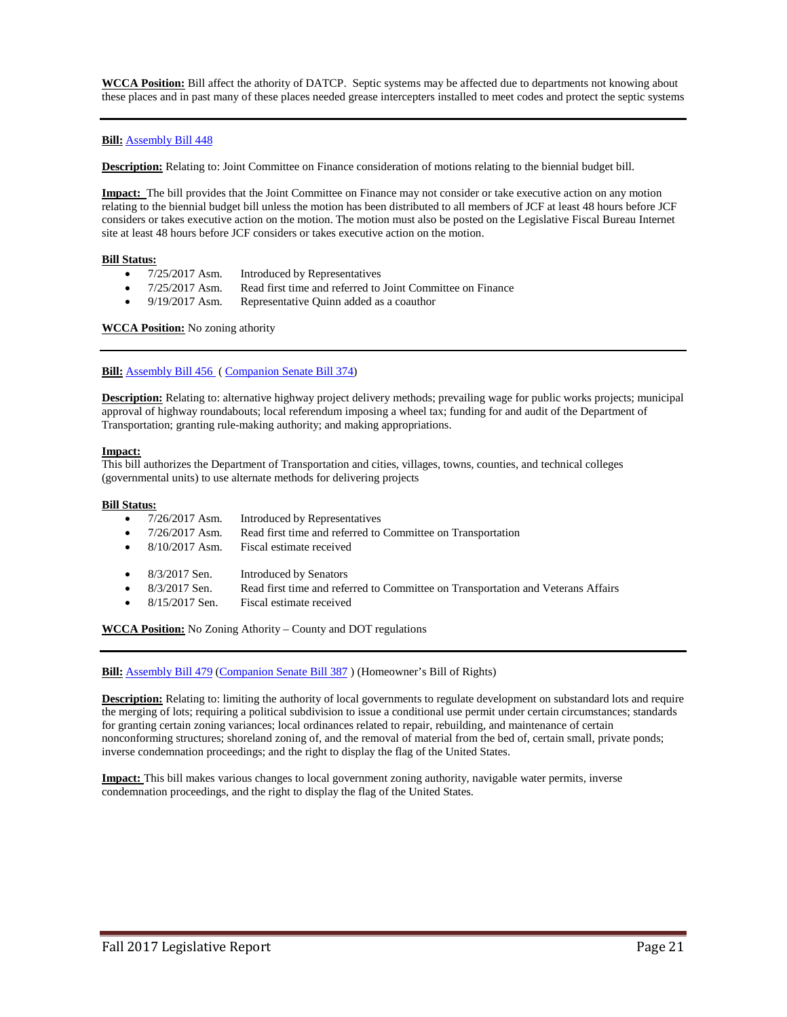**WCCA Position:** Bill affect the athority of DATCP. Septic systems may be affected due to departments not knowing about these places and in past many of these places needed grease intercepters installed to meet codes and protect the septic systems

# **Bill:** [Assembly Bill 448](https://docs.legis.wisconsin.gov/2017/proposals/reg/asm/bill/ab448)

**Description:** Relating to: Joint Committee on Finance consideration of motions relating to the biennial budget bill.

**Impact:** The bill provides that the Joint Committee on Finance may not consider or take executive action on any motion relating to the biennial budget bill unless the motion has been distributed to all members of JCF at least 48 hours before JCF considers or takes executive action on the motion. The motion must also be posted on the Legislative Fiscal Bureau Internet site at least 48 hours before JCF considers or takes executive action on the motion.

#### **Bill Status:**

- 7/25/2017 Asm. Introduced by Representatives
- 7/25/2017 Asm. Read first time and referred to Joint Committee on Finance
- 9/19/2017 Asm. Representative Quinn added as a coauthor

**WCCA Position:** No zoning athority

# **Bill:** [Assembly Bill 456](https://docs.legis.wisconsin.gov/2017/proposals/ab456) [\( Companion Senate Bill 374\)](https://docs.legis.wisconsin.gov/2017/proposals/reg/sen/bill/sb374)

**Description:** Relating to: alternative highway project delivery methods; prevailing wage for public works projects; municipal approval of highway roundabouts; local referendum imposing a wheel tax; funding for and audit of the Department of Transportation; granting rule-making authority; and making appropriations.

#### **Impact:**

This bill authorizes the Department of Transportation and cities, villages, towns, counties, and technical colleges (governmental units) to use alternate methods for delivering projects

### **Bill Status:**

• 7/26/2017 Asm. Introduced by Representatives • 7/26/2017 Asm. Read first time and referred to Committee on Transportation • 8/10/2017 Asm. Fiscal estimate received • 8/3/2017 Sen. Introduced by Senators • 8/3/2017 Sen. Read first time and referred to Committee on Transportation and Veterans Affairs • 8/15/2017 Sen. Fiscal estimate received

**WCCA Position:** No Zoning Athority – County and DOT regulations

**Bill:** [Assembly Bill 479](https://docs.legis.wisconsin.gov/2017/proposals/reg/asm/bill/ab479) [\(Companion Senate Bill 387](https://docs.legis.wisconsin.gov/2017/proposals/sb387) ) (Homeowner's Bill of Rights)

**Description:** Relating to: limiting the authority of local governments to regulate development on substandard lots and require the merging of lots; requiring a political subdivision to issue a conditional use permit under certain circumstances; standards for granting certain zoning variances; local ordinances related to repair, rebuilding, and maintenance of certain nonconforming structures; shoreland zoning of, and the removal of material from the bed of, certain small, private ponds; inverse condemnation proceedings; and the right to display the flag of the United States.

**Impact:** This bill makes various changes to local government zoning authority, navigable water permits, inverse condemnation proceedings, and the right to display the flag of the United States.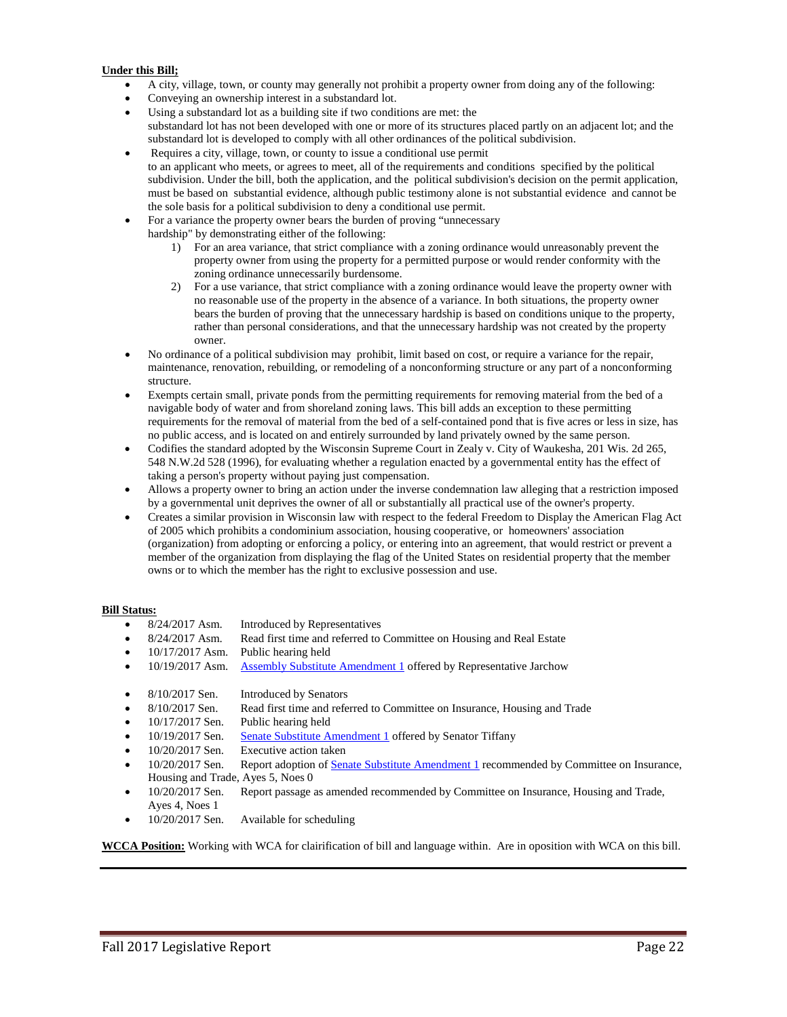# **Under this Bill;**

- A city, village, town, or county may generally not prohibit a property owner from doing any of the following:
- Conveying an ownership interest in a substandard lot.
- Using a substandard lot as a building site if two conditions are met: the substandard lot has not been developed with one or more of its structures placed partly on an adjacent lot; and the substandard lot is developed to comply with all other ordinances of the political subdivision.
- Requires a city, village, town, or county to issue a conditional use permit to an applicant who meets, or agrees to meet, all of the requirements and conditions specified by the political subdivision. Under the bill, both the application, and the political subdivision's decision on the permit application, must be based on substantial evidence, although public testimony alone is not substantial evidence and cannot be the sole basis for a political subdivision to deny a conditional use permit.
- For a variance the property owner bears the burden of proving "unnecessary
	- hardship" by demonstrating either of the following:
		- 1) For an area variance, that strict compliance with a zoning ordinance would unreasonably prevent the property owner from using the property for a permitted purpose or would render conformity with the zoning ordinance unnecessarily burdensome.
		- 2) For a use variance, that strict compliance with a zoning ordinance would leave the property owner with no reasonable use of the property in the absence of a variance. In both situations, the property owner bears the burden of proving that the unnecessary hardship is based on conditions unique to the property, rather than personal considerations, and that the unnecessary hardship was not created by the property owner.
- No ordinance of a political subdivision may prohibit, limit based on cost, or require a variance for the repair, maintenance, renovation, rebuilding, or remodeling of a nonconforming structure or any part of a nonconforming structure.
- Exempts certain small, private ponds from the permitting requirements for removing material from the bed of a navigable body of water and from shoreland zoning laws. This bill adds an exception to these permitting requirements for the removal of material from the bed of a self-contained pond that is five acres or less in size, has no public access, and is located on and entirely surrounded by land privately owned by the same person.
- Codifies the standard adopted by the Wisconsin Supreme Court in Zealy v. City of Waukesha, 201 Wis. 2d 265, 548 N.W.2d 528 (1996), for evaluating whether a regulation enacted by a governmental entity has the effect of taking a person's property without paying just compensation.
- Allows a property owner to bring an action under the inverse condemnation law alleging that a restriction imposed by a governmental unit deprives the owner of all or substantially all practical use of the owner's property.
- Creates a similar provision in Wisconsin law with respect to the federal Freedom to Display the American Flag Act of 2005 which prohibits a condominium association, housing cooperative, or homeowners' association (organization) from adopting or enforcing a policy, or entering into an agreement, that would restrict or prevent a member of the organization from displaying the flag of the United States on residential property that the member owns or to which the member has the right to exclusive possession and use.

# **Bill Status:**

- 8/24/2017 Asm. Introduced by Representatives
- 8/24/2017 Asm. Read first time and referred to Committee on Housing and Real Estate
- 10/17/2017 Asm. Public hearing held
- 10/19/2017 Asm. [Assembly Substitute Amendment 1](https://docs.legis.wisconsin.gov/document/amends/2017/REG/AB479-ASA1) offered by Representative Jarchow
- 8/10/2017 Sen. Introduced by Senators
- 8/10/2017 Sen. Read first time and referred to Committee on Insurance, Housing and Trade
- 10/17/2017 Sen. Public hearing held
- 10/19/2017 Sen. [Senate Substitute Amendment 1](https://docs.legis.wisconsin.gov/document/amends/2017/REG/SB387-SSA1) offered by Senator Tiffany
- 10/20/2017 Sen. Executive action taken
- 10/20/2017 Sen. Report adoption o[f Senate Substitute Amendment 1](https://docs.legis.wisconsin.gov/document/amends/2017/REG/SB387-SSA1) recommended by Committee on Insurance, Housing and Trade, Ayes 5, Noes 0
- 10/20/2017 Sen. Report passage as amended recommended by Committee on Insurance, Housing and Trade, Ayes 4, Noes 1
- 10/20/2017 Sen. Available for scheduling

**WCCA Position:** Working with WCA for clairification of bill and language within. Are in oposition with WCA on this bill.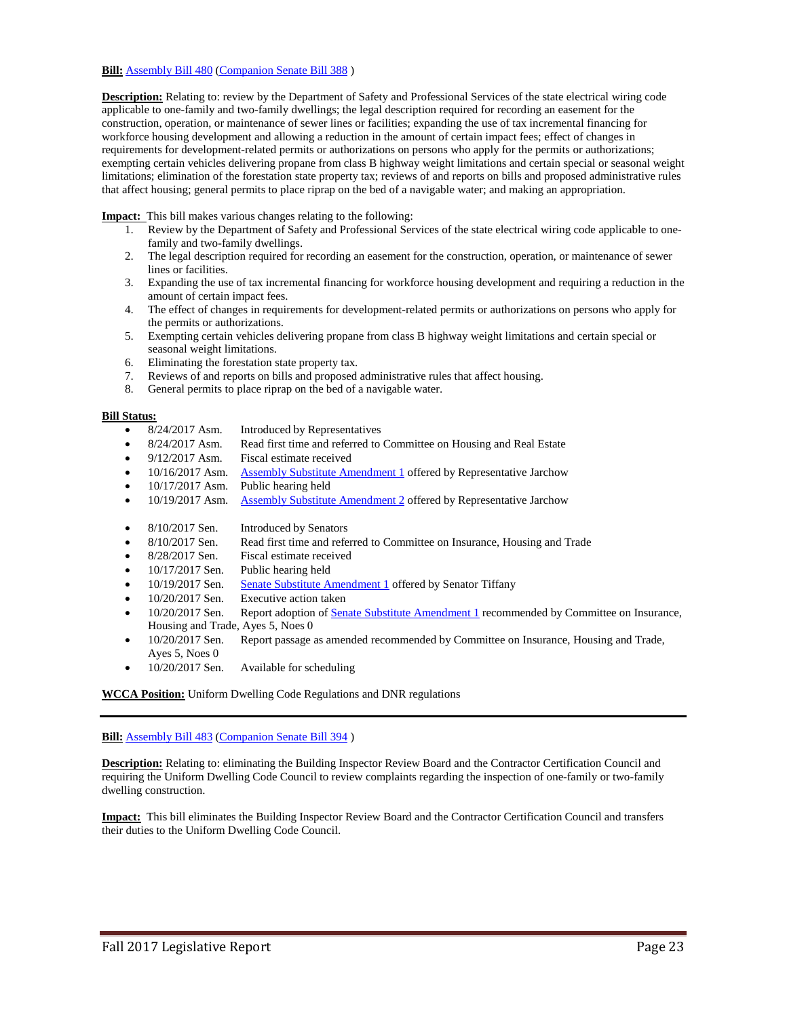# **Bill:** [Assembly Bill 480](https://docs.legis.wisconsin.gov/2017/proposals/reg/asm/bill/ab480) [\(Companion Senate Bill 388](https://docs.legis.wisconsin.gov/2017/proposals/sb388))

**Description:** Relating to: review by the Department of Safety and Professional Services of the state electrical wiring code applicable to one-family and two-family dwellings; the legal description required for recording an easement for the construction, operation, or maintenance of sewer lines or facilities; expanding the use of tax incremental financing for workforce housing development and allowing a reduction in the amount of certain impact fees; effect of changes in requirements for development-related permits or authorizations on persons who apply for the permits or authorizations; exempting certain vehicles delivering propane from class B highway weight limitations and certain special or seasonal weight limitations; elimination of the forestation state property tax; reviews of and reports on bills and proposed administrative rules that affect housing; general permits to place riprap on the bed of a navigable water; and making an appropriation.

**Impact:** This bill makes various changes relating to the following:

- 1. Review by the Department of Safety and Professional Services of the state electrical wiring code applicable to onefamily and two-family dwellings.
- 2. The legal description required for recording an easement for the construction, operation, or maintenance of sewer lines or facilities.
- 3. Expanding the use of tax incremental financing for workforce housing development and requiring a reduction in the amount of certain impact fees.
- 4. The effect of changes in requirements for development-related permits or authorizations on persons who apply for the permits or authorizations.
- 5. Exempting certain vehicles delivering propane from class B highway weight limitations and certain special or seasonal weight limitations.
- 6. Eliminating the forestation state property tax.
- 7. Reviews of and reports on bills and proposed administrative rules that affect housing.
- 8. General permits to place riprap on the bed of a navigable water.

# **Bill Status:**

- 8/24/2017 Asm. Introduced by Representatives
- 8/24/2017 Asm. Read first time and referred to Committee on Housing and Real Estate
- 9/12/2017 Asm. Fiscal estimate received
- 10/16/2017 Asm. [Assembly Substitute Amendment 1](https://docs.legis.wisconsin.gov/document/amends/2017/REG/AB480-ASA1) offered by Representative Jarchow
- 10/17/2017 Asm. Public hearing held
- 10/19/2017 Asm. [Assembly Substitute Amendment 2](https://docs.legis.wisconsin.gov/document/amends/2017/REG/AB480-ASA2) offered by Representative Jarchow
- 8/10/2017 Sen. Introduced by Senators
- 8/10/2017 Sen. Read first time and referred to Committee on Insurance, Housing and Trade
- 8/28/2017 Sen. Fiscal estimate received
- 10/17/2017 Sen. Public hearing held
- 10/19/2017 Sen. [Senate Substitute Amendment 1](https://docs.legis.wisconsin.gov/document/amends/2017/REG/SB388-SSA1) offered by Senator Tiffany
- 10/20/2017 Sen. Executive action taken
- 10/20/2017 Sen. Report adoption o[f Senate Substitute Amendment 1](https://docs.legis.wisconsin.gov/document/amends/2017/REG/SB388-SSA1) recommended by Committee on Insurance, Housing and Trade, Ayes 5, Noes 0
- 10/20/2017 Sen. Report passage as amended recommended by Committee on Insurance, Housing and Trade, Ayes 5, Noes 0
- 10/20/2017 Sen. Available for scheduling

**WCCA Position:** Uniform Dwelling Code Regulations and DNR regulations

**Bill:** [Assembly Bill 483](https://docs.legis.wisconsin.gov/2017/proposals/reg/asm/bill/ab483) [\(Companion Senate Bill 394](https://docs.legis.wisconsin.gov/2017/proposals/sb394) )

**Description:** Relating to: eliminating the Building Inspector Review Board and the Contractor Certification Council and requiring the Uniform Dwelling Code Council to review complaints regarding the inspection of one-family or two-family dwelling construction.

**Impact:** This bill eliminates the Building Inspector Review Board and the Contractor Certification Council and transfers their duties to the Uniform Dwelling Code Council.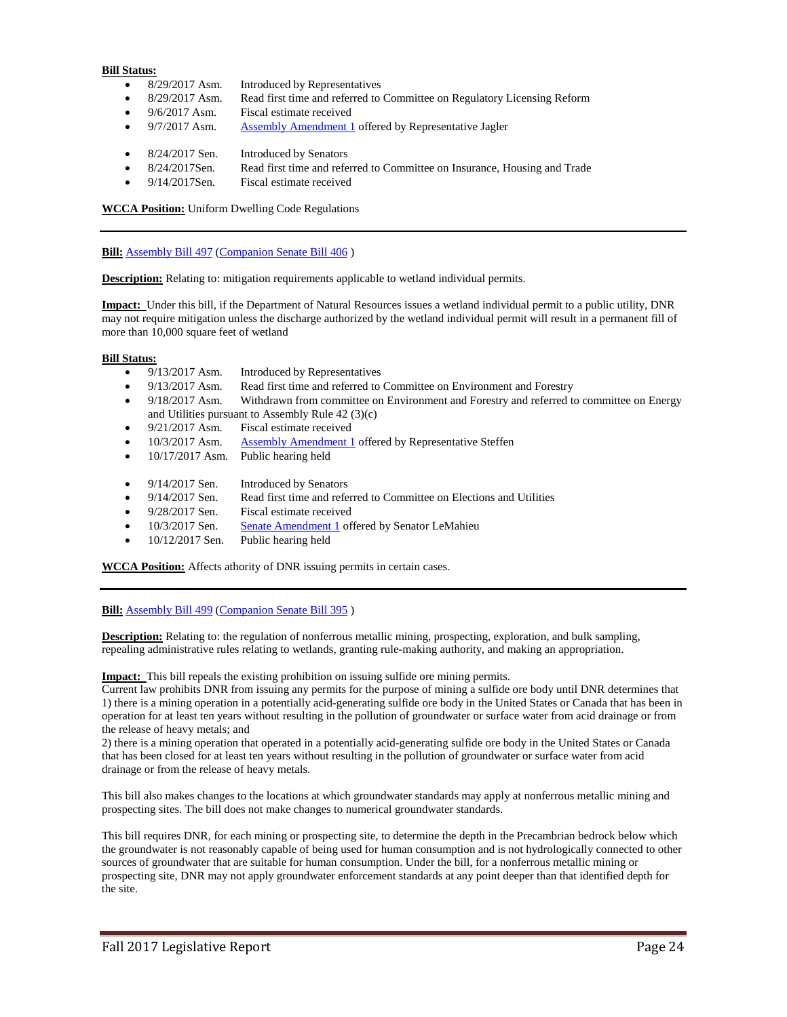- 8/29/2017 Asm. Introduced by Representatives
- 8/29/2017 Asm. Read first time and referred to Committee on Regulatory Licensing Reform
- 9/6/2017 Asm. Fiscal estimate received
- 9/7/2017 Asm. [Assembly Amendment 1](https://docs.legis.wisconsin.gov/document/amends/2017/REG/AB483-AA1) offered by Representative Jagler
- 8/24/2017 Sen. Introduced by Senators
- 8/24/2017Sen. Read first time and referred to Committee on Insurance, Housing and Trade
- 9/14/2017Sen. Fiscal estimate received

**WCCA Position:** Uniform Dwelling Code Regulations

**Bill:** [Assembly Bill 497](https://docs.legis.wisconsin.gov/2017/proposals/reg/asm/bill/ab497) [\(Companion Senate Bill 406](https://docs.legis.wisconsin.gov/2017/proposals/sb406))

**Description:** Relating to: mitigation requirements applicable to wetland individual permits.

**Impact:** Under this bill, if the Department of Natural Resources issues a wetland individual permit to a public utility, DNR may not require mitigation unless the discharge authorized by the wetland individual permit will result in a permanent fill of more than 10,000 square feet of wetland

#### **Bill Status:**

- 9/13/2017 Asm. Introduced by Representatives
- 9/13/2017 Asm. Read first time and referred to Committee on Environment and Forestry
- 9/18/2017 Asm. Withdrawn from committee on Environment and Forestry and referred to committee on Energy and Utilities pursuant to Assembly Rule 42 (3)(c)
- 9/21/2017 Asm. Fiscal estimate received
- 10/3/2017 Asm. [Assembly Amendment 1](https://docs.legis.wisconsin.gov/document/amends/2017/REG/AB497-AA1) offered by Representative Steffen
- 10/17/2017 Asm. Public hearing held
- 9/14/2017 Sen. Introduced by Senators
- 9/14/2017 Sen. Read first time and referred to Committee on Elections and Utilities
- 9/28/2017 Sen. Fiscal estimate received
- 10/3/2017 Sen. [Senate Amendment 1](https://docs.legis.wisconsin.gov/document/amends/2017/REG/SB406-SA1) offered by Senator LeMahieu
- 10/12/2017 Sen. Public hearing held

**WCCA Position:** Affects athority of DNR issuing permits in certain cases.

#### **Bill:** [Assembly Bill 499](https://docs.legis.wisconsin.gov/2017/proposals/reg/asm/bill/ab499) [\(Companion Senate Bill 395](https://docs.legis.wisconsin.gov/2017/proposals/sb395) )

**Description:** Relating to: the regulation of nonferrous metallic mining, prospecting, exploration, and bulk sampling, repealing administrative rules relating to wetlands, granting rule-making authority, and making an appropriation.

**Impact:** This bill repeals the existing prohibition on issuing sulfide ore mining permits.

Current law prohibits DNR from issuing any permits for the purpose of mining a sulfide ore body until DNR determines that 1) there is a mining operation in a potentially acid-generating sulfide ore body in the United States or Canada that has been in operation for at least ten years without resulting in the pollution of groundwater or surface water from acid drainage or from the release of heavy metals; and

2) there is a mining operation that operated in a potentially acid-generating sulfide ore body in the United States or Canada that has been closed for at least ten years without resulting in the pollution of groundwater or surface water from acid drainage or from the release of heavy metals.

This bill also makes changes to the locations at which groundwater standards may apply at nonferrous metallic mining and prospecting sites. The bill does not make changes to numerical groundwater standards.

This bill requires DNR, for each mining or prospecting site, to determine the depth in the Precambrian bedrock below which the groundwater is not reasonably capable of being used for human consumption and is not hydrologically connected to other sources of groundwater that are suitable for human consumption. Under the bill, for a nonferrous metallic mining or prospecting site, DNR may not apply groundwater enforcement standards at any point deeper than that identified depth for the site.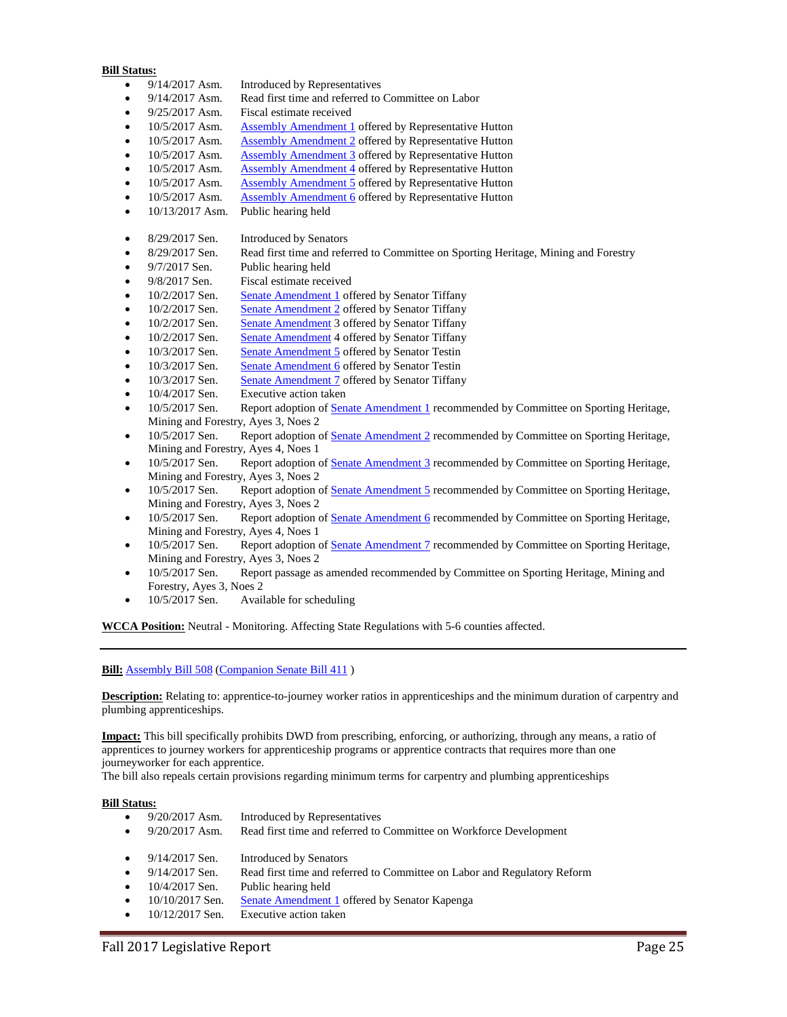- 9/14/2017 Asm. Introduced by Representatives
- 9/14/2017 Asm. Read first time and referred to Committee on Labor
- 9/25/2017 Asm. Fiscal estimate received
- 10/5/2017 Asm. [Assembly Amendment 1](https://docs.legis.wisconsin.gov/document/amends/2017/REG/AB499-AA1) offered by Representative Hutton
- 10/5/2017 Asm. [Assembly Amendment 2](https://docs.legis.wisconsin.gov/document/amends/2017/REG/AB499-AA2) offered by Representative Hutton
- 10/5/2017 Asm. [Assembly Amendment 3](https://docs.legis.wisconsin.gov/document/amends/2017/REG/AB499-AA3) offered by Representative Hutton
- 10/5/2017 Asm. [Assembly Amendment 4](https://docs.legis.wisconsin.gov/document/amends/2017/REG/AB499-AA4) offered by Representative Hutton
- 10/5/2017 Asm. [Assembly Amendment 5](https://docs.legis.wisconsin.gov/document/amends/2017/REG/AB499-AA5) offered by Representative Hutton
- 10/5/2017 Asm. [Assembly Amendment 6](https://docs.legis.wisconsin.gov/document/amends/2017/REG/AB499-AA6) offered by Representative Hutton
- 10/13/2017 Asm. Public hearing held
- 8/29/2017 Sen. Introduced by Senators
- 8/29/2017 Sen. Read first time and referred to Committee on Sporting Heritage, Mining and Forestry
- 9/7/2017 Sen. Public hearing held
- 9/8/2017 Sen. Fiscal estimate received
- 10/2/2017 Sen. [Senate Amendment 1](http://docs.legis.wisconsin.gov/document/amends/2017/REG/SB395-SA1) offered by Senator Tiffany
- 10/2/2017 Sen. [Senate Amendment 2](http://docs.legis.wisconsin.gov/document/amends/2017/REG/SB395-SA2) offered by Senator Tiffany
- 10/2/2017 Sen. [Senate Amendment](http://docs.legis.wisconsin.gov/document/amends/2017/REG/SB395-SA3) 3 offered by Senator Tiffany
- 10/2/2017 Sen. [Senate Amendment](http://docs.legis.wisconsin.gov/document/amends/2017/REG/SB395-SA4) 4 offered by Senator Tiffany
- 10/3/2017 Sen. [Senate Amendment 5](https://docs.legis.wisconsin.gov/document/amends/2017/REG/SB395-SA5) offered by Senator Testin
- 10/3/2017 Sen. [Senate Amendment 6](https://docs.legis.wisconsin.gov/document/amends/2017/REG/SB395-SA6) offered by Senator Testin
- 10/3/2017 Sen. [Senate Amendment 7](https://docs.legis.wisconsin.gov/document/amends/2017/REG/SB395-SA7) offered by Senator Tiffany
- 10/4/2017 Sen. Executive action taken
- 10/5/2017 Sen. Report adoption o[f Senate Amendment 1](https://docs.legis.wisconsin.gov/document/amends/2017/REG/SB395-SA1) recommended by Committee on Sporting Heritage, Mining and Forestry, Ayes 3, Noes 2
- 10/5/2017 Sen. Report adoption o[f Senate Amendment 2](https://docs.legis.wisconsin.gov/document/amends/2017/REG/SB395-SA2) recommended by Committee on Sporting Heritage, Mining and Forestry, Ayes 4, Noes 1
- 10/5/2017 Sen. Report adoption o[f Senate Amendment 3](https://docs.legis.wisconsin.gov/document/amends/2017/REG/SB395-SA3) recommended by Committee on Sporting Heritage, Mining and Forestry, Ayes 3, Noes 2
- 10/5/2017 Sen. Report adoption of <u>Senate Amendment 5</u> recommended by Committee on Sporting Heritage, Mining and Forestry, Ayes 3, Noes 2
- 10/5/2017 Sen. Report adoption o[f Senate Amendment 6](https://docs.legis.wisconsin.gov/document/amends/2017/REG/SB395-SA6) recommended by Committee on Sporting Heritage, Mining and Forestry, Ayes 4, Noes 1
- 10/5/2017 Sen. Report adoption o[f Senate Amendment 7](https://docs.legis.wisconsin.gov/document/amends/2017/REG/SB395-SA7) recommended by Committee on Sporting Heritage, Mining and Forestry, Ayes 3, Noes 2
- 10/5/2017 Sen. Report passage as amended recommended by Committee on Sporting Heritage, Mining and Forestry, Ayes 3, Noes 2
- 10/5/2017 Sen. Available for scheduling

**WCCA Position:** Neutral - Monitoring. Affecting State Regulations with 5-6 counties affected.

**Bill:** [Assembly Bill 508](https://docs.legis.wisconsin.gov/2017/proposals/reg/asm/bill/ab508) [\(Companion Senate Bill 411](https://docs.legis.wisconsin.gov/2017/proposals/sb411))

**Description:** Relating to: apprentice-to-journey worker ratios in apprenticeships and the minimum duration of carpentry and plumbing apprenticeships.

**Impact:** This bill specifically prohibits DWD from prescribing, enforcing, or authorizing, through any means, a ratio of apprentices to journey workers for apprenticeship programs or apprentice contracts that requires more than one journeyworker for each apprentice.

The bill also repeals certain provisions regarding minimum terms for carpentry and plumbing apprenticeships

- 9/20/2017 Asm. Introduced by Representatives
- 9/20/2017 Asm. Read first time and referred to Committee on Workforce Development
- 9/14/2017 Sen. Introduced by Senators
- 9/14/2017 Sen. Read first time and referred to Committee on Labor and Regulatory Reform
- 10/4/2017 Sen. Public hearing held
- 10/10/2017 Sen. [Senate Amendment 1](https://docs.legis.wisconsin.gov/document/amends/2017/REG/SB411-SA1) offered by Senator Kapenga
- 10/12/2017 Sen. Executive action taken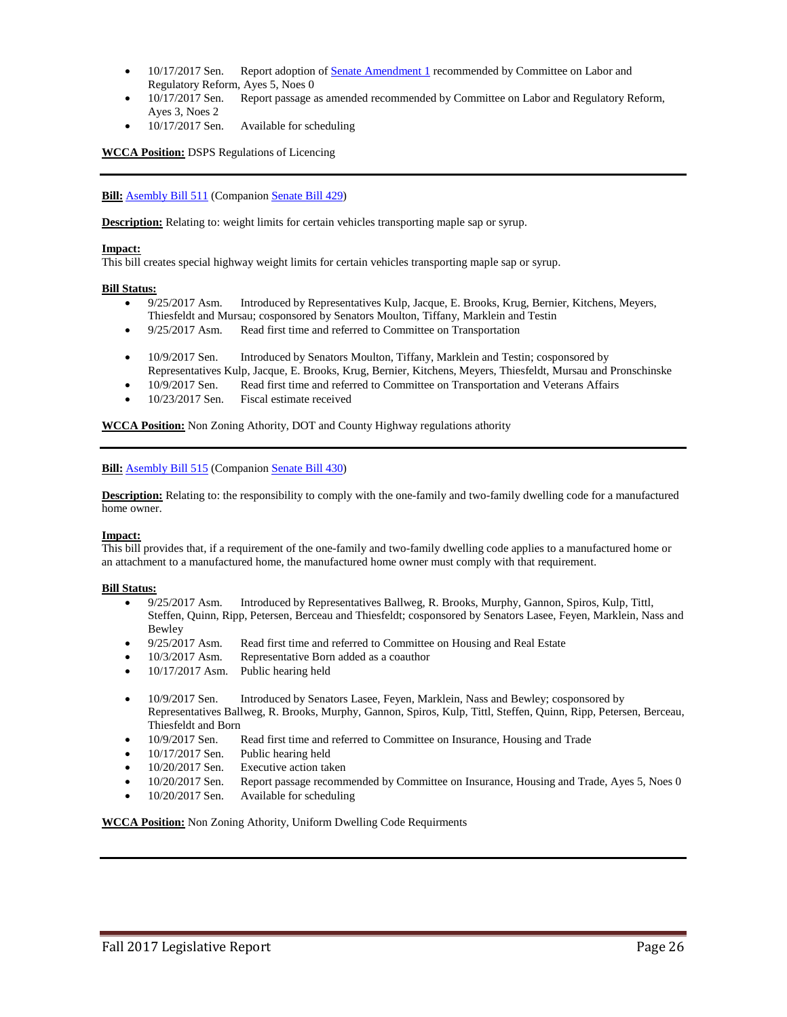- 10/17/2017 Sen. Report adoption o[f Senate Amendment 1](https://docs.legis.wisconsin.gov/document/amends/2017/REG/SB411-SA1) recommended by Committee on Labor and Regulatory Reform, Ayes 5, Noes 0
- 10/17/2017 Sen. Report passage as amended recommended by Committee on Labor and Regulatory Reform, Ayes 3, Noes 2
- 10/17/2017 Sen. Available for scheduling

**WCCA Position:** DSPS Regulations of Licencing

**Bill:** [Asembly Bill 511](https://docs.legis.wisconsin.gov/2017/proposals/reg/asm/bill/ab511) (Companio[n Senate Bill 429\)](https://docs.legis.wisconsin.gov/2017/proposals/sb429)

**Description:** Relating to: weight limits for certain vehicles transporting maple sap or syrup.

#### **Impact:**

This bill creates special highway weight limits for certain vehicles transporting maple sap or syrup.

#### **Bill Status:**

- 9/25/2017 Asm. Introduced by Representatives Kulp, Jacque, E. Brooks, Krug, Bernier, Kitchens, Meyers, Thiesfeldt and Mursau; cosponsored by Senators Moulton, Tiffany, Marklein and Testin
- 9/25/2017 Asm. Read first time and referred to Committee on Transportation
- 10/9/2017 Sen. Introduced by Senators Moulton, Tiffany, Marklein and Testin; cosponsored by Representatives Kulp, Jacque, E. Brooks, Krug, Bernier, Kitchens, Meyers, Thiesfeldt, Mursau and Pronschinske
- 10/9/2017 Sen. Read first time and referred to Committee on Transportation and Veterans Affairs
- 10/23/2017 Sen. Fiscal estimate received

**WCCA Position:** Non Zoning Athority, DOT and County Highway regulations athority

#### **Bill:** [Asembly Bill 515](https://docs.legis.wisconsin.gov/2017/proposals/reg/asm/bill/ab515) (Companio[n Senate Bill 430\)](https://docs.legis.wisconsin.gov/2017/proposals/sb430)

**Description:** Relating to: the responsibility to comply with the one-family and two-family dwelling code for a manufactured home owner.

#### **Impact:**

This bill provides that, if a requirement of the one-family and two-family dwelling code applies to a manufactured home or an attachment to a manufactured home, the manufactured home owner must comply with that requirement.

#### **Bill Status:**

- 9/25/2017 Asm. Introduced by Representatives Ballweg, R. Brooks, Murphy, Gannon, Spiros, Kulp, Tittl, Steffen, Quinn, Ripp, Petersen, Berceau and Thiesfeldt; cosponsored by Senators Lasee, Feyen, Marklein, Nass and Bewley
- 9/25/2017 Asm. Read first time and referred to Committee on Housing and Real Estate
- 10/3/2017 Asm. Representative Born added as a coauthor
- 10/17/2017 Asm. Public hearing held
- 10/9/2017 Sen. Introduced by Senators Lasee, Feyen, Marklein, Nass and Bewley; cosponsored by Representatives Ballweg, R. Brooks, Murphy, Gannon, Spiros, Kulp, Tittl, Steffen, Quinn, Ripp, Petersen, Berceau, Thiesfeldt and Born
- 10/9/2017 Sen. Read first time and referred to Committee on Insurance, Housing and Trade
- 10/17/2017 Sen. Public hearing held
- 10/20/2017 Sen. Executive action taken
- 10/20/2017 Sen. Report passage recommended by Committee on Insurance, Housing and Trade, Ayes 5, Noes 0
- 10/20/2017 Sen. Available for scheduling

**WCCA Position:** Non Zoning Athority, Uniform Dwelling Code Requirments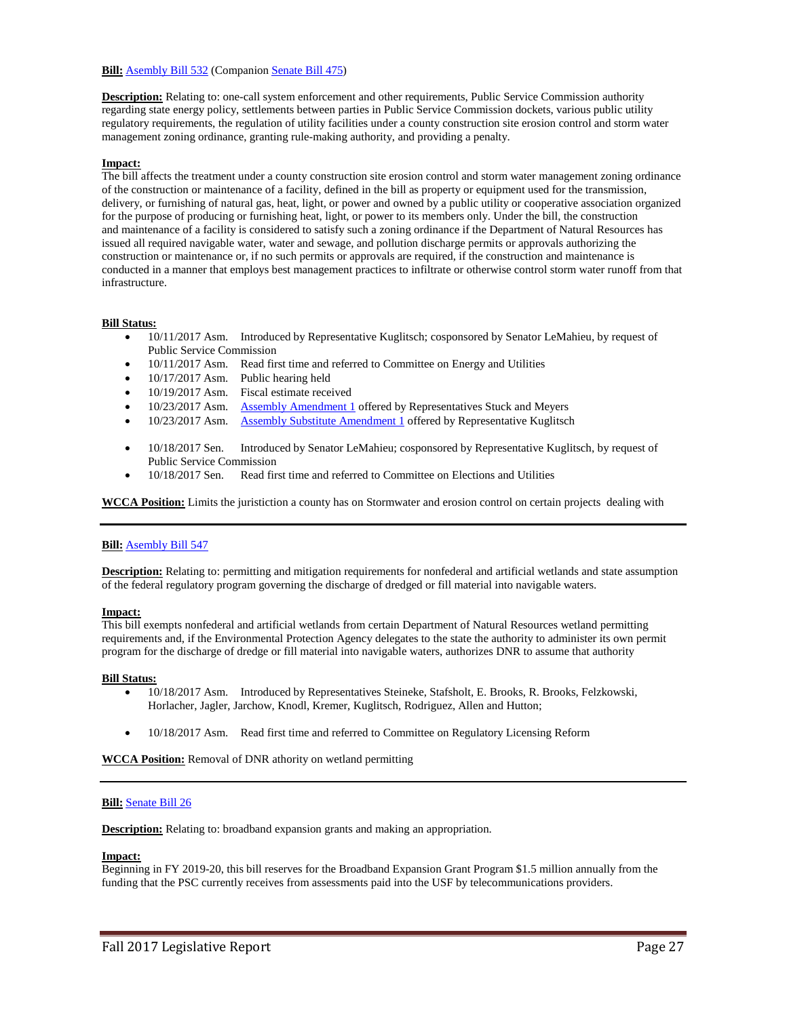# **Bill:** [Asembly Bill 532](https://docs.legis.wisconsin.gov/2017/proposals/reg/asm/bill/ab532) (Companio[n Senate Bill 475\)](https://docs.legis.wisconsin.gov/2017/proposals/sb475)

**Description:** Relating to: one-call system enforcement and other requirements, Public Service Commission authority regarding state energy policy, settlements between parties in Public Service Commission dockets, various public utility regulatory requirements, the regulation of utility facilities under a county construction site erosion control and storm water management zoning ordinance, granting rule-making authority, and providing a penalty.

# **Impact:**

The bill affects the treatment under a county construction site erosion control and storm water management zoning ordinance of the construction or maintenance of a facility, defined in the bill as property or equipment used for the transmission, delivery, or furnishing of natural gas, heat, light, or power and owned by a public utility or cooperative association organized for the purpose of producing or furnishing heat, light, or power to its members only. Under the bill, the construction and maintenance of a facility is considered to satisfy such a zoning ordinance if the Department of Natural Resources has issued all required navigable water, water and sewage, and pollution discharge permits or approvals authorizing the construction or maintenance or, if no such permits or approvals are required, if the construction and maintenance is conducted in a manner that employs best management practices to infiltrate or otherwise control storm water runoff from that infrastructure.

### **Bill Status:**

- 10/11/2017 Asm. Introduced by Representative Kuglitsch; cosponsored by Senator LeMahieu, by request of Public Service Commission
- 10/11/2017 Asm. Read first time and referred to Committee on Energy and Utilities
- 10/17/2017 Asm. Public hearing held
- 10/19/2017 Asm. Fiscal estimate received
- 10/23/2017 Asm. [Assembly Amendment 1](https://docs.legis.wisconsin.gov/document/amends/2017/REG/AB532-AA1) offered by Representatives Stuck and Meyers
- 10/23/2017 Asm. [Assembly Substitute Amendment 1](https://docs.legis.wisconsin.gov/document/amends/2017/REG/AB532-ASA1) offered by Representative Kuglitsch
- 10/18/2017 Sen. Introduced by Senator LeMahieu; cosponsored by Representative Kuglitsch, by request of Public Service Commission
- 10/18/2017 Sen. Read first time and referred to Committee on Elections and Utilities

**WCCA Position:** Limits the juristiction a county has on Stormwater and erosion control on certain projects dealing with

# **Bill:** [Asembly](https://docs.legis.wisconsin.gov/2017/proposals/reg/asm/bill/ab547) Bill 547

**Description:** Relating to: permitting and mitigation requirements for nonfederal and artificial wetlands and state assumption of the federal regulatory program governing the discharge of dredged or fill material into navigable waters.

#### **Impact:**

This bill exempts nonfederal and artificial wetlands from certain Department of Natural Resources wetland permitting requirements and, if the Environmental Protection Agency delegates to the state the authority to administer its own permit program for the discharge of dredge or fill material into navigable waters, authorizes DNR to assume that authority

#### **Bill Status:**

- 10/18/2017 Asm. Introduced by Representatives Steineke, Stafsholt, E. Brooks, R. Brooks, Felzkowski, Horlacher, Jagler, Jarchow, Knodl, Kremer, Kuglitsch, Rodriguez, Allen and Hutton;
- 10/18/2017 Asm. Read first time and referred to Committee on Regulatory Licensing Reform

**WCCA Position:** Removal of DNR athority on wetland permitting

#### **Bill:** [Senate Bill 26](https://docs.legis.wisconsin.gov/2017/proposals/reg/sen/bill/sb26)

**Description:** Relating to: broadband expansion grants and making an appropriation.

#### **Impact:**

Beginning in FY 2019-20, this bill reserves for the Broadband Expansion Grant Program \$1.5 million annually from the funding that the PSC currently receives from assessments paid into the USF by telecommunications providers.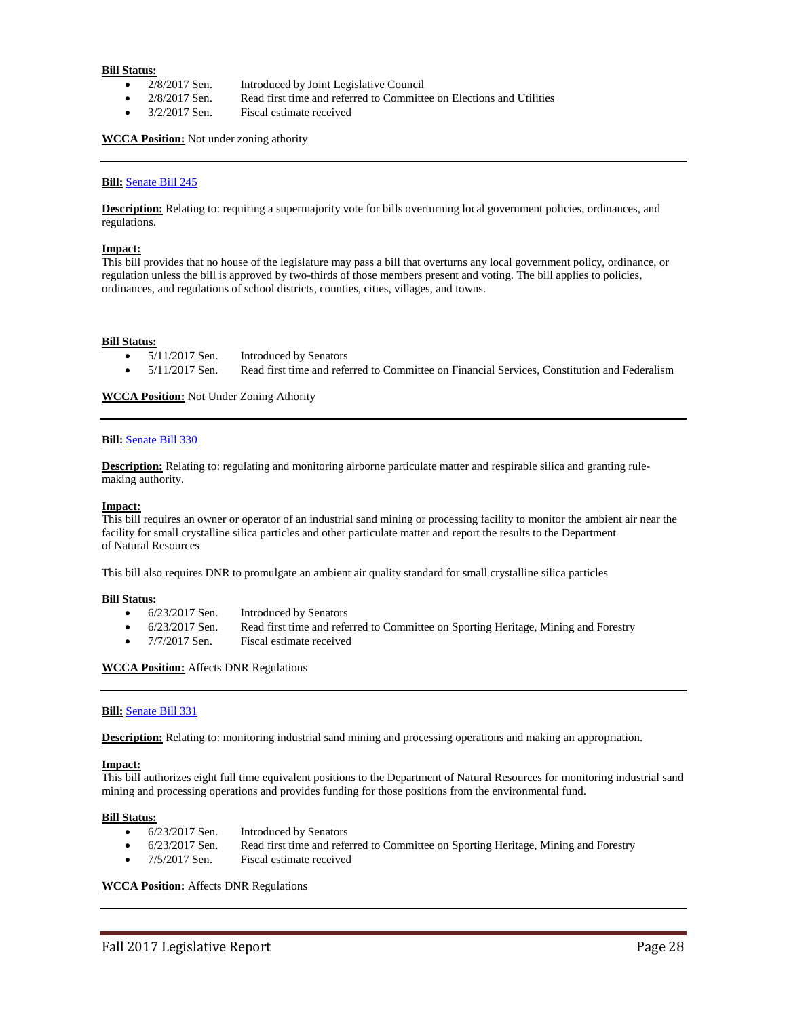- 2/8/2017 Sen. Introduced by Joint Legislative Council
	- 2/8/2017 Sen. Read first time and referred to Committee on Elections and Utilities
- 3/2/2017 Sen. Fiscal estimate received

**WCCA Position:** Not under zoning athority

### **Bill:** [Senate Bill 245](https://docs.legis.wisconsin.gov/2017/proposals/reg/sen/bill/sb245)

**Description:** Relating to: requiring a supermajority vote for bills overturning local government policies, ordinances, and regulations.

#### **Impact:**

This bill provides that no house of the legislature may pass a bill that overturns any local government policy, ordinance, or regulation unless the bill is approved by two-thirds of those members present and voting. The bill applies to policies, ordinances, and regulations of school districts, counties, cities, villages, and towns.

#### **Bill Status:**

- 5/11/2017 Sen. Introduced by Senators
	- 5/11/2017 Sen. Read first time and referred to Committee on Financial Services, Constitution and Federalism

**WCCA Position:** Not Under Zoning Athority

#### **Bill:** [Senate Bill 330](https://docs.legis.wisconsin.gov/2017/proposals/reg/sen/bill/sb330)

**Description:** Relating to: regulating and monitoring airborne particulate matter and respirable silica and granting rulemaking authority.

#### **Impact:**

This bill requires an owner or operator of an industrial sand mining or processing facility to monitor the ambient air near the facility for small crystalline silica particles and other particulate matter and report the results to the Department of Natural Resources

This bill also requires DNR to promulgate an ambient air quality standard for small crystalline silica particles

#### **Bill Status:**

- 6/23/2017 Sen. Introduced by Senators
- 6/23/2017 Sen. Read first time and referred to Committee on Sporting Heritage, Mining and Forestry
- 7/7/2017 Sen. Fiscal estimate received

#### **WCCA Position:** Affects DNR Regulations

#### **Bill:** [Senate Bill 331](https://docs.legis.wisconsin.gov/2017/proposals/reg/sen/bill/sb331)

**Description:** Relating to: monitoring industrial sand mining and processing operations and making an appropriation.

#### **Impact:**

This bill authorizes eight full time equivalent positions to the Department of Natural Resources for monitoring industrial sand mining and processing operations and provides funding for those positions from the environmental fund.

# **Bill Status:**

- 6/23/2017 Sen. Introduced by Senators
- 6/23/2017 Sen. Read first time and referred to Committee on Sporting Heritage, Mining and Forestry
- 7/5/2017 Sen. Fiscal estimate received

**WCCA Position:** Affects DNR Regulations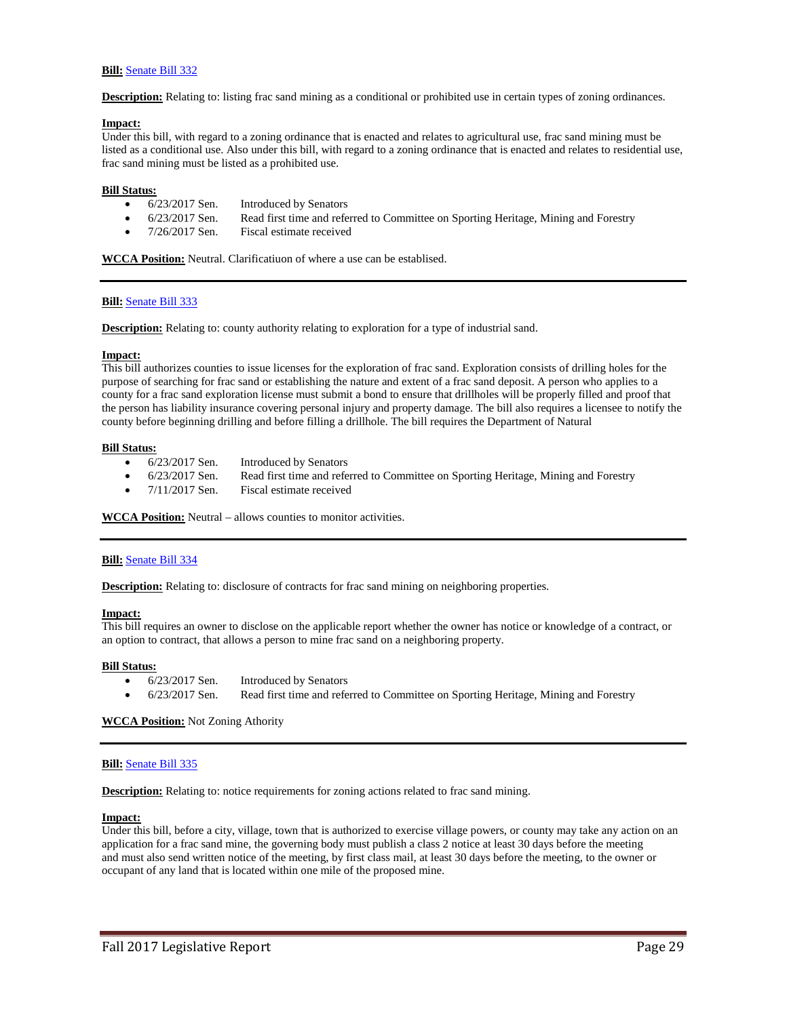# **Bill:** [Senate Bill 332](https://docs.legis.wisconsin.gov/2017/proposals/reg/sen/bill/sb332)

**Description:** Relating to: listing frac sand mining as a conditional or prohibited use in certain types of zoning ordinances.

#### **Impact:**

Under this bill, with regard to a zoning ordinance that is enacted and relates to agricultural use, frac sand mining must be listed as a conditional use. Also under this bill, with regard to a zoning ordinance that is enacted and relates to residential use, frac sand mining must be listed as a prohibited use.

### **Bill Status:**

- 6/23/2017 Sen. Introduced by Senators
- 6/23/2017 Sen. Read first time and referred to Committee on Sporting Heritage, Mining and Forestry
- 7/26/2017 Sen. Fiscal estimate received

**WCCA Position:** Neutral. Clarificatiuon of where a use can be establised.

# **Bill:** [Senate Bill 333](https://docs.legis.wisconsin.gov/2017/proposals/reg/sen/bill/sb333)

**Description:** Relating to: county authority relating to exploration for a type of industrial sand.

#### **Impact:**

This bill authorizes counties to issue licenses for the exploration of frac sand. Exploration consists of drilling holes for the purpose of searching for frac sand or establishing the nature and extent of a frac sand deposit. A person who applies to a county for a frac sand exploration license must submit a bond to ensure that drillholes will be properly filled and proof that the person has liability insurance covering personal injury and property damage. The bill also requires a licensee to notify the county before beginning drilling and before filling a drillhole. The bill requires the Department of Natural

#### **Bill Status:**

- 6/23/2017 Sen. Introduced by Senators
- 6/23/2017 Sen. Read first time and referred to Committee on Sporting Heritage, Mining and Forestry
- 7/11/2017 Sen. Fiscal estimate received

**WCCA Position:** Neutral – allows counties to monitor activities.

#### **Bill:** [Senate Bill 334](https://docs.legis.wisconsin.gov/2017/proposals/reg/sen/bill/sb334)

**Description:** Relating to: disclosure of contracts for frac sand mining on neighboring properties.

#### **Impact:**

This bill requires an owner to disclose on the applicable report whether the owner has notice or knowledge of a contract, or an option to contract, that allows a person to mine frac sand on a neighboring property.

#### **Bill Status:**

- 6/23/2017 Sen. Introduced by Senators
- 6/23/2017 Sen. Read first time and referred to Committee on Sporting Heritage, Mining and Forestry

**WCCA Position:** Not Zoning Athority

#### **Bill:** [Senate Bill 335](https://docs.legis.wisconsin.gov/2017/proposals/reg/sen/bill/sb335)

**Description:** Relating to: notice requirements for zoning actions related to frac sand mining.

# **Impact:**

Under this bill, before a city, village, town that is authorized to exercise village powers, or county may take any action on an application for a frac sand mine, the governing body must publish a class 2 notice at least 30 days before the meeting and must also send written notice of the meeting, by first class mail, at least 30 days before the meeting, to the owner or occupant of any land that is located within one mile of the proposed mine.